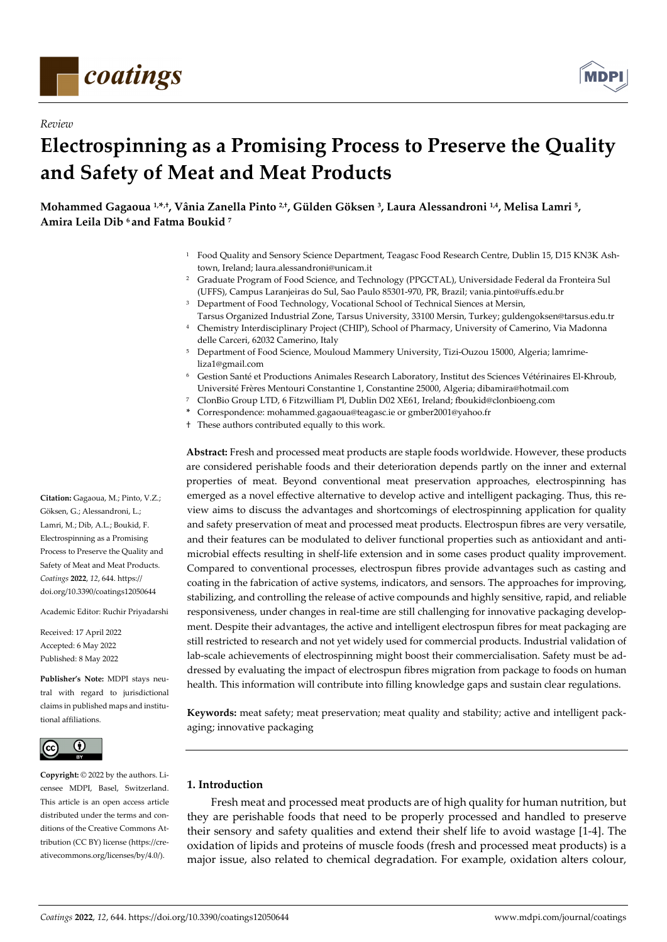

*Review* 



# **Electrospinning as a Promising Process to Preserve the Quality and Safety of Meat and Meat Products**

**Mohammed Gagaoua 1,\*,†, Vânia Zanella Pinto 2,†, Gülden Göksen 3, Laura Alessandroni 1,4, Melisa Lamri 5, Amira Leila Dib 6 and Fatma Boukid 7**

- 1 Food Quality and Sensory Science Department, Teagasc Food Research Centre, Dublin 15, D15 KN3K Ashtown, Ireland; laura.alessandroni@unicam.it
- 2 Graduate Program of Food Science, and Technology (PPGCTAL), Universidade Federal da Fronteira Sul (UFFS), Campus Laranjeiras do Sul, Sao Paulo 85301-970, PR, Brazil; vania.pinto@uffs.edu.br
- <sup>3</sup> Department of Food Technology, Vocational School of Technical Siences at Mersin,
- Tarsus Organized Industrial Zone, Tarsus University, 33100 Mersin, Turkey; guldengoksen@tarsus.edu.tr 4 Chemistry Interdisciplinary Project (CHIP), School of Pharmacy, University of Camerino, Via Madonna delle Carceri, 62032 Camerino, Italy
- 5 Department of Food Science, Mouloud Mammery University, Tizi-Ouzou 15000, Algeria; lamrimeliza1@gmail.com
- 6 Gestion Santé et Productions Animales Research Laboratory, Institut des Sciences Vétérinaires El-Khroub, Université Frères Mentouri Constantine 1, Constantine 25000, Algeria; dibamira@hotmail.com
- 7 ClonBio Group LTD, 6 Fitzwilliam Pl, Dublin D02 XE61, Ireland; fboukid@clonbioeng.com
- **\*** Correspondence: mohammed.gagaoua@teagasc.ie or gmber2001@yahoo.fr
- † These authors contributed equally to this work.

**Abstract:** Fresh and processed meat products are staple foods worldwide. However, these products are considered perishable foods and their deterioration depends partly on the inner and external properties of meat. Beyond conventional meat preservation approaches, electrospinning has emerged as a novel effective alternative to develop active and intelligent packaging. Thus, this review aims to discuss the advantages and shortcomings of electrospinning application for quality and safety preservation of meat and processed meat products. Electrospun fibres are very versatile, and their features can be modulated to deliver functional properties such as antioxidant and antimicrobial effects resulting in shelf-life extension and in some cases product quality improvement. Compared to conventional processes, electrospun fibres provide advantages such as casting and coating in the fabrication of active systems, indicators, and sensors. The approaches for improving, stabilizing, and controlling the release of active compounds and highly sensitive, rapid, and reliable responsiveness, under changes in real-time are still challenging for innovative packaging development. Despite their advantages, the active and intelligent electrospun fibres for meat packaging are still restricted to research and not yet widely used for commercial products. Industrial validation of lab-scale achievements of electrospinning might boost their commercialisation. Safety must be addressed by evaluating the impact of electrospun fibres migration from package to foods on human health. This information will contribute into filling knowledge gaps and sustain clear regulations.

**Keywords:** meat safety; meat preservation; meat quality and stability; active and intelligent packaging; innovative packaging

## **1. Introduction**

Fresh meat and processed meat products are of high quality for human nutrition, but they are perishable foods that need to be properly processed and handled to preserve their sensory and safety qualities and extend their shelf life to avoid wastage [1-4]. The oxidation of lipids and proteins of muscle foods (fresh and processed meat products) is a major issue, also related to chemical degradation. For example, oxidation alters colour,

**Citation:** Gagaoua, M.; Pinto, V.Z.; Göksen, G.; Alessandroni, L.; Lamri, M.; Dib, A.L.; Boukid, F. Electrospinning as a Promising Process to Preserve the Quality and Safety of Meat and Meat Products. *Coatings* **2022**, *12*, 644. https:// doi.org/10.3390/coatings12050644

Academic Editor: Ruchir Priyadarshi

Received: 17 April 2022 Accepted: 6 May 2022 Published: 8 May 2022

**Publisher's Note:** MDPI stays neutral with regard to jurisdictional claims in published maps and institutional affiliations.



**Copyright:** © 2022 by the authors. Licensee MDPI, Basel, Switzerland. This article is an open access article distributed under the terms and conditions of the Creative Commons Attribution (CC BY) license (https://creativecommons.org/licenses/by/4.0/).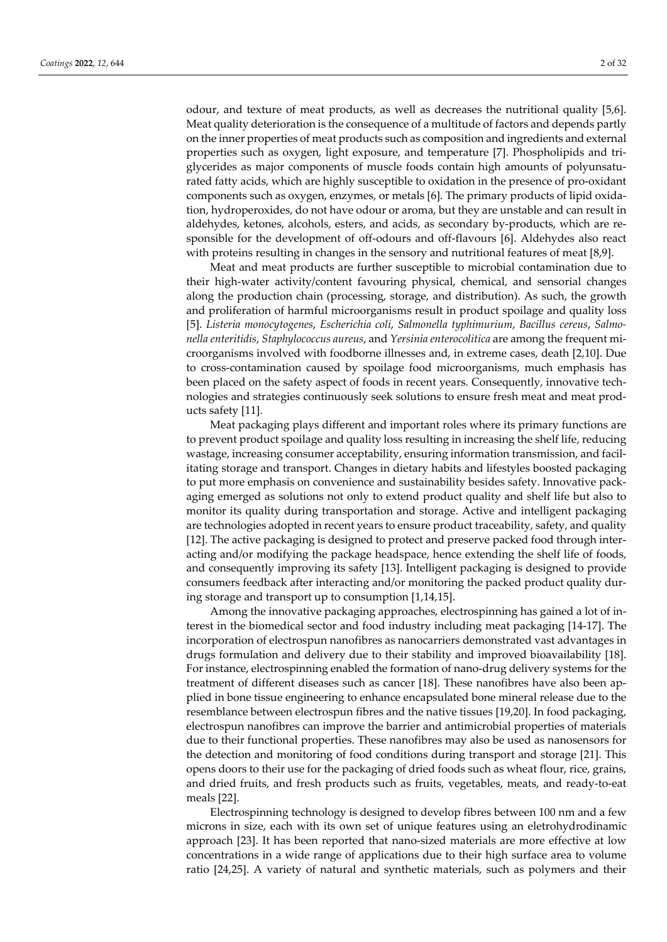odour, and texture of meat products, as well as decreases the nutritional quality [5,6]. Meat quality deterioration is the consequence of a multitude of factors and depends partly on the inner properties of meat products such as composition and ingredients and external properties such as oxygen, light exposure, and temperature [7]. Phospholipids and triglycerides as major components of muscle foods contain high amounts of polyunsaturated fatty acids, which are highly susceptible to oxidation in the presence of pro-oxidant components such as oxygen, enzymes, or metals [6]. The primary products of lipid oxidation, hydroperoxides, do not have odour or aroma, but they are unstable and can result in aldehydes, ketones, alcohols, esters, and acids, as secondary by-products, which are responsible for the development of off-odours and off-flavours [6]. Aldehydes also react with proteins resulting in changes in the sensory and nutritional features of meat [8,9].

Meat and meat products are further susceptible to microbial contamination due to their high-water activity/content favouring physical, chemical, and sensorial changes along the production chain (processing, storage, and distribution). As such, the growth and proliferation of harmful microorganisms result in product spoilage and quality loss [5]. *Listeria monocytogenes*, *Escherichia coli*, *Salmonella typhimurium*, *Bacillus cereus*, *Salmonella enteritidis*, *Staphylococcus aureus*, and *Yersinia enterocolitica* are among the frequent microorganisms involved with foodborne illnesses and, in extreme cases, death [2,10]. Due to cross-contamination caused by spoilage food microorganisms, much emphasis has been placed on the safety aspect of foods in recent years. Consequently, innovative technologies and strategies continuously seek solutions to ensure fresh meat and meat products safety [11].

Meat packaging plays different and important roles where its primary functions are to prevent product spoilage and quality loss resulting in increasing the shelf life, reducing wastage, increasing consumer acceptability, ensuring information transmission, and facilitating storage and transport. Changes in dietary habits and lifestyles boosted packaging to put more emphasis on convenience and sustainability besides safety. Innovative packaging emerged as solutions not only to extend product quality and shelf life but also to monitor its quality during transportation and storage. Active and intelligent packaging are technologies adopted in recent years to ensure product traceability, safety, and quality [12]. The active packaging is designed to protect and preserve packed food through interacting and/or modifying the package headspace, hence extending the shelf life of foods, and consequently improving its safety [13]. Intelligent packaging is designed to provide consumers feedback after interacting and/or monitoring the packed product quality during storage and transport up to consumption [1,14,15].

Among the innovative packaging approaches, electrospinning has gained a lot of interest in the biomedical sector and food industry including meat packaging [14-17]. The incorporation of electrospun nanofibres as nanocarriers demonstrated vast advantages in drugs formulation and delivery due to their stability and improved bioavailability [18]. For instance, electrospinning enabled the formation of nano-drug delivery systems for the treatment of different diseases such as cancer [18]. These nanofibres have also been applied in bone tissue engineering to enhance encapsulated bone mineral release due to the resemblance between electrospun fibres and the native tissues [19,20]. In food packaging, electrospun nanofibres can improve the barrier and antimicrobial properties of materials due to their functional properties. These nanofibres may also be used as nanosensors for the detection and monitoring of food conditions during transport and storage [21]. This opens doors to their use for the packaging of dried foods such as wheat flour, rice, grains, and dried fruits, and fresh products such as fruits, vegetables, meats, and ready-to-eat meals [22].

Electrospinning technology is designed to develop fibres between 100 nm and a few microns in size, each with its own set of unique features using an eletrohydrodinamic approach [23]. It has been reported that nano-sized materials are more effective at low concentrations in a wide range of applications due to their high surface area to volume ratio [24,25]. A variety of natural and synthetic materials, such as polymers and their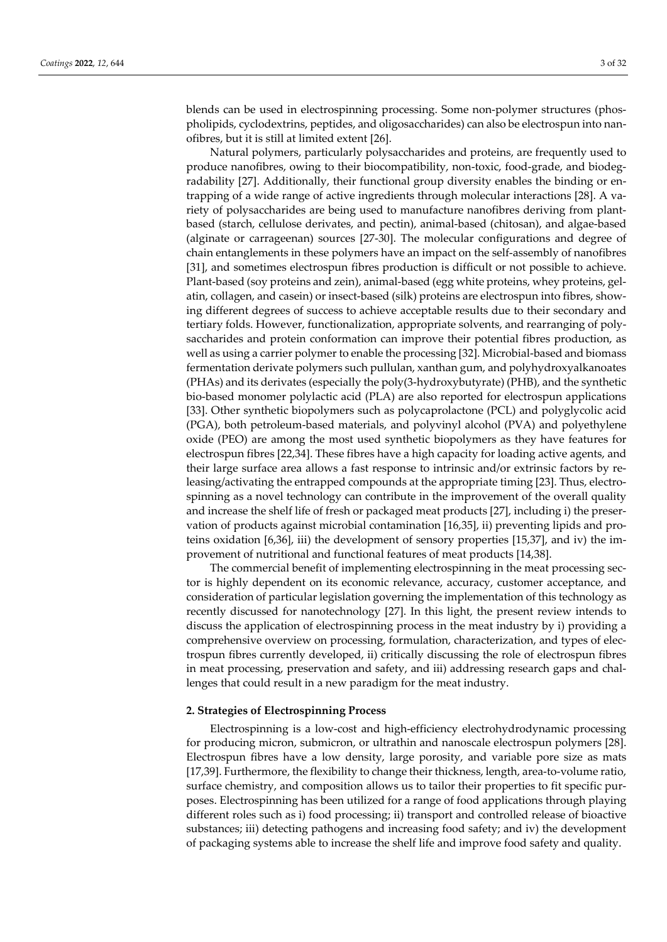blends can be used in electrospinning processing. Some non-polymer structures (phospholipids, cyclodextrins, peptides, and oligosaccharides) can also be electrospun into nanofibres, but it is still at limited extent [26].

Natural polymers, particularly polysaccharides and proteins, are frequently used to produce nanofibres, owing to their biocompatibility, non-toxic, food-grade, and biodegradability [27]. Additionally, their functional group diversity enables the binding or entrapping of a wide range of active ingredients through molecular interactions [28]. A variety of polysaccharides are being used to manufacture nanofibres deriving from plantbased (starch, cellulose derivates, and pectin), animal-based (chitosan), and algae-based (alginate or carrageenan) sources [27-30]. The molecular configurations and degree of chain entanglements in these polymers have an impact on the self-assembly of nanofibres [31], and sometimes electrospun fibres production is difficult or not possible to achieve. Plant-based (soy proteins and zein), animal-based (egg white proteins, whey proteins, gelatin, collagen, and casein) or insect-based (silk) proteins are electrospun into fibres, showing different degrees of success to achieve acceptable results due to their secondary and tertiary folds. However, functionalization, appropriate solvents, and rearranging of polysaccharides and protein conformation can improve their potential fibres production, as well as using a carrier polymer to enable the processing [32]. Microbial-based and biomass fermentation derivate polymers such pullulan, xanthan gum, and polyhydroxyalkanoates (PHAs) and its derivates (especially the poly(3-hydroxybutyrate) (PHB), and the synthetic bio-based monomer polylactic acid (PLA) are also reported for electrospun applications [33]. Other synthetic biopolymers such as polycaprolactone (PCL) and polyglycolic acid (PGA), both petroleum-based materials, and polyvinyl alcohol (PVA) and polyethylene oxide (PEO) are among the most used synthetic biopolymers as they have features for electrospun fibres [22,34]. These fibres have a high capacity for loading active agents, and their large surface area allows a fast response to intrinsic and/or extrinsic factors by releasing/activating the entrapped compounds at the appropriate timing [23]. Thus, electrospinning as a novel technology can contribute in the improvement of the overall quality and increase the shelf life of fresh or packaged meat products [27], including i) the preservation of products against microbial contamination [16,35], ii) preventing lipids and proteins oxidation [6,36], iii) the development of sensory properties [15,37], and iv) the improvement of nutritional and functional features of meat products [14,38].

The commercial benefit of implementing electrospinning in the meat processing sector is highly dependent on its economic relevance, accuracy, customer acceptance, and consideration of particular legislation governing the implementation of this technology as recently discussed for nanotechnology [27]. In this light, the present review intends to discuss the application of electrospinning process in the meat industry by i) providing a comprehensive overview on processing, formulation, characterization, and types of electrospun fibres currently developed, ii) critically discussing the role of electrospun fibres in meat processing, preservation and safety, and iii) addressing research gaps and challenges that could result in a new paradigm for the meat industry.

#### **2. Strategies of Electrospinning Process**

Electrospinning is a low-cost and high-efficiency electrohydrodynamic processing for producing micron, submicron, or ultrathin and nanoscale electrospun polymers [28]. Electrospun fibres have a low density, large porosity, and variable pore size as mats [17,39]. Furthermore, the flexibility to change their thickness, length, area-to-volume ratio, surface chemistry, and composition allows us to tailor their properties to fit specific purposes. Electrospinning has been utilized for a range of food applications through playing different roles such as i) food processing; ii) transport and controlled release of bioactive substances; iii) detecting pathogens and increasing food safety; and iv) the development of packaging systems able to increase the shelf life and improve food safety and quality.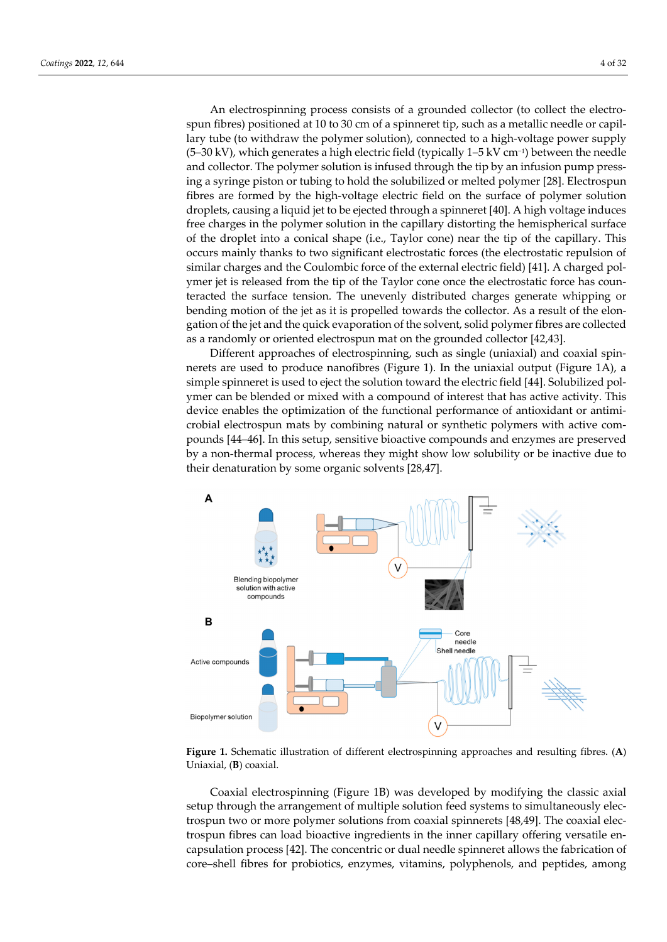An electrospinning process consists of a grounded collector (to collect the electrospun fibres) positioned at 10 to 30 cm of a spinneret tip, such as a metallic needle or capillary tube (to withdraw the polymer solution), connected to a high-voltage power supply (5–30 kV), which generates a high electric field (typically 1–5 kV cm−1) between the needle and collector. The polymer solution is infused through the tip by an infusion pump pressing a syringe piston or tubing to hold the solubilized or melted polymer [28]. Electrospun fibres are formed by the high-voltage electric field on the surface of polymer solution droplets, causing a liquid jet to be ejected through a spinneret [40]. A high voltage induces free charges in the polymer solution in the capillary distorting the hemispherical surface of the droplet into a conical shape (i.e., Taylor cone) near the tip of the capillary. This occurs mainly thanks to two significant electrostatic forces (the electrostatic repulsion of similar charges and the Coulombic force of the external electric field) [41]. A charged polymer jet is released from the tip of the Taylor cone once the electrostatic force has counteracted the surface tension. The unevenly distributed charges generate whipping or bending motion of the jet as it is propelled towards the collector. As a result of the elongation of the jet and the quick evaporation of the solvent, solid polymer fibres are collected as a randomly or oriented electrospun mat on the grounded collector [42,43].

Different approaches of electrospinning, such as single (uniaxial) and coaxial spinnerets are used to produce nanofibres (Figure 1). In the uniaxial output (Figure 1A), a simple spinneret is used to eject the solution toward the electric field [44]. Solubilized polymer can be blended or mixed with a compound of interest that has active activity. This device enables the optimization of the functional performance of antioxidant or antimicrobial electrospun mats by combining natural or synthetic polymers with active compounds [44–46]. In this setup, sensitive bioactive compounds and enzymes are preserved by a non-thermal process, whereas they might show low solubility or be inactive due to their denaturation by some organic solvents [28,47].



**Figure 1.** Schematic illustration of different electrospinning approaches and resulting fibres. (**A**) Uniaxial, (**B**) coaxial.

Coaxial electrospinning (Figure 1B) was developed by modifying the classic axial setup through the arrangement of multiple solution feed systems to simultaneously electrospun two or more polymer solutions from coaxial spinnerets [48,49]. The coaxial electrospun fibres can load bioactive ingredients in the inner capillary offering versatile encapsulation process [42]. The concentric or dual needle spinneret allows the fabrication of core–shell fibres for probiotics, enzymes, vitamins, polyphenols, and peptides, among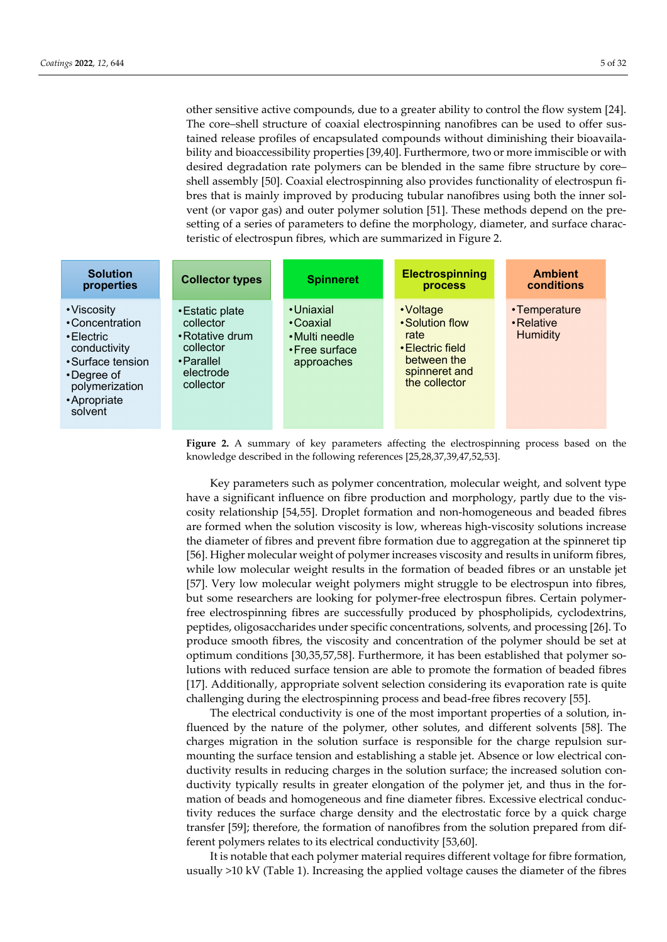other sensitive active compounds, due to a greater ability to control the flow system [24]. The core–shell structure of coaxial electrospinning nanofibres can be used to offer sustained release profiles of encapsulated compounds without diminishing their bioavailability and bioaccessibility properties [39,40]. Furthermore, two or more immiscible or with desired degradation rate polymers can be blended in the same fibre structure by core– shell assembly [50]. Coaxial electrospinning also provides functionality of electrospun fibres that is mainly improved by producing tubular nanofibres using both the inner solvent (or vapor gas) and outer polymer solution [51]. These methods depend on the presetting of a series of parameters to define the morphology, diameter, and surface characteristic of electrospun fibres, which are summarized in Figure 2.

| <b>Solution</b><br>properties                                                                                                                             | <b>Collector types</b>                                                                               | <b>Spinneret</b>                                                          | <b>Electrospinning</b><br>process                                                                         | <b>Ambient</b><br>conditions                  |
|-----------------------------------------------------------------------------------------------------------------------------------------------------------|------------------------------------------------------------------------------------------------------|---------------------------------------------------------------------------|-----------------------------------------------------------------------------------------------------------|-----------------------------------------------|
| • Viscosity<br>• Concentration<br>$\cdot$ Electric<br>conductivity<br>• Surface tension<br>$\cdot$ Degree of<br>polymerization<br>• Apropriate<br>solvent | • Estatic plate<br>collector<br>• Rotative drum<br>collector<br>• Parallel<br>electrode<br>collector | • Uniaxial<br>• Coaxial<br>• Multi needle<br>• Free surface<br>approaches | • Voltage<br>• Solution flow<br>rate<br>• Electric field<br>between the<br>spinneret and<br>the collector | •Temperature<br>• Relative<br><b>Humidity</b> |

**Figure 2.** A summary of key parameters affecting the electrospinning process based on the knowledge described in the following references [25,28,37,39,47,52,53].

Key parameters such as polymer concentration, molecular weight, and solvent type have a significant influence on fibre production and morphology, partly due to the viscosity relationship [54,55]. Droplet formation and non-homogeneous and beaded fibres are formed when the solution viscosity is low, whereas high-viscosity solutions increase the diameter of fibres and prevent fibre formation due to aggregation at the spinneret tip [56]. Higher molecular weight of polymer increases viscosity and results in uniform fibres, while low molecular weight results in the formation of beaded fibres or an unstable jet [57]. Very low molecular weight polymers might struggle to be electrospun into fibres, but some researchers are looking for polymer-free electrospun fibres. Certain polymerfree electrospinning fibres are successfully produced by phospholipids, cyclodextrins, peptides, oligosaccharides under specific concentrations, solvents, and processing [26]. To produce smooth fibres, the viscosity and concentration of the polymer should be set at optimum conditions [30,35,57,58]. Furthermore, it has been established that polymer solutions with reduced surface tension are able to promote the formation of beaded fibres [17]. Additionally, appropriate solvent selection considering its evaporation rate is quite challenging during the electrospinning process and bead-free fibres recovery [55].

The electrical conductivity is one of the most important properties of a solution, influenced by the nature of the polymer, other solutes, and different solvents [58]. The charges migration in the solution surface is responsible for the charge repulsion surmounting the surface tension and establishing a stable jet. Absence or low electrical conductivity results in reducing charges in the solution surface; the increased solution conductivity typically results in greater elongation of the polymer jet, and thus in the formation of beads and homogeneous and fine diameter fibres. Excessive electrical conductivity reduces the surface charge density and the electrostatic force by a quick charge transfer [59]; therefore, the formation of nanofibres from the solution prepared from different polymers relates to its electrical conductivity [53,60].

It is notable that each polymer material requires different voltage for fibre formation, usually >10 kV (Table 1). Increasing the applied voltage causes the diameter of the fibres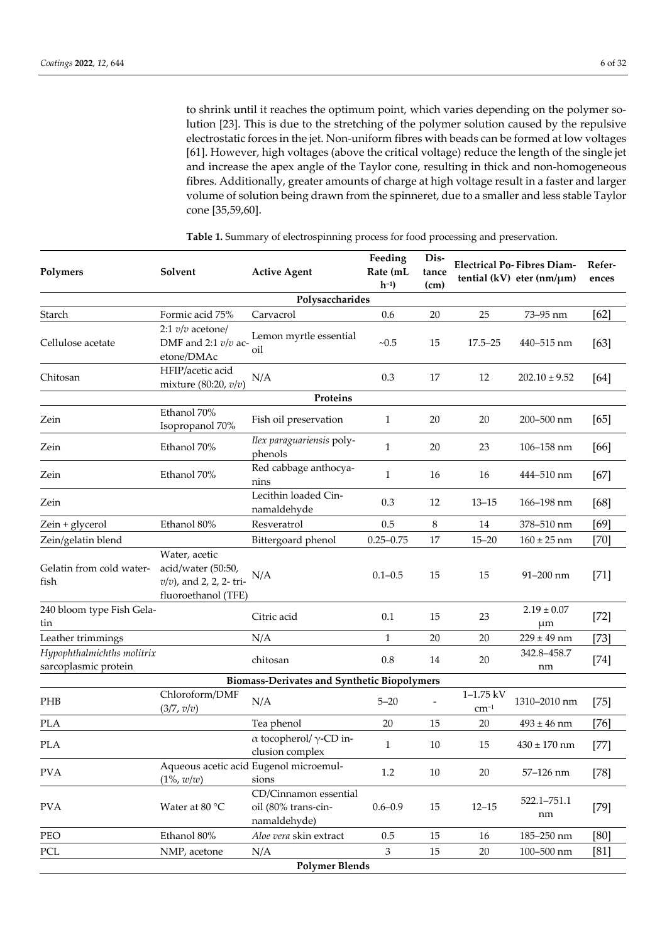to shrink until it reaches the optimum point, which varies depending on the polymer solution [23]. This is due to the stretching of the polymer solution caused by the repulsive electrostatic forces in the jet. Non-uniform fibres with beads can be formed at low voltages [61]. However, high voltages (above the critical voltage) reduce the length of the single jet and increase the apex angle of the Taylor cone, resulting in thick and non-homogeneous fibres. Additionally, greater amounts of charge at high voltage result in a faster and larger volume of solution being drawn from the spinneret, due to a smaller and less stable Taylor cone [35,59,60].

| Polymers                                           | Solvent                                                                                 | <b>Active Agent</b>                                          | Feeding<br>Rate (mL<br>$h^{-1}$ | Dis-<br><b>Electrical Po-Fibres Diam-</b><br>tance<br>tential (kV) eter (nm/ $\mu$ m)<br>(cm) |                                |                       | Refer-<br>ences |  |  |
|----------------------------------------------------|-----------------------------------------------------------------------------------------|--------------------------------------------------------------|---------------------------------|-----------------------------------------------------------------------------------------------|--------------------------------|-----------------------|-----------------|--|--|
| Polysaccharides                                    |                                                                                         |                                                              |                                 |                                                                                               |                                |                       |                 |  |  |
| Starch                                             | Formic acid 75%                                                                         | Carvacrol                                                    | 0.6                             | $20\,$                                                                                        | 25                             | 73-95 nm              | [62]            |  |  |
| Cellulose acetate                                  | 2:1 $v/v$ acetone/<br>DMF and 2:1 $v/v$ ac-<br>etone/DMAc                               | Lemon myrtle essential<br>oil                                | $-0.5$                          | 15                                                                                            | $17.5 - 25$                    | 440-515 nm            | [63]            |  |  |
| Chitosan                                           | HFIP/acetic acid<br>mixture (80:20, $v/v$ )                                             | N/A                                                          | 0.3                             | 17                                                                                            | 12                             | $202.10 \pm 9.52$     | [64]            |  |  |
|                                                    |                                                                                         | Proteins                                                     |                                 |                                                                                               |                                |                       |                 |  |  |
| Zein                                               | Ethanol 70%<br>Isopropanol 70%                                                          | Fish oil preservation                                        | $\mathbf{1}$                    | 20                                                                                            | 20                             | 200-500 nm            | [65]            |  |  |
| Zein                                               | Ethanol 70%                                                                             | Ilex paraguariensis poly-<br>phenols                         | $\mathbf{1}$                    | 20                                                                                            | 23                             | 106-158 nm            | [66]            |  |  |
| Zein                                               | Ethanol 70%                                                                             | Red cabbage anthocya-<br>nins                                | $\mathbf{1}$                    | 16                                                                                            | 16                             | 444-510 nm            | $[67]$          |  |  |
| Zein                                               |                                                                                         | Lecithin loaded Cin-<br>namaldehyde                          | 0.3                             | 12                                                                                            | $13 - 15$                      | 166-198 nm            | $[68]$          |  |  |
| Zein + glycerol                                    | Ethanol 80%                                                                             | Resveratrol                                                  | 0.5                             | $\,8\,$                                                                                       | 14                             | 378-510 nm            | [69]            |  |  |
| Zein/gelatin blend                                 |                                                                                         | Bittergoard phenol                                           | $0.25 - 0.75$                   | 17                                                                                            | $15 - 20$                      | $160 \pm 25$ nm       | $[70]$          |  |  |
| Gelatin from cold water-<br>fish                   | Water, acetic<br>acid/water (50:50,<br>$v/v$ ), and 2, 2, 2-tri-<br>fluoroethanol (TFE) | N/A                                                          | $0.1 - 0.5$                     | 15                                                                                            | 15                             | 91-200 nm             | $[71]$          |  |  |
| 240 bloom type Fish Gela-<br>tin                   |                                                                                         | Citric acid                                                  | 0.1                             | 15                                                                                            | 23                             | $2.19 \pm 0.07$<br>μm | $[72]$          |  |  |
| Leather trimmings                                  |                                                                                         | N/A                                                          | $\mathbf{1}$                    | 20                                                                                            | 20                             | $229 \pm 49$ nm       | $[73]$          |  |  |
| Hypophthalmichths molitrix<br>sarcoplasmic protein |                                                                                         | chitosan                                                     | 0.8                             | 14                                                                                            | 20                             | 342.8-458.7<br>nm     | $[74]$          |  |  |
|                                                    |                                                                                         | <b>Biomass-Derivates and Synthetic Biopolymers</b>           |                                 |                                                                                               |                                |                       |                 |  |  |
| PHB                                                | Chloroform/DMF<br>(3/7, v/v)                                                            | N/A                                                          | $5 - 20$                        |                                                                                               | $1 - 1.75$ kV<br>$\rm cm^{-1}$ | 1310-2010 nm          | $[75]$          |  |  |
| <b>PLA</b>                                         |                                                                                         | Tea phenol                                                   | 20                              | 15                                                                                            | 20                             | $493 \pm 46$ nm       | [76]            |  |  |
| <b>PLA</b>                                         |                                                                                         | $\alpha$ tocopherol/ $\gamma$ -CD in-<br>clusion complex     | $\mathbf{1}$                    | 10                                                                                            | 15                             | $430 \pm 170$ nm      | $[77]$          |  |  |
| <b>PVA</b>                                         | $(1\%, w/w)$                                                                            | Aqueous acetic acid Eugenol microemul-<br>sions              | $1.2\,$                         | $10\,$                                                                                        | $20\,$                         | 57-126 nm             | $[78]$          |  |  |
| <b>PVA</b>                                         | Water at 80 $^{\circ}$ C                                                                | CD/Cinnamon essential<br>oil (80% trans-cin-<br>namaldehyde) | $0.6 - 0.9$                     | 15                                                                                            | $12 - 15$                      | 522.1-751.1<br>nm     | $[79]$          |  |  |
| PEO                                                | Ethanol 80%                                                                             | Aloe vera skin extract                                       | 0.5                             | 15                                                                                            | 16                             | 185-250 nm            | [80]            |  |  |
| PCL                                                | NMP, acetone                                                                            | N/A                                                          | 3                               | 15                                                                                            | 20                             | 100-500 nm            | [81]            |  |  |
|                                                    |                                                                                         | <b>Polymer Blends</b>                                        |                                 |                                                                                               |                                |                       |                 |  |  |

**Table 1.** Summary of electrospinning process for food processing and preservation.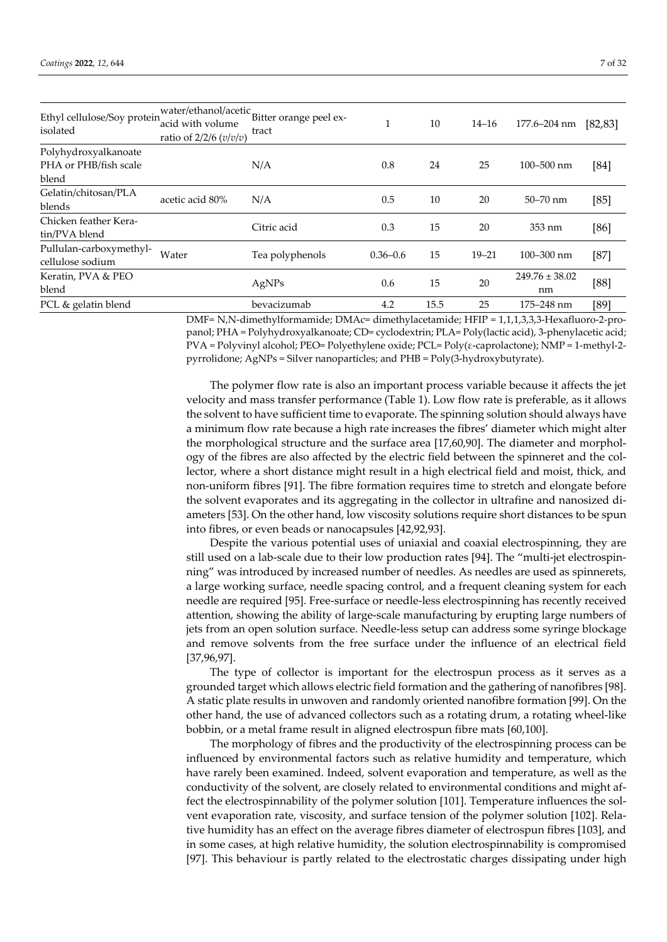| Ethyl cellulose/Soy protein<br>isolated                | ratio of $2/2/6$ ( $v/v/v$ ) | water/ethanol/acetic Bitter orange peel ex-<br>tract | л            | 10   | $14 - 16$ | 177.6-204 nm             | [82, 83] |
|--------------------------------------------------------|------------------------------|------------------------------------------------------|--------------|------|-----------|--------------------------|----------|
| Polyhydroxyalkanoate<br>PHA or PHB/fish scale<br>blend |                              | N/A                                                  | 0.8          | 24   | 25        | $100 - 500$ nm           | [84]     |
| Gelatin/chitosan/PLA<br>blends                         | acetic acid 80%              | N/A                                                  | 0.5          | 10   | 20        | $50 - 70$ nm             | [85]     |
| Chicken feather Kera-<br>tin/PVA blend                 |                              | Citric acid                                          | 0.3          | 15   | 20        | 353 nm                   | [86]     |
| Pullulan-carboxymethyl-<br>cellulose sodium            | Water                        | Tea polyphenols                                      | $0.36 - 0.6$ | 15   | $19 - 21$ | $100 - 300$ nm           | $[87]$   |
| Keratin, PVA & PEO<br>blend                            |                              | AgNPs                                                | 0.6          | 15   | 20        | $249.76 \pm 38.02$<br>nm | [88]     |
| PCL & gelatin blend                                    |                              | bevacizumab                                          | 4.2          | 15.5 | 25        | 175-248 nm               | [89]     |

DMF= N,N-dimethylformamide; DMAc= dimethylacetamide; HFIP = 1,1,1,3,3,3-Hexafluoro-2-propanol; PHA = Polyhydroxyalkanoate; CD= cyclodextrin; PLA= Poly(lactic acid), 3-phenylacetic acid; PVA = Polyvinyl alcohol; PEO= Polyethylene oxide; PCL= Poly( $\varepsilon$ -caprolactone); NMP = 1-methyl-2pyrrolidone; AgNPs = Silver nanoparticles; and PHB = Poly(3-hydroxybutyrate).

The polymer flow rate is also an important process variable because it affects the jet velocity and mass transfer performance (Table 1). Low flow rate is preferable, as it allows the solvent to have sufficient time to evaporate. The spinning solution should always have a minimum flow rate because a high rate increases the fibres' diameter which might alter the morphological structure and the surface area [17,60,90]. The diameter and morphology of the fibres are also affected by the electric field between the spinneret and the collector, where a short distance might result in a high electrical field and moist, thick, and non-uniform fibres [91]. The fibre formation requires time to stretch and elongate before the solvent evaporates and its aggregating in the collector in ultrafine and nanosized diameters [53]. On the other hand, low viscosity solutions require short distances to be spun into fibres, or even beads or nanocapsules [42,92,93].

Despite the various potential uses of uniaxial and coaxial electrospinning, they are still used on a lab-scale due to their low production rates [94]. The "multi-jet electrospinning" was introduced by increased number of needles. As needles are used as spinnerets, a large working surface, needle spacing control, and a frequent cleaning system for each needle are required [95]. Free-surface or needle-less electrospinning has recently received attention, showing the ability of large-scale manufacturing by erupting large numbers of jets from an open solution surface. Needle-less setup can address some syringe blockage and remove solvents from the free surface under the influence of an electrical field [37,96,97].

The type of collector is important for the electrospun process as it serves as a grounded target which allows electric field formation and the gathering of nanofibres [98]. A static plate results in unwoven and randomly oriented nanofibre formation [99]. On the other hand, the use of advanced collectors such as a rotating drum, a rotating wheel-like bobbin, or a metal frame result in aligned electrospun fibre mats [60,100].

The morphology of fibres and the productivity of the electrospinning process can be influenced by environmental factors such as relative humidity and temperature, which have rarely been examined. Indeed, solvent evaporation and temperature, as well as the conductivity of the solvent, are closely related to environmental conditions and might affect the electrospinnability of the polymer solution [101]. Temperature influences the solvent evaporation rate, viscosity, and surface tension of the polymer solution [102]. Relative humidity has an effect on the average fibres diameter of electrospun fibres [103], and in some cases, at high relative humidity, the solution electrospinnability is compromised [97]. This behaviour is partly related to the electrostatic charges dissipating under high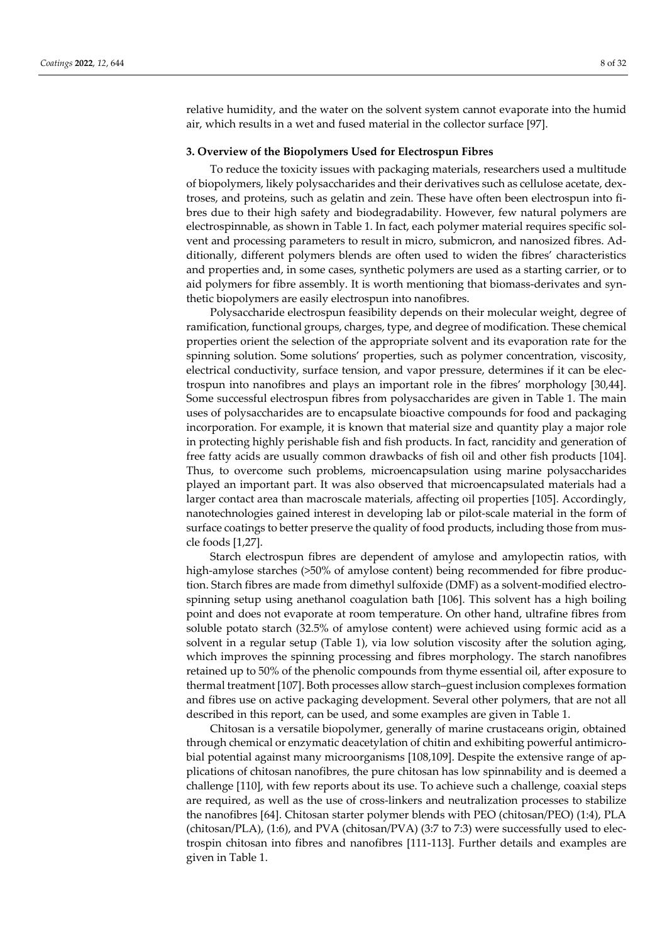relative humidity, and the water on the solvent system cannot evaporate into the humid air, which results in a wet and fused material in the collector surface [97].

### **3. Overview of the Biopolymers Used for Electrospun Fibres**

To reduce the toxicity issues with packaging materials, researchers used a multitude of biopolymers, likely polysaccharides and their derivatives such as cellulose acetate, dextroses, and proteins, such as gelatin and zein. These have often been electrospun into fibres due to their high safety and biodegradability. However, few natural polymers are electrospinnable, as shown in Table 1. In fact, each polymer material requires specific solvent and processing parameters to result in micro, submicron, and nanosized fibres. Additionally, different polymers blends are often used to widen the fibres' characteristics and properties and, in some cases, synthetic polymers are used as a starting carrier, or to aid polymers for fibre assembly. It is worth mentioning that biomass-derivates and synthetic biopolymers are easily electrospun into nanofibres.

Polysaccharide electrospun feasibility depends on their molecular weight, degree of ramification, functional groups, charges, type, and degree of modification. These chemical properties orient the selection of the appropriate solvent and its evaporation rate for the spinning solution. Some solutions' properties, such as polymer concentration, viscosity, electrical conductivity, surface tension, and vapor pressure, determines if it can be electrospun into nanofibres and plays an important role in the fibres' morphology [30,44]. Some successful electrospun fibres from polysaccharides are given in Table 1. The main uses of polysaccharides are to encapsulate bioactive compounds for food and packaging incorporation. For example, it is known that material size and quantity play a major role in protecting highly perishable fish and fish products. In fact, rancidity and generation of free fatty acids are usually common drawbacks of fish oil and other fish products [104]. Thus, to overcome such problems, microencapsulation using marine polysaccharides played an important part. It was also observed that microencapsulated materials had a larger contact area than macroscale materials, affecting oil properties [105]. Accordingly, nanotechnologies gained interest in developing lab or pilot-scale material in the form of surface coatings to better preserve the quality of food products, including those from muscle foods [1,27].

Starch electrospun fibres are dependent of amylose and amylopectin ratios, with high-amylose starches (>50% of amylose content) being recommended for fibre production. Starch fibres are made from dimethyl sulfoxide (DMF) as a solvent-modified electrospinning setup using anethanol coagulation bath [106]. This solvent has a high boiling point and does not evaporate at room temperature. On other hand, ultrafine fibres from soluble potato starch (32.5% of amylose content) were achieved using formic acid as a solvent in a regular setup (Table 1), via low solution viscosity after the solution aging, which improves the spinning processing and fibres morphology. The starch nanofibres retained up to 50% of the phenolic compounds from thyme essential oil, after exposure to thermal treatment [107]. Both processes allow starch–guest inclusion complexes formation and fibres use on active packaging development. Several other polymers, that are not all described in this report, can be used, and some examples are given in Table 1.

Chitosan is a versatile biopolymer, generally of marine crustaceans origin, obtained through chemical or enzymatic deacetylation of chitin and exhibiting powerful antimicrobial potential against many microorganisms [108,109]. Despite the extensive range of applications of chitosan nanofibres, the pure chitosan has low spinnability and is deemed a challenge [110], with few reports about its use. To achieve such a challenge, coaxial steps are required, as well as the use of cross-linkers and neutralization processes to stabilize the nanofibres [64]. Chitosan starter polymer blends with PEO (chitosan/PEO) (1:4), PLA (chitosan/PLA), (1:6), and PVA (chitosan/PVA) (3:7 to 7:3) were successfully used to electrospin chitosan into fibres and nanofibres [111-113]. Further details and examples are given in Table 1.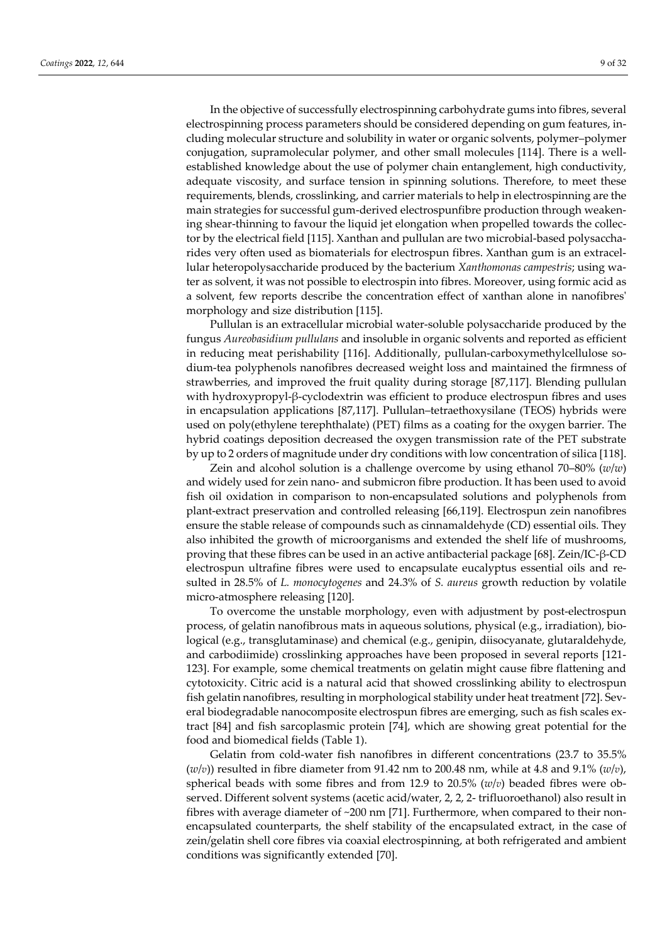In the objective of successfully electrospinning carbohydrate gums into fibres, several electrospinning process parameters should be considered depending on gum features, including molecular structure and solubility in water or organic solvents, polymer–polymer conjugation, supramolecular polymer, and other small molecules [114]. There is a wellestablished knowledge about the use of polymer chain entanglement, high conductivity, adequate viscosity, and surface tension in spinning solutions. Therefore, to meet these requirements, blends, crosslinking, and carrier materials to help in electrospinning are the main strategies for successful gum-derived electrospunfibre production through weakening shear-thinning to favour the liquid jet elongation when propelled towards the collector by the electrical field [115]. Xanthan and pullulan are two microbial-based polysaccharides very often used as biomaterials for electrospun fibres. Xanthan gum is an extracellular heteropolysaccharide produced by the bacterium *Xanthomonas campestris*; using water as solvent, it was not possible to electrospin into fibres. Moreover, using formic acid as a solvent, few reports describe the concentration effect of xanthan alone in nanofibres' morphology and size distribution [115].

Pullulan is an extracellular microbial water-soluble polysaccharide produced by the fungus *Aureobasidium pullulans* and insoluble in organic solvents and reported as efficient in reducing meat perishability [116]. Additionally, pullulan-carboxymethylcellulose sodium-tea polyphenols nanofibres decreased weight loss and maintained the firmness of strawberries, and improved the fruit quality during storage [87,117]. Blending pullulan with hydroxypropyl-β-cyclodextrin was efficient to produce electrospun fibres and uses in encapsulation applications [87,117]. Pullulan–tetraethoxysilane (TEOS) hybrids were used on poly(ethylene terephthalate) (PET) films as a coating for the oxygen barrier. The hybrid coatings deposition decreased the oxygen transmission rate of the PET substrate by up to 2 orders of magnitude under dry conditions with low concentration of silica [118].

Zein and alcohol solution is a challenge overcome by using ethanol 70–80% (*w*/*w*) and widely used for zein nano- and submicron fibre production. It has been used to avoid fish oil oxidation in comparison to non-encapsulated solutions and polyphenols from plant-extract preservation and controlled releasing [66,119]. Electrospun zein nanofibres ensure the stable release of compounds such as cinnamaldehyde (CD) essential oils. They also inhibited the growth of microorganisms and extended the shelf life of mushrooms, proving that these fibres can be used in an active antibacterial package [68]. Zein/IC-β-CD electrospun ultrafine fibres were used to encapsulate eucalyptus essential oils and resulted in 28.5% of *L. monocytogenes* and 24.3% of *S. aureus* growth reduction by volatile micro-atmosphere releasing [120].

To overcome the unstable morphology, even with adjustment by post-electrospun process, of gelatin nanofibrous mats in aqueous solutions, physical (e.g., irradiation), biological (e.g., transglutaminase) and chemical (e.g., genipin, diisocyanate, glutaraldehyde, and carbodiimide) crosslinking approaches have been proposed in several reports [121- 123]. For example, some chemical treatments on gelatin might cause fibre flattening and cytotoxicity. Citric acid is a natural acid that showed crosslinking ability to electrospun fish gelatin nanofibres, resulting in morphological stability under heat treatment [72]. Several biodegradable nanocomposite electrospun fibres are emerging, such as fish scales extract [84] and fish sarcoplasmic protein [74], which are showing great potential for the food and biomedical fields (Table 1).

Gelatin from cold-water fish nanofibres in different concentrations (23.7 to 35.5%  $(w/v)$ ) resulted in fibre diameter from 91.42 nm to 200.48 nm, while at 4.8 and 9.1%  $(w/v)$ , spherical beads with some fibres and from 12.9 to 20.5% (*w*/*v*) beaded fibres were observed. Different solvent systems (acetic acid/water, 2, 2, 2- trifluoroethanol) also result in fibres with average diameter of  $\sim$ 200 nm [71]. Furthermore, when compared to their nonencapsulated counterparts, the shelf stability of the encapsulated extract, in the case of zein/gelatin shell core fibres via coaxial electrospinning, at both refrigerated and ambient conditions was significantly extended [70].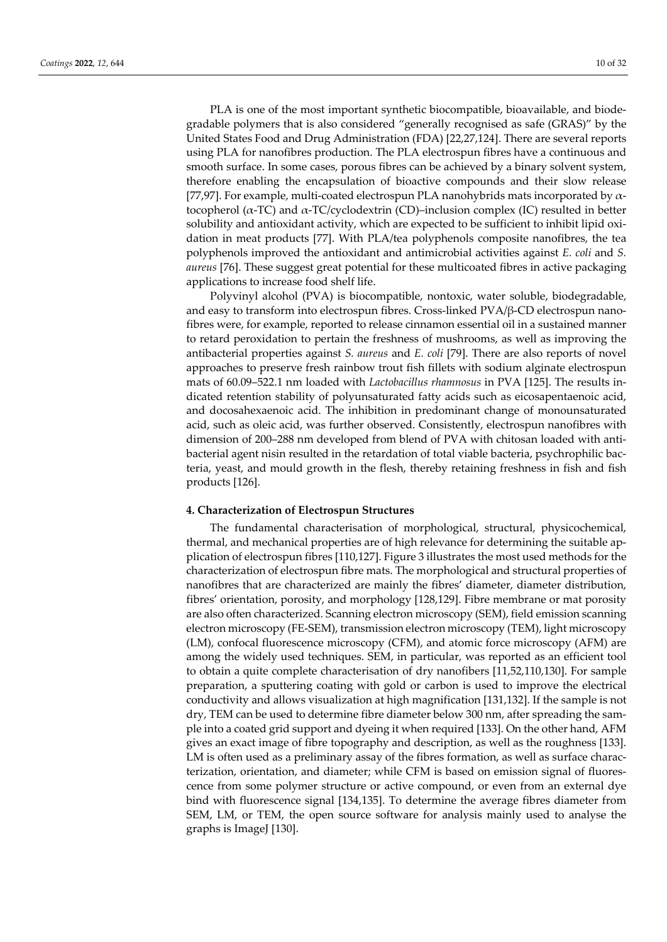PLA is one of the most important synthetic biocompatible, bioavailable, and biodegradable polymers that is also considered "generally recognised as safe (GRAS)" by the United States Food and Drug Administration (FDA) [22,27,124]. There are several reports using PLA for nanofibres production. The PLA electrospun fibres have a continuous and smooth surface. In some cases, porous fibres can be achieved by a binary solvent system, therefore enabling the encapsulation of bioactive compounds and their slow release [77,97]. For example, multi-coated electrospun PLA nanohybrids mats incorporated by  $\alpha$ tocopherol ( $\alpha$ -TC) and  $\alpha$ -TC/cyclodextrin (CD)–inclusion complex (IC) resulted in better solubility and antioxidant activity, which are expected to be sufficient to inhibit lipid oxidation in meat products [77]. With PLA/tea polyphenols composite nanofibres, the tea polyphenols improved the antioxidant and antimicrobial activities against *E. coli* and *S. aureus* [76]. These suggest great potential for these multicoated fibres in active packaging applications to increase food shelf life.

Polyvinyl alcohol (PVA) is biocompatible, nontoxic, water soluble, biodegradable, and easy to transform into electrospun fibres. Cross-linked PVA/β-CD electrospun nanofibres were, for example, reported to release cinnamon essential oil in a sustained manner to retard peroxidation to pertain the freshness of mushrooms, as well as improving the antibacterial properties against *S. aureus* and *E. coli* [79]. There are also reports of novel approaches to preserve fresh rainbow trout fish fillets with sodium alginate electrospun mats of 60.09–522.1 nm loaded with *Lactobacillus rhamnosus* in PVA [125]. The results indicated retention stability of polyunsaturated fatty acids such as eicosapentaenoic acid, and docosahexaenoic acid. The inhibition in predominant change of monounsaturated acid, such as oleic acid, was further observed. Consistently, electrospun nanofibres with dimension of 200–288 nm developed from blend of PVA with chitosan loaded with antibacterial agent nisin resulted in the retardation of total viable bacteria, psychrophilic bacteria, yeast, and mould growth in the flesh, thereby retaining freshness in fish and fish products [126].

## **4. Characterization of Electrospun Structures**

The fundamental characterisation of morphological, structural, physicochemical, thermal, and mechanical properties are of high relevance for determining the suitable application of electrospun fibres [110,127]. Figure 3 illustrates the most used methods for the characterization of electrospun fibre mats. The morphological and structural properties of nanofibres that are characterized are mainly the fibres' diameter, diameter distribution, fibres' orientation, porosity, and morphology [128,129]. Fibre membrane or mat porosity are also often characterized. Scanning electron microscopy (SEM), field emission scanning electron microscopy (FE-SEM), transmission electron microscopy (TEM), light microscopy (LM), confocal fluorescence microscopy (CFM), and atomic force microscopy (AFM) are among the widely used techniques. SEM, in particular, was reported as an efficient tool to obtain a quite complete characterisation of dry nanofibers [11,52,110,130]. For sample preparation, a sputtering coating with gold or carbon is used to improve the electrical conductivity and allows visualization at high magnification [131,132]. If the sample is not dry, TEM can be used to determine fibre diameter below 300 nm, after spreading the sample into a coated grid support and dyeing it when required [133]. On the other hand, AFM gives an exact image of fibre topography and description, as well as the roughness [133]. LM is often used as a preliminary assay of the fibres formation, as well as surface characterization, orientation, and diameter; while CFM is based on emission signal of fluorescence from some polymer structure or active compound, or even from an external dye bind with fluorescence signal [134,135]. To determine the average fibres diameter from SEM, LM, or TEM, the open source software for analysis mainly used to analyse the graphs is ImageJ [130].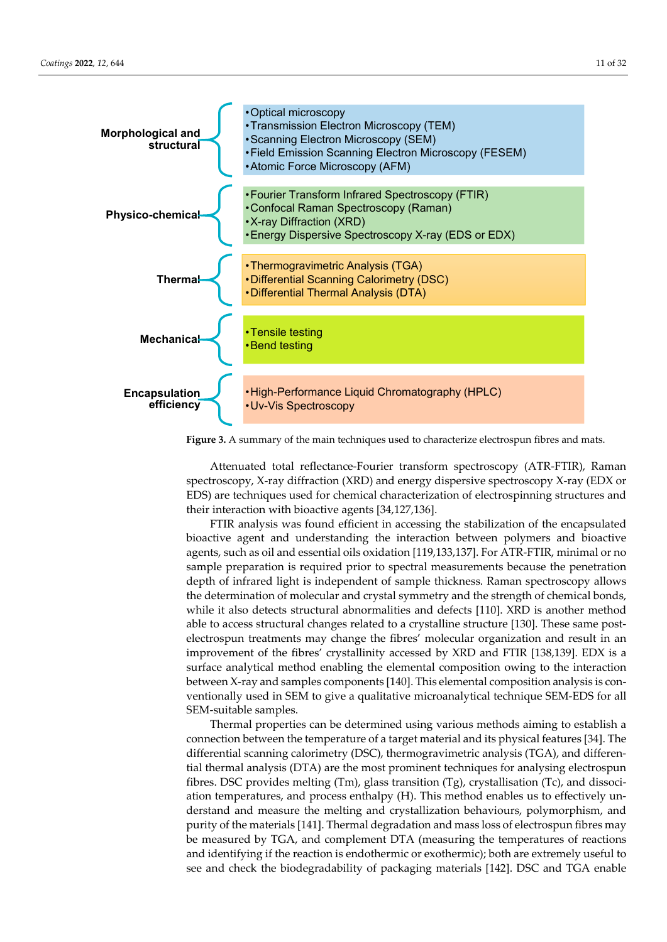

**Figure 3.** A summary of the main techniques used to characterize electrospun fibres and mats.

Attenuated total reflectance-Fourier transform spectroscopy (ATR-FTIR), Raman spectroscopy, X-ray diffraction (XRD) and energy dispersive spectroscopy X-ray (EDX or EDS) are techniques used for chemical characterization of electrospinning structures and their interaction with bioactive agents [34,127,136].

FTIR analysis was found efficient in accessing the stabilization of the encapsulated bioactive agent and understanding the interaction between polymers and bioactive agents, such as oil and essential oils oxidation [119,133,137]. For ATR-FTIR, minimal or no sample preparation is required prior to spectral measurements because the penetration depth of infrared light is independent of sample thickness. Raman spectroscopy allows the determination of molecular and crystal symmetry and the strength of chemical bonds, while it also detects structural abnormalities and defects [110]. XRD is another method able to access structural changes related to a crystalline structure [130]. These same postelectrospun treatments may change the fibres' molecular organization and result in an improvement of the fibres' crystallinity accessed by XRD and FTIR [138,139]. EDX is a surface analytical method enabling the elemental composition owing to the interaction between X-ray and samples components [140]. This elemental composition analysis is conventionally used in SEM to give a qualitative microanalytical technique SEM-EDS for all SEM-suitable samples.

Thermal properties can be determined using various methods aiming to establish a connection between the temperature of a target material and its physical features [34]. The differential scanning calorimetry (DSC), thermogravimetric analysis (TGA), and differential thermal analysis (DTA) are the most prominent techniques for analysing electrospun fibres. DSC provides melting (Tm), glass transition (Tg), crystallisation (Tc), and dissociation temperatures, and process enthalpy (H). This method enables us to effectively understand and measure the melting and crystallization behaviours, polymorphism, and purity of the materials [141]. Thermal degradation and mass loss of electrospun fibres may be measured by TGA, and complement DTA (measuring the temperatures of reactions and identifying if the reaction is endothermic or exothermic); both are extremely useful to see and check the biodegradability of packaging materials [142]. DSC and TGA enable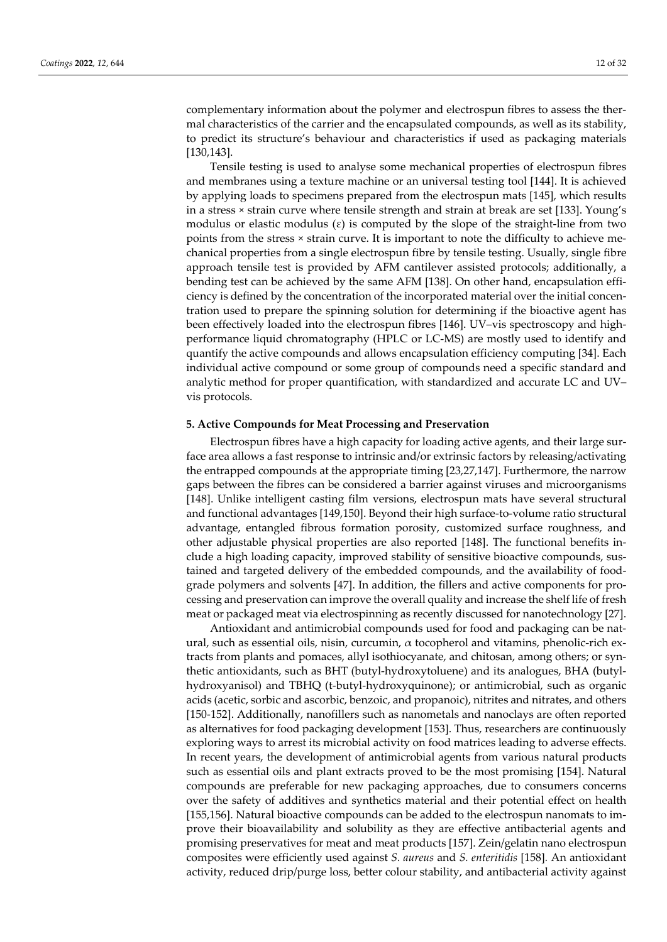complementary information about the polymer and electrospun fibres to assess the thermal characteristics of the carrier and the encapsulated compounds, as well as its stability, to predict its structure's behaviour and characteristics if used as packaging materials [130,143].

Tensile testing is used to analyse some mechanical properties of electrospun fibres and membranes using a texture machine or an universal testing tool [144]. It is achieved by applying loads to specimens prepared from the electrospun mats [145], which results in a stress × strain curve where tensile strength and strain at break are set [133]. Young's modulus or elastic modulus  $(\varepsilon)$  is computed by the slope of the straight-line from two points from the stress × strain curve. It is important to note the difficulty to achieve mechanical properties from a single electrospun fibre by tensile testing. Usually, single fibre approach tensile test is provided by AFM cantilever assisted protocols; additionally, a bending test can be achieved by the same AFM [138]. On other hand, encapsulation efficiency is defined by the concentration of the incorporated material over the initial concentration used to prepare the spinning solution for determining if the bioactive agent has been effectively loaded into the electrospun fibres [146]. UV–vis spectroscopy and highperformance liquid chromatography (HPLC or LC-MS) are mostly used to identify and quantify the active compounds and allows encapsulation efficiency computing [34]. Each individual active compound or some group of compounds need a specific standard and analytic method for proper quantification, with standardized and accurate LC and UV– vis protocols.

## **5. Active Compounds for Meat Processing and Preservation**

Electrospun fibres have a high capacity for loading active agents, and their large surface area allows a fast response to intrinsic and/or extrinsic factors by releasing/activating the entrapped compounds at the appropriate timing [23,27,147]. Furthermore, the narrow gaps between the fibres can be considered a barrier against viruses and microorganisms [148]. Unlike intelligent casting film versions, electrospun mats have several structural and functional advantages [149,150]. Beyond their high surface-to-volume ratio structural advantage, entangled fibrous formation porosity, customized surface roughness, and other adjustable physical properties are also reported [148]. The functional benefits include a high loading capacity, improved stability of sensitive bioactive compounds, sustained and targeted delivery of the embedded compounds, and the availability of foodgrade polymers and solvents [47]. In addition, the fillers and active components for processing and preservation can improve the overall quality and increase the shelf life of fresh meat or packaged meat via electrospinning as recently discussed for nanotechnology [27].

Antioxidant and antimicrobial compounds used for food and packaging can be natural, such as essential oils, nisin, curcumin,  $\alpha$  tocopherol and vitamins, phenolic-rich extracts from plants and pomaces, allyl isothiocyanate, and chitosan, among others; or synthetic antioxidants, such as BHT (butyl-hydroxytoluene) and its analogues, BHA (butylhydroxyanisol) and TBHQ (t-butyl-hydroxyquinone); or antimicrobial, such as organic acids (acetic, sorbic and ascorbic, benzoic, and propanoic), nitrites and nitrates, and others [150-152]. Additionally, nanofillers such as nanometals and nanoclays are often reported as alternatives for food packaging development [153]. Thus, researchers are continuously exploring ways to arrest its microbial activity on food matrices leading to adverse effects. In recent years, the development of antimicrobial agents from various natural products such as essential oils and plant extracts proved to be the most promising [154]. Natural compounds are preferable for new packaging approaches, due to consumers concerns over the safety of additives and synthetics material and their potential effect on health [155,156]. Natural bioactive compounds can be added to the electrospun nanomats to improve their bioavailability and solubility as they are effective antibacterial agents and promising preservatives for meat and meat products [157]. Zein/gelatin nano electrospun composites were efficiently used against *S. aureus* and *S. enteritidis* [158]*.* An antioxidant activity, reduced drip/purge loss, better colour stability, and antibacterial activity against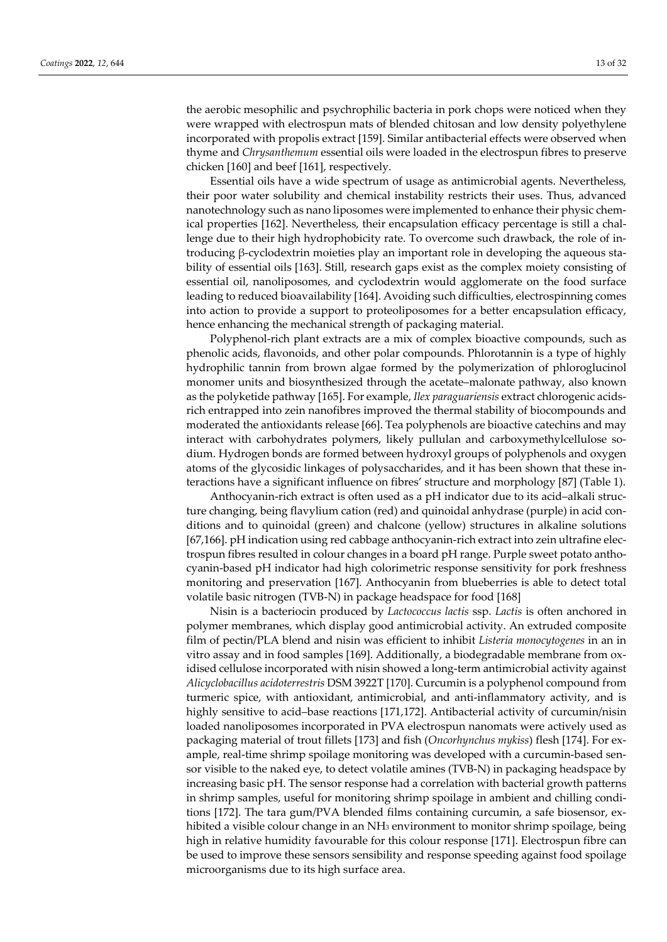the aerobic mesophilic and psychrophilic bacteria in pork chops were noticed when they were wrapped with electrospun mats of blended chitosan and low density polyethylene incorporated with propolis extract [159]. Similar antibacterial effects were observed when thyme and *Chrysanthemum* essential oils were loaded in the electrospun fibres to preserve chicken [160] and beef [161], respectively.

Essential oils have a wide spectrum of usage as antimicrobial agents. Nevertheless, their poor water solubility and chemical instability restricts their uses. Thus, advanced nanotechnology such as nano liposomes were implemented to enhance their physic chemical properties [162]. Nevertheless, their encapsulation efficacy percentage is still a challenge due to their high hydrophobicity rate. To overcome such drawback, the role of introducing β-cyclodextrin moieties play an important role in developing the aqueous stability of essential oils [163]. Still, research gaps exist as the complex moiety consisting of essential oil, nanoliposomes, and cyclodextrin would agglomerate on the food surface leading to reduced bioavailability [164]. Avoiding such difficulties, electrospinning comes into action to provide a support to proteoliposomes for a better encapsulation efficacy, hence enhancing the mechanical strength of packaging material.

Polyphenol-rich plant extracts are a mix of complex bioactive compounds, such as phenolic acids, flavonoids, and other polar compounds. Phlorotannin is a type of highly hydrophilic tannin from brown algae formed by the polymerization of phloroglucinol monomer units and biosynthesized through the acetate–malonate pathway, also known as the polyketide pathway [165]. For example, *Ilex paraguariensis* extract chlorogenic acidsrich entrapped into zein nanofibres improved the thermal stability of biocompounds and moderated the antioxidants release [66]. Tea polyphenols are bioactive catechins and may interact with carbohydrates polymers, likely pullulan and carboxymethylcellulose sodium. Hydrogen bonds are formed between hydroxyl groups of polyphenols and oxygen atoms of the glycosidic linkages of polysaccharides, and it has been shown that these interactions have a significant influence on fibres' structure and morphology [87] (Table 1).

Anthocyanin-rich extract is often used as a pH indicator due to its acid–alkali structure changing, being flavylium cation (red) and quinoidal anhydrase (purple) in acid conditions and to quinoidal (green) and chalcone (yellow) structures in alkaline solutions [67,166]. pH indication using red cabbage anthocyanin-rich extract into zein ultrafine electrospun fibres resulted in colour changes in a board pH range. Purple sweet potato anthocyanin-based pH indicator had high colorimetric response sensitivity for pork freshness monitoring and preservation [167]. Anthocyanin from blueberries is able to detect total volatile basic nitrogen (TVB-N) in package headspace for food [168]

Nisin is a bacteriocin produced by *Lactococcus lactis* ssp. *Lactis* is often anchored in polymer membranes, which display good antimicrobial activity. An extruded composite film of pectin/PLA blend and nisin was efficient to inhibit *Listeria monocytogenes* in an in vitro assay and in food samples [169]. Additionally, a biodegradable membrane from oxidised cellulose incorporated with nisin showed a long-term antimicrobial activity against *Alicyclobacillus acidoterrestris* DSM 3922T [170]. Curcumin is a polyphenol compound from turmeric spice, with antioxidant, antimicrobial, and anti-inflammatory activity, and is highly sensitive to acid–base reactions [171,172]. Antibacterial activity of curcumin/nisin loaded nanoliposomes incorporated in PVA electrospun nanomats were actively used as packaging material of trout fillets [173] and fish (*Oncorhynchus mykiss*) flesh [174]. For example, real-time shrimp spoilage monitoring was developed with a curcumin-based sensor visible to the naked eye, to detect volatile amines (TVB-N) in packaging headspace by increasing basic pH. The sensor response had a correlation with bacterial growth patterns in shrimp samples, useful for monitoring shrimp spoilage in ambient and chilling conditions [172]. The tara gum/PVA blended films containing curcumin, a safe biosensor, exhibited a visible colour change in an NH3 environment to monitor shrimp spoilage, being high in relative humidity favourable for this colour response [171]. Electrospun fibre can be used to improve these sensors sensibility and response speeding against food spoilage microorganisms due to its high surface area.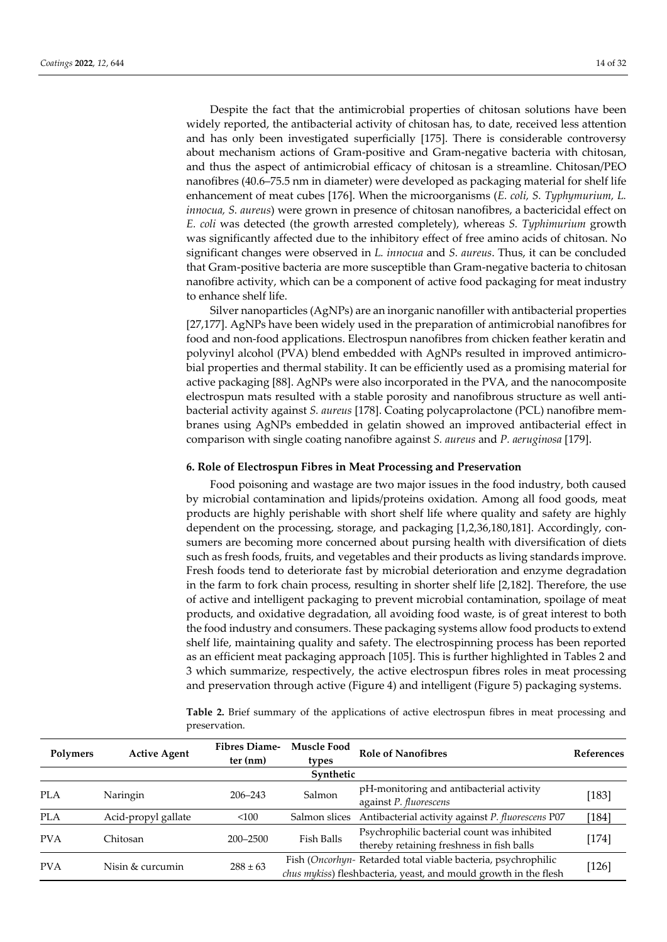Despite the fact that the antimicrobial properties of chitosan solutions have been widely reported, the antibacterial activity of chitosan has, to date, received less attention and has only been investigated superficially [175]. There is considerable controversy about mechanism actions of Gram-positive and Gram-negative bacteria with chitosan, and thus the aspect of antimicrobial efficacy of chitosan is a streamline. Chitosan/PEO nanofibres (40.6–75.5 nm in diameter) were developed as packaging material for shelf life enhancement of meat cubes [176]. When the microorganisms (*E. coli, S. Typhymurium, L. innocua, S. aureus*) were grown in presence of chitosan nanofibres, a bactericidal effect on *E. coli* was detected (the growth arrested completely), whereas *S. Typhimurium* growth was significantly affected due to the inhibitory effect of free amino acids of chitosan. No significant changes were observed in *L. innocua* and *S. aureus*. Thus, it can be concluded that Gram-positive bacteria are more susceptible than Gram-negative bacteria to chitosan nanofibre activity, which can be a component of active food packaging for meat industry to enhance shelf life.

Silver nanoparticles (AgNPs) are an inorganic nanofiller with antibacterial properties [27,177]. AgNPs have been widely used in the preparation of antimicrobial nanofibres for food and non-food applications. Electrospun nanofibres from chicken feather keratin and polyvinyl alcohol (PVA) blend embedded with AgNPs resulted in improved antimicrobial properties and thermal stability. It can be efficiently used as a promising material for active packaging [88]. AgNPs were also incorporated in the PVA, and the nanocomposite electrospun mats resulted with a stable porosity and nanofibrous structure as well antibacterial activity against *S. aureus* [178]. Coating polycaprolactone (PCL) nanofibre membranes using AgNPs embedded in gelatin showed an improved antibacterial effect in comparison with single coating nanofibre against *S. aureus* and *P. aeruginosa* [179].

#### **6. Role of Electrospun Fibres in Meat Processing and Preservation**

Food poisoning and wastage are two major issues in the food industry, both caused by microbial contamination and lipids/proteins oxidation. Among all food goods, meat products are highly perishable with short shelf life where quality and safety are highly dependent on the processing, storage, and packaging [1,2,36,180,181]. Accordingly, consumers are becoming more concerned about pursing health with diversification of diets such as fresh foods, fruits, and vegetables and their products as living standards improve. Fresh foods tend to deteriorate fast by microbial deterioration and enzyme degradation in the farm to fork chain process, resulting in shorter shelf life [2,182]. Therefore, the use of active and intelligent packaging to prevent microbial contamination, spoilage of meat products, and oxidative degradation, all avoiding food waste, is of great interest to both the food industry and consumers. These packaging systems allow food products to extend shelf life, maintaining quality and safety. The electrospinning process has been reported as an efficient meat packaging approach [105]. This is further highlighted in Tables 2 and 3 which summarize, respectively, the active electrospun fibres roles in meat processing and preservation through active (Figure 4) and intelligent (Figure 5) packaging systems.

**Table 2.** Brief summary of the applications of active electrospun fibres in meat processing and preservation.

| Polymers   | <b>Active Agent</b> | <b>Fibres Diame-</b><br>$ter$ (nm) | <b>Muscle Food</b><br>types | <b>Role of Nanofibres</b>                                                                                                        | <b>References</b> |
|------------|---------------------|------------------------------------|-----------------------------|----------------------------------------------------------------------------------------------------------------------------------|-------------------|
|            |                     |                                    | Synthetic                   |                                                                                                                                  |                   |
| <b>PLA</b> | Naringin            | $206 - 243$                        | Salmon                      | pH-monitoring and antibacterial activity<br>against P. fluorescens                                                               | $[183]$           |
| <b>PLA</b> | Acid-propyl gallate | < 100                              | Salmon slices               | Antibacterial activity against P. fluorescens P07                                                                                | $[184]$           |
| <b>PVA</b> | Chitosan            | $200 - 2500$                       | Fish Balls                  | Psychrophilic bacterial count was inhibited<br>thereby retaining freshness in fish balls                                         | [174]             |
| <b>PVA</b> | Nisin & curcumin    | $288 \pm 63$                       |                             | Fish (Oncorhyn-Retarded total viable bacteria, psychrophilic<br>chus mykiss) fleshbacteria, yeast, and mould growth in the flesh | [126]             |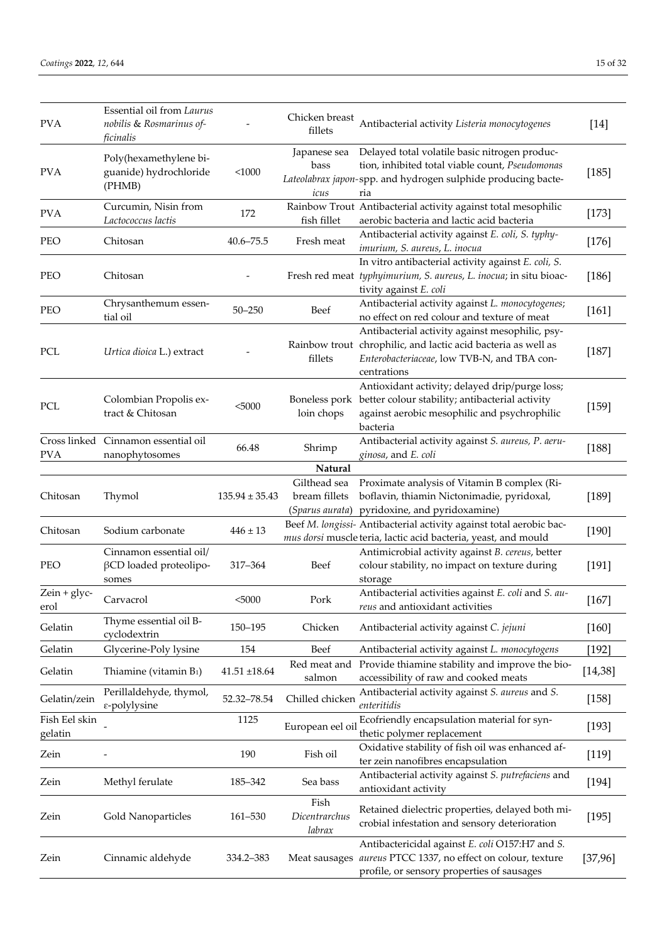| <b>PVA</b>               | Essential oil from Laurus<br>nobilis & Rosmarinus of-<br>ficinalis |                    | Chicken breast<br>fillets                        | Antibacterial activity Listeria monocytogenes                                                                                                                                  | $[14]$   |
|--------------------------|--------------------------------------------------------------------|--------------------|--------------------------------------------------|--------------------------------------------------------------------------------------------------------------------------------------------------------------------------------|----------|
| <b>PVA</b>               | Poly(hexamethylene bi-<br>guanide) hydrochloride<br>(PHMB)         | < 1000             | Japanese sea<br>bass<br>icus                     | Delayed total volatile basic nitrogen produc-<br>tion, inhibited total viable count, Pseudomonas<br>Lateolabrax japon-spp. and hydrogen sulphide producing bacte-<br>ria       | [185]    |
| <b>PVA</b>               | Curcumin, Nisin from<br>Lactococcus lactis                         | 172                | fish fillet                                      | Rainbow Trout Antibacterial activity against total mesophilic<br>aerobic bacteria and lactic acid bacteria                                                                     | $[173]$  |
| PEO                      | Chitosan                                                           | $40.6 - 75.5$      | Fresh meat                                       | Antibacterial activity against E. coli, S. typhy-<br>imurium, S. aureus, L. inocua                                                                                             | $[176]$  |
| PEO                      | Chitosan                                                           |                    |                                                  | In vitro antibacterial activity against E. coli, S.<br>Fresh red meat typhyimurium, S. aureus, L. inocua; in situ bioac-<br>tivity against E. coli                             | $[186]$  |
| PEO                      | Chrysanthemum essen-<br>tial oil                                   | $50 - 250$         | Beef                                             | Antibacterial activity against L. monocytogenes;<br>no effect on red colour and texture of meat                                                                                | $[161]$  |
| PCL                      | Urtica dioica L.) extract                                          |                    | fillets                                          | Antibacterial activity against mesophilic, psy-<br>Rainbow trout chrophilic, and lactic acid bacteria as well as<br>Enterobacteriaceae, low TVB-N, and TBA con-<br>centrations | $[187]$  |
| PCL                      | Colombian Propolis ex-<br>tract & Chitosan                         | $<$ 5000           | Boneless pork<br>loin chops                      | Antioxidant activity; delayed drip/purge loss;<br>better colour stability; antibacterial activity<br>against aerobic mesophilic and psychrophilic<br>bacteria                  | [159]    |
| <b>PVA</b>               | Cross linked Cinnamon essential oil<br>nanophytosomes              | 66.48              | Shrimp                                           | Antibacterial activity against S. aureus, P. aeru-<br>ginosa, and E. coli                                                                                                      | [188]    |
|                          |                                                                    |                    | Natural                                          |                                                                                                                                                                                |          |
| Chitosan                 | Thymol                                                             | $135.94 \pm 35.43$ | Gilthead sea<br>bream fillets<br>(Sparus aurata) | Proximate analysis of Vitamin B complex (Ri-<br>boflavin, thiamin Nictonimadie, pyridoxal,<br>pyridoxine, and pyridoxamine)                                                    | $[189]$  |
| Chitosan                 | Sodium carbonate                                                   | $446 \pm 13$       |                                                  | Beef M. longissi- Antibacterial activity against total aerobic bac-<br>mus dorsi muscle teria, lactic acid bacteria, yeast, and mould                                          | $[190]$  |
| PEO                      | Cinnamon essential oil/<br>$\beta$ CD loaded proteolipo-<br>somes  | 317-364            | Beef                                             | Antimicrobial activity against B. cereus, better<br>colour stability, no impact on texture during<br>storage                                                                   | [191]    |
| $Zein + glyc-$<br>erol   | Carvacrol                                                          | < 5000             | Pork                                             | Antibacterial activities against E. coli and S. au-<br>reus and antioxidant activities                                                                                         | $[167]$  |
| Gelatin                  | Thyme essential oil B-<br>cyclodextrin                             | 150-195            | Chicken                                          | Antibacterial activity against C. jejuni                                                                                                                                       | $[160]$  |
| Gelatin                  | Glycerine-Poly lysine                                              | 154                | Beef                                             | Antibacterial activity against L. monocytogens                                                                                                                                 | $[192]$  |
| Gelatin                  | Thiamine (vitamin B <sub>1</sub> )                                 | $41.51 + 18.64$    | Red meat and<br>salmon                           | Provide thiamine stability and improve the bio-<br>accessibility of raw and cooked meats                                                                                       | [14, 38] |
| Gelatin/zein             | Perillaldehyde, thymol,<br>$\varepsilon$ -polylysine               | 52.32-78.54        | Chilled chicken                                  | Antibacterial activity against S. aureus and S.<br>enteritidis                                                                                                                 | [158]    |
| Fish Eel skin<br>gelatin |                                                                    | 1125               | European eel oil                                 | Ecofriendly encapsulation material for syn-<br>thetic polymer replacement                                                                                                      | [193]    |
| Zein                     |                                                                    | 190                | Fish oil                                         | Oxidative stability of fish oil was enhanced af-<br>ter zein nanofibres encapsulation                                                                                          | [119]    |
| Zein                     | Methyl ferulate                                                    | 185-342            | Sea bass                                         | Antibacterial activity against S. putrefaciens and<br>antioxidant activity                                                                                                     | [194]    |
| Zein                     | Gold Nanoparticles                                                 | 161-530            | Fish<br>Dicentrarchus<br>$lab\mathit{rax}$       | Retained dielectric properties, delayed both mi-<br>crobial infestation and sensory deterioration                                                                              | [195]    |
| Zein                     | Cinnamic aldehyde                                                  | 334.2-383          |                                                  | Antibactericidal against E. coli O157:H7 and S.<br>Meat sausages aureus PTCC 1337, no effect on colour, texture<br>profile, or sensory properties of sausages                  | [37,96]  |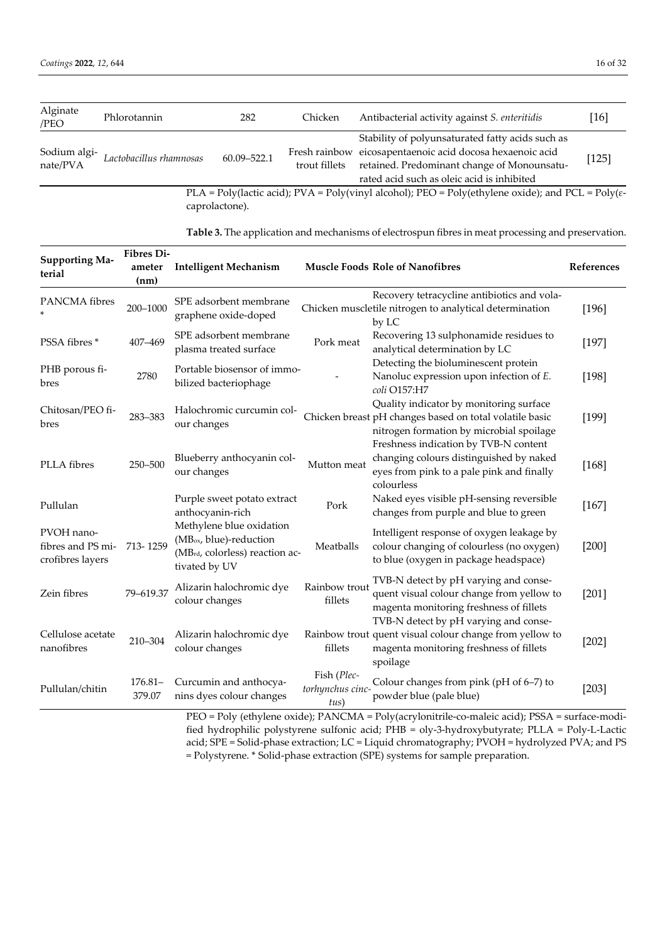| Alginate<br>/PEO         | Phlorotannin            | 282                                                                                                                                                                                                                                        | Chicken | Antibacterial activity against S. enteritidis                                                                   | $[16]$ |
|--------------------------|-------------------------|--------------------------------------------------------------------------------------------------------------------------------------------------------------------------------------------------------------------------------------------|---------|-----------------------------------------------------------------------------------------------------------------|--------|
| Sodium algi-<br>nate/PVA | Lactobacillus rhamnosas | Stability of polyunsaturated fatty acids such as<br>Fresh rainbow eicosapentaenoic acid docosa hexaenoic acid<br>60.09-522.1<br>retained. Predominant change of Monounsatu-<br>trout fillets<br>rated acid such as oleic acid is inhibited |         | [125]                                                                                                           |        |
|                          |                         |                                                                                                                                                                                                                                            |         | PLA = Poly(lactic acid); PVA = Poly(vinyl alcohol); PEO = Poly(ethylene oxide); and PCL = Poly( $\varepsilon$ - |        |

caprolactone).

| <b>Table 3.</b> The application and mechanisms of electrospun fibres in meat processing and preservation. |  |  |
|-----------------------------------------------------------------------------------------------------------|--|--|
|                                                                                                           |  |  |
|                                                                                                           |  |  |

| <b>Supporting Ma-</b><br>terial                     | Fibres Di-<br>ameter<br>(nm) | <b>Intelligent Mechanism</b>                                                                                       |                                         | <b>Muscle Foods Role of Nanofibres</b>                                                                                                                                     | References |
|-----------------------------------------------------|------------------------------|--------------------------------------------------------------------------------------------------------------------|-----------------------------------------|----------------------------------------------------------------------------------------------------------------------------------------------------------------------------|------------|
| PANCMA fibres                                       | 200-1000                     | SPE adsorbent membrane<br>graphene oxide-doped                                                                     |                                         | Recovery tetracycline antibiotics and vola-<br>Chicken muscletile nitrogen to analytical determination<br>by LC                                                            | [196]      |
| PSSA fibres*                                        | 407-469                      | SPE adsorbent membrane<br>plasma treated surface                                                                   | Pork meat                               | Recovering 13 sulphonamide residues to<br>analytical determination by LC                                                                                                   | [197]      |
| PHB porous fi-<br>bres                              | 2780                         | Portable biosensor of immo-<br>bilized bacteriophage                                                               |                                         | Detecting the bioluminescent protein<br>Nanoluc expression upon infection of E.<br>coli O157:H7                                                                            | [198]      |
| Chitosan/PEO fi-<br>bres                            | 283-383                      | Halochromic curcumin col-<br>our changes                                                                           |                                         | Quality indicator by monitoring surface<br>Chicken breast pH changes based on total volatile basic<br>nitrogen formation by microbial spoilage                             | [199]      |
| PLLA fibres                                         | 250-500                      | Blueberry anthocyanin col-<br>our changes                                                                          | Mutton meat                             | Freshness indication by TVB-N content<br>changing colours distinguished by naked<br>eyes from pink to a pale pink and finally<br>colourless                                | $[168]$    |
| Pullulan                                            |                              | Purple sweet potato extract<br>anthocyanin-rich                                                                    | Pork                                    | Naked eyes visible pH-sensing reversible<br>changes from purple and blue to green                                                                                          | $[167]$    |
| PVOH nano-<br>fibres and PS mi-<br>crofibres layers | 713-1259                     | Methylene blue oxidation<br>(MB <sub>ox</sub> , blue)-reduction<br>(MBrd, colorless) reaction ac-<br>tivated by UV | Meatballs                               | Intelligent response of oxygen leakage by<br>colour changing of colourless (no oxygen)<br>to blue (oxygen in package headspace)                                            | $[200]$    |
| Zein fibres                                         | 79-619.37                    | Alizarin halochromic dye<br>colour changes                                                                         | Rainbow trout<br>fillets                | TVB-N detect by pH varying and conse-<br>quent visual colour change from yellow to<br>magenta monitoring freshness of fillets                                              | $[201]$    |
| Cellulose acetate<br>nanofibres                     | 210-304                      | Alizarin halochromic dye<br>colour changes                                                                         | fillets                                 | TVB-N detect by pH varying and conse-<br>Rainbow trout quent visual colour change from yellow to<br>magenta monitoring freshness of fillets<br>spoilage                    | $[202]$    |
| Pullulan/chitin                                     | $176.81 -$<br>379.07         | Curcumin and anthocya-<br>nins dyes colour changes                                                                 | Fish (Plec-<br>torhynchus cinc-<br>tus) | Colour changes from pink (pH of 6-7) to<br>powder blue (pale blue)<br>$PFO = Poly$ (ethylene oxide): $PANCMA = Poly(acrylonitrie-co-maleic acid)$ : $PSSA = surface-modi-$ | $[203]$    |

PEO = Poly (ethylene oxide); PANCMA = Poly(acrylonitrile-co-maleic acid); PSSA = surface-modified hydrophilic polystyrene sulfonic acid; PHB = oly-3-hydroxybutyrate; PLLA = Poly-L-Lactic acid; SPE = Solid-phase extraction; LC = Liquid chromatography; PVOH = hydrolyzed PVA; and PS = Polystyrene. \* Solid-phase extraction (SPE) systems for sample preparation.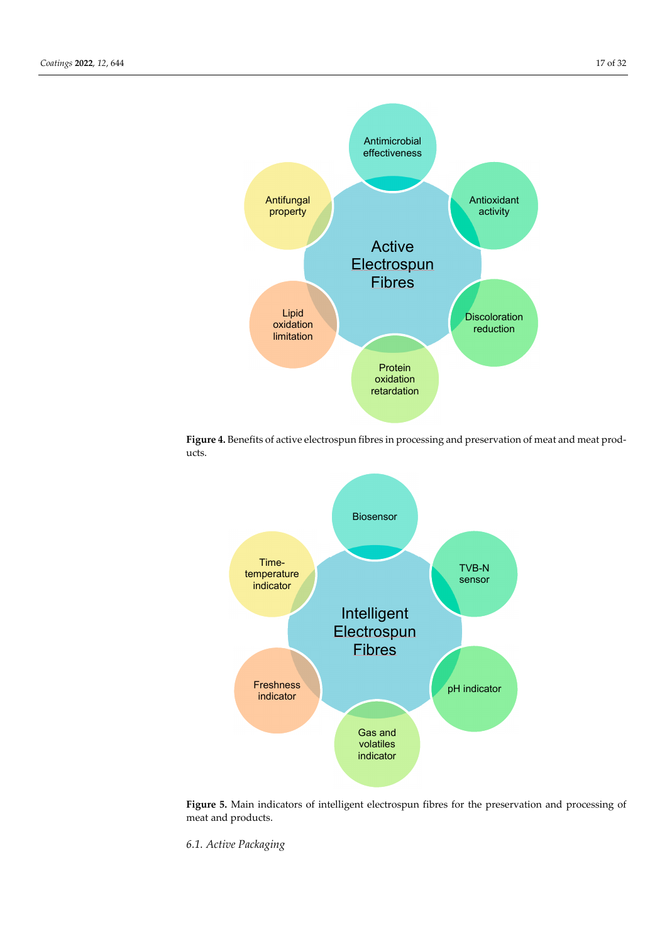

**Figure 4.** Benefits of active electrospun fibres in processing and preservation of meat and meat products.



**Figure 5.** Main indicators of intelligent electrospun fibres for the preservation and processing of meat and products.

*6.1. Active Packaging*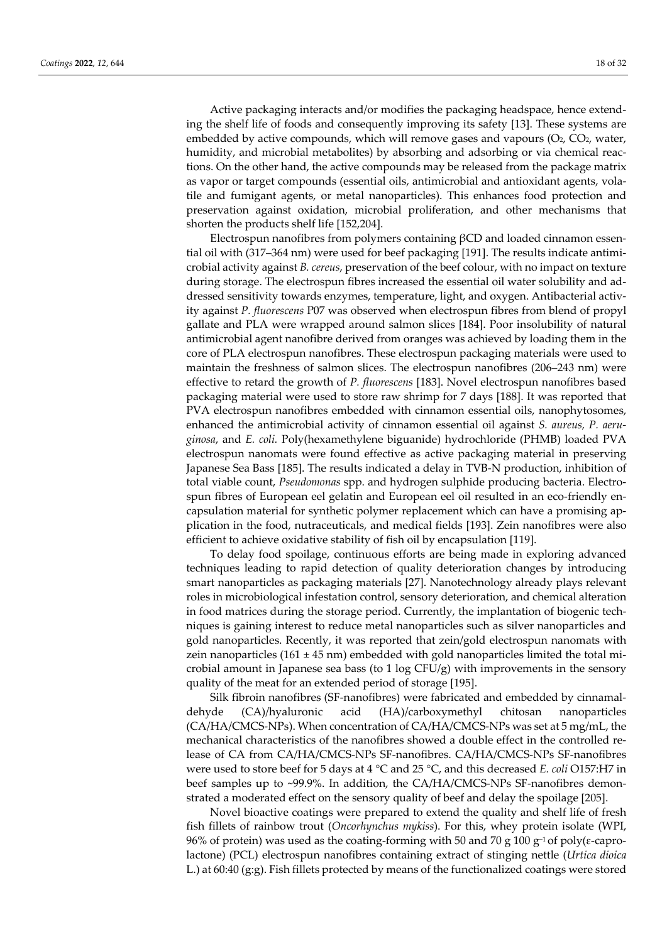Active packaging interacts and/or modifies the packaging headspace, hence extending the shelf life of foods and consequently improving its safety [13]. These systems are embedded by active compounds, which will remove gases and vapours (O<sub>2</sub>, CO<sub>2</sub>, water, humidity, and microbial metabolites) by absorbing and adsorbing or via chemical reactions. On the other hand, the active compounds may be released from the package matrix as vapor or target compounds (essential oils, antimicrobial and antioxidant agents, volatile and fumigant agents, or metal nanoparticles). This enhances food protection and preservation against oxidation, microbial proliferation, and other mechanisms that shorten the products shelf life [152,204].

Electrospun nanofibres from polymers containing βCD and loaded cinnamon essential oil with (317–364 nm) were used for beef packaging [191]. The results indicate antimicrobial activity against *B. cereus*, preservation of the beef colour, with no impact on texture during storage. The electrospun fibres increased the essential oil water solubility and addressed sensitivity towards enzymes, temperature, light, and oxygen. Antibacterial activity against *P. fluorescens* P07 was observed when electrospun fibres from blend of propyl gallate and PLA were wrapped around salmon slices [184]. Poor insolubility of natural antimicrobial agent nanofibre derived from oranges was achieved by loading them in the core of PLA electrospun nanofibres. These electrospun packaging materials were used to maintain the freshness of salmon slices. The electrospun nanofibres (206–243 nm) were effective to retard the growth of *P. fluorescens* [183]. Novel electrospun nanofibres based packaging material were used to store raw shrimp for 7 days [188]. It was reported that PVA electrospun nanofibres embedded with cinnamon essential oils, nanophytosomes, enhanced the antimicrobial activity of cinnamon essential oil against *S. aureus, P. aeruginosa*, and *E. coli.* Poly(hexamethylene biguanide) hydrochloride (PHMB) loaded PVA electrospun nanomats were found effective as active packaging material in preserving Japanese Sea Bass [185]. The results indicated a delay in TVB-N production, inhibition of total viable count, *Pseudomonas* spp. and hydrogen sulphide producing bacteria. Electrospun fibres of European eel gelatin and European eel oil resulted in an eco-friendly encapsulation material for synthetic polymer replacement which can have a promising application in the food, nutraceuticals, and medical fields [193]. Zein nanofibres were also efficient to achieve oxidative stability of fish oil by encapsulation [119].

To delay food spoilage, continuous efforts are being made in exploring advanced techniques leading to rapid detection of quality deterioration changes by introducing smart nanoparticles as packaging materials [27]. Nanotechnology already plays relevant roles in microbiological infestation control, sensory deterioration, and chemical alteration in food matrices during the storage period. Currently, the implantation of biogenic techniques is gaining interest to reduce metal nanoparticles such as silver nanoparticles and gold nanoparticles. Recently, it was reported that zein/gold electrospun nanomats with zein nanoparticles (161  $\pm$  45 nm) embedded with gold nanoparticles limited the total microbial amount in Japanese sea bass (to 1 log CFU/g) with improvements in the sensory quality of the meat for an extended period of storage [195].

Silk fibroin nanofibres (SF-nanofibres) were fabricated and embedded by cinnamaldehyde (CA)/hyaluronic acid (HA)/carboxymethyl chitosan nanoparticles (CA/HA/CMCS-NPs). When concentration of CA/HA/CMCS-NPs was set at 5 mg/mL, the mechanical characteristics of the nanofibres showed a double effect in the controlled release of CA from CA/HA/CMCS-NPs SF-nanofibres. CA/HA/CMCS-NPs SF-nanofibres were used to store beef for 5 days at 4 °C and 25 °C, and this decreased *E. coli* O157:H7 in beef samples up to ~99.9%. In addition, the CA/HA/CMCS-NPs SF-nanofibres demonstrated a moderated effect on the sensory quality of beef and delay the spoilage [205].

Novel bioactive coatings were prepared to extend the quality and shelf life of fresh fish fillets of rainbow trout (*Oncorhynchus mykiss*). For this, whey protein isolate (WPI, 96% of protein) was used as the coating-forming with 50 and 70 g 100 g<sup>-1</sup> of poly(ε-caprolactone) (PCL) electrospun nanofibres containing extract of stinging nettle (*Urtica dioica* L.) at 60:40 (g:g). Fish fillets protected by means of the functionalized coatings were stored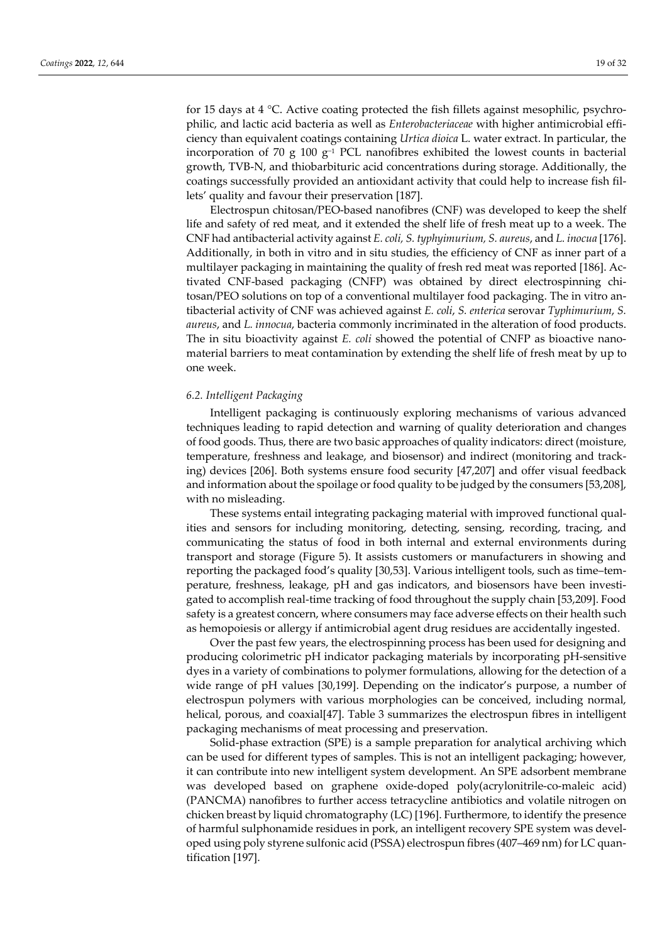for 15 days at 4  $^{\circ}$ C. Active coating protected the fish fillets against mesophilic, psychrophilic, and lactic acid bacteria as well as *Enterobacteriaceae* with higher antimicrobial efficiency than equivalent coatings containing *Urtica dioica* L. water extract. In particular, the incorporation of 70 g 100 g<sup>-1</sup> PCL nanofibres exhibited the lowest counts in bacterial growth, TVB-N, and thiobarbituric acid concentrations during storage. Additionally, the coatings successfully provided an antioxidant activity that could help to increase fish fillets' quality and favour their preservation [187].

Electrospun chitosan/PEO-based nanofibres (CNF) was developed to keep the shelf life and safety of red meat, and it extended the shelf life of fresh meat up to a week. The CNF had antibacterial activity against *E. coli, S. typhyimurium, S. aureus*, and *L. inocua* [176]. Additionally, in both in vitro and in situ studies, the efficiency of CNF as inner part of a multilayer packaging in maintaining the quality of fresh red meat was reported [186]. Activated CNF-based packaging (CNFP) was obtained by direct electrospinning chitosan/PEO solutions on top of a conventional multilayer food packaging. The in vitro antibacterial activity of CNF was achieved against *E. coli*, *S. enterica* serovar *Typhimurium*, *S. aureus*, and *L. innocua*, bacteria commonly incriminated in the alteration of food products. The in situ bioactivity against *E. coli* showed the potential of CNFP as bioactive nanomaterial barriers to meat contamination by extending the shelf life of fresh meat by up to one week.

## *6.2. Intelligent Packaging*

Intelligent packaging is continuously exploring mechanisms of various advanced techniques leading to rapid detection and warning of quality deterioration and changes of food goods. Thus, there are two basic approaches of quality indicators: direct (moisture, temperature, freshness and leakage, and biosensor) and indirect (monitoring and tracking) devices [206]. Both systems ensure food security [47,207] and offer visual feedback and information about the spoilage or food quality to be judged by the consumers [53,208], with no misleading.

These systems entail integrating packaging material with improved functional qualities and sensors for including monitoring, detecting, sensing, recording, tracing, and communicating the status of food in both internal and external environments during transport and storage (Figure 5). It assists customers or manufacturers in showing and reporting the packaged food's quality [30,53]. Various intelligent tools, such as time–temperature, freshness, leakage, pH and gas indicators, and biosensors have been investigated to accomplish real-time tracking of food throughout the supply chain [53,209]. Food safety is a greatest concern, where consumers may face adverse effects on their health such as hemopoiesis or allergy if antimicrobial agent drug residues are accidentally ingested.

Over the past few years, the electrospinning process has been used for designing and producing colorimetric pH indicator packaging materials by incorporating pH-sensitive dyes in a variety of combinations to polymer formulations, allowing for the detection of a wide range of pH values [30,199]. Depending on the indicator's purpose, a number of electrospun polymers with various morphologies can be conceived, including normal, helical, porous, and coaxial[47]. Table 3 summarizes the electrospun fibres in intelligent packaging mechanisms of meat processing and preservation.

Solid-phase extraction (SPE) is a sample preparation for analytical archiving which can be used for different types of samples. This is not an intelligent packaging; however, it can contribute into new intelligent system development. An SPE adsorbent membrane was developed based on graphene oxide-doped poly(acrylonitrile-co-maleic acid) (PANCMA) nanofibres to further access tetracycline antibiotics and volatile nitrogen on chicken breast by liquid chromatography (LC) [196]. Furthermore, to identify the presence of harmful sulphonamide residues in pork, an intelligent recovery SPE system was developed using poly styrene sulfonic acid (PSSA) electrospun fibres (407–469 nm) for LC quantification [197].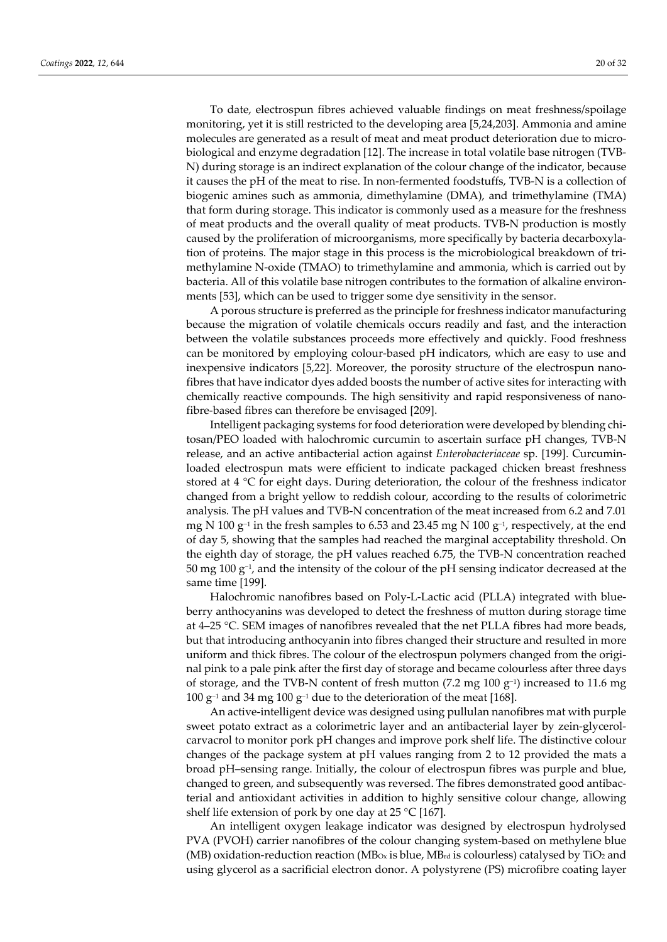To date, electrospun fibres achieved valuable findings on meat freshness/spoilage monitoring, yet it is still restricted to the developing area [5,24,203]. Ammonia and amine molecules are generated as a result of meat and meat product deterioration due to microbiological and enzyme degradation [12]. The increase in total volatile base nitrogen (TVB-N) during storage is an indirect explanation of the colour change of the indicator, because it causes the pH of the meat to rise. In non-fermented foodstuffs, TVB-N is a collection of biogenic amines such as ammonia, dimethylamine (DMA), and trimethylamine (TMA) that form during storage. This indicator is commonly used as a measure for the freshness of meat products and the overall quality of meat products. TVB-N production is mostly caused by the proliferation of microorganisms, more specifically by bacteria decarboxylation of proteins. The major stage in this process is the microbiological breakdown of trimethylamine N-oxide (TMAO) to trimethylamine and ammonia, which is carried out by bacteria. All of this volatile base nitrogen contributes to the formation of alkaline environments [53], which can be used to trigger some dye sensitivity in the sensor.

A porous structure is preferred as the principle for freshness indicator manufacturing because the migration of volatile chemicals occurs readily and fast, and the interaction between the volatile substances proceeds more effectively and quickly. Food freshness can be monitored by employing colour-based pH indicators, which are easy to use and inexpensive indicators [5,22]. Moreover, the porosity structure of the electrospun nanofibres that have indicator dyes added boosts the number of active sites for interacting with chemically reactive compounds. The high sensitivity and rapid responsiveness of nanofibre-based fibres can therefore be envisaged [209].

Intelligent packaging systems for food deterioration were developed by blending chitosan/PEO loaded with halochromic curcumin to ascertain surface pH changes, TVB-N release, and an active antibacterial action against *Enterobacteriaceae* sp. [199]. Curcuminloaded electrospun mats were efficient to indicate packaged chicken breast freshness stored at 4 °C for eight days. During deterioration, the colour of the freshness indicator changed from a bright yellow to reddish colour, according to the results of colorimetric analysis. The pH values and TVB-N concentration of the meat increased from 6.2 and 7.01 mg N 100 g<sup>-1</sup> in the fresh samples to 6.53 and 23.45 mg N 100 g<sup>-1</sup>, respectively, at the end of day 5, showing that the samples had reached the marginal acceptability threshold. On the eighth day of storage, the pH values reached 6.75, the TVB-N concentration reached 50 mg 100 g−1, and the intensity of the colour of the pH sensing indicator decreased at the same time [199].

Halochromic nanofibres based on Poly-L-Lactic acid (PLLA) integrated with blueberry anthocyanins was developed to detect the freshness of mutton during storage time at 4–25 °C. SEM images of nanofibres revealed that the net PLLA fibres had more beads, but that introducing anthocyanin into fibres changed their structure and resulted in more uniform and thick fibres. The colour of the electrospun polymers changed from the original pink to a pale pink after the first day of storage and became colourless after three days of storage, and the TVB-N content of fresh mutton (7.2 mg 100 g<sup>-1</sup>) increased to 11.6 mg 100 g−1 and 34 mg 100 g−1 due to the deterioration of the meat [168].

An active-intelligent device was designed using pullulan nanofibres mat with purple sweet potato extract as a colorimetric layer and an antibacterial layer by zein-glycerolcarvacrol to monitor pork pH changes and improve pork shelf life. The distinctive colour changes of the package system at pH values ranging from 2 to 12 provided the mats a broad pH–sensing range. Initially, the colour of electrospun fibres was purple and blue, changed to green, and subsequently was reversed. The fibres demonstrated good antibacterial and antioxidant activities in addition to highly sensitive colour change, allowing shelf life extension of pork by one day at  $25 \text{ °C}$  [167].

An intelligent oxygen leakage indicator was designed by electrospun hydrolysed PVA (PVOH) carrier nanofibres of the colour changing system-based on methylene blue (MB) oxidation-reduction reaction (MB $\alpha$  is blue, MB $\alpha$  is colourless) catalysed by TiO<sub>2</sub> and using glycerol as a sacrificial electron donor. A polystyrene (PS) microfibre coating layer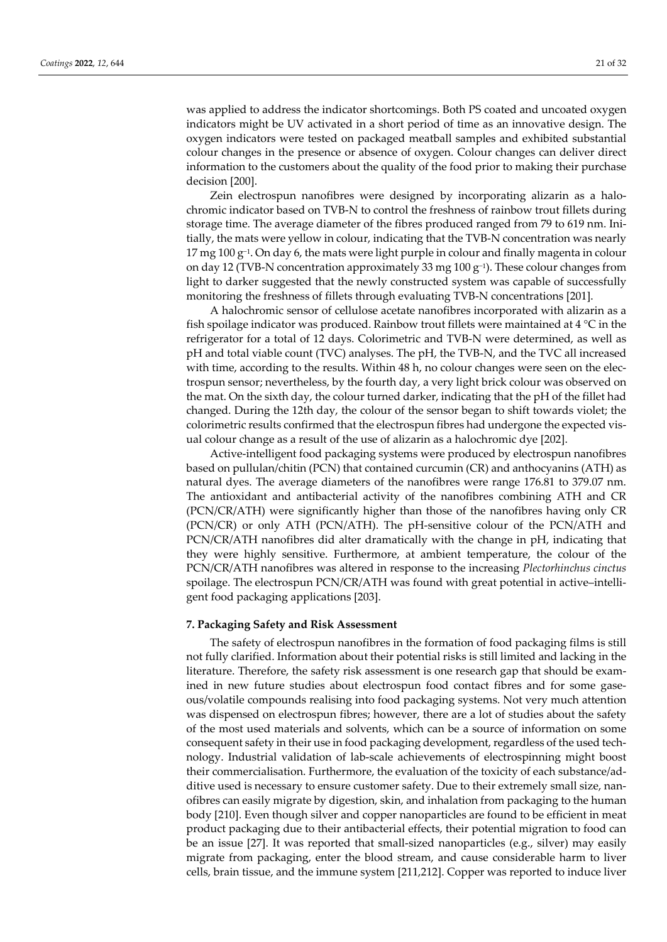was applied to address the indicator shortcomings. Both PS coated and uncoated oxygen indicators might be UV activated in a short period of time as an innovative design. The oxygen indicators were tested on packaged meatball samples and exhibited substantial colour changes in the presence or absence of oxygen. Colour changes can deliver direct information to the customers about the quality of the food prior to making their purchase decision [200].

Zein electrospun nanofibres were designed by incorporating alizarin as a halochromic indicator based on TVB-N to control the freshness of rainbow trout fillets during storage time. The average diameter of the fibres produced ranged from 79 to 619 nm. Initially, the mats were yellow in colour, indicating that the TVB-N concentration was nearly  $17$  mg  $100$  g<sup>-1</sup>. On day 6, the mats were light purple in colour and finally magenta in colour on day 12 (TVB-N concentration approximately 33 mg 100 g−1). These colour changes from light to darker suggested that the newly constructed system was capable of successfully monitoring the freshness of fillets through evaluating TVB-N concentrations [201].

A halochromic sensor of cellulose acetate nanofibres incorporated with alizarin as a fish spoilage indicator was produced. Rainbow trout fillets were maintained at 4 °C in the refrigerator for a total of 12 days. Colorimetric and TVB-N were determined, as well as pH and total viable count (TVC) analyses. The pH, the TVB-N, and the TVC all increased with time, according to the results. Within 48 h, no colour changes were seen on the electrospun sensor; nevertheless, by the fourth day, a very light brick colour was observed on the mat. On the sixth day, the colour turned darker, indicating that the pH of the fillet had changed. During the 12th day, the colour of the sensor began to shift towards violet; the colorimetric results confirmed that the electrospun fibres had undergone the expected visual colour change as a result of the use of alizarin as a halochromic dye [202].

Active-intelligent food packaging systems were produced by electrospun nanofibres based on pullulan/chitin (PCN) that contained curcumin (CR) and anthocyanins (ATH) as natural dyes. The average diameters of the nanofibres were range 176.81 to 379.07 nm. The antioxidant and antibacterial activity of the nanofibres combining ATH and CR (PCN/CR/ATH) were significantly higher than those of the nanofibres having only CR (PCN/CR) or only ATH (PCN/ATH). The pH-sensitive colour of the PCN/ATH and PCN/CR/ATH nanofibres did alter dramatically with the change in pH, indicating that they were highly sensitive. Furthermore, at ambient temperature, the colour of the PCN/CR/ATH nanofibres was altered in response to the increasing *Plectorhinchus cinctus* spoilage. The electrospun PCN/CR/ATH was found with great potential in active–intelligent food packaging applications [203].

#### **7. Packaging Safety and Risk Assessment**

The safety of electrospun nanofibres in the formation of food packaging films is still not fully clarified. Information about their potential risks is still limited and lacking in the literature. Therefore, the safety risk assessment is one research gap that should be examined in new future studies about electrospun food contact fibres and for some gaseous/volatile compounds realising into food packaging systems. Not very much attention was dispensed on electrospun fibres; however, there are a lot of studies about the safety of the most used materials and solvents, which can be a source of information on some consequent safety in their use in food packaging development, regardless of the used technology. Industrial validation of lab-scale achievements of electrospinning might boost their commercialisation. Furthermore, the evaluation of the toxicity of each substance/additive used is necessary to ensure customer safety. Due to their extremely small size, nanofibres can easily migrate by digestion, skin, and inhalation from packaging to the human body [210]. Even though silver and copper nanoparticles are found to be efficient in meat product packaging due to their antibacterial effects, their potential migration to food can be an issue [27]. It was reported that small-sized nanoparticles (e.g., silver) may easily migrate from packaging, enter the blood stream, and cause considerable harm to liver cells, brain tissue, and the immune system [211,212]. Copper was reported to induce liver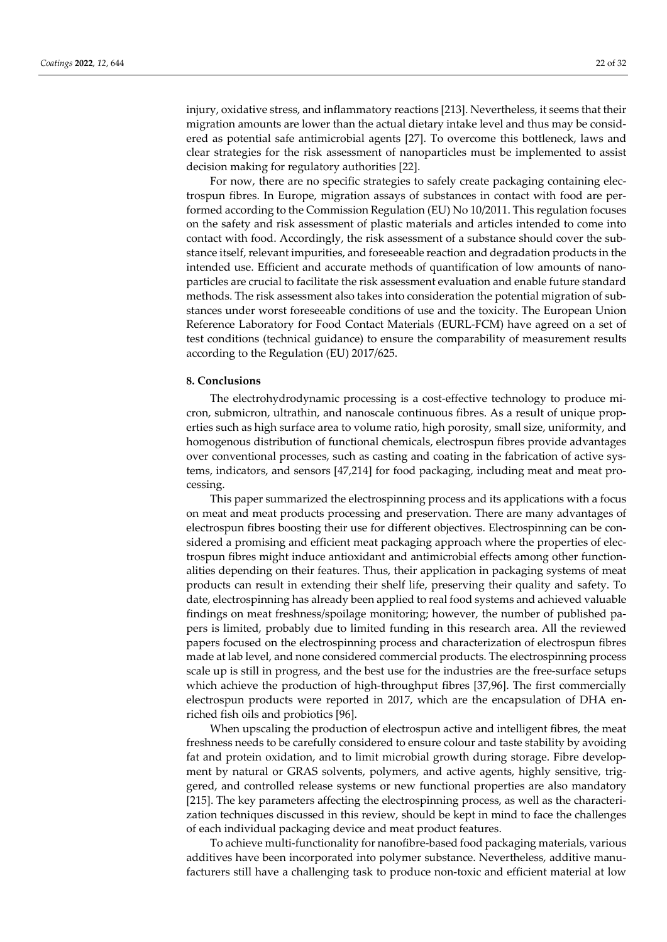injury, oxidative stress, and inflammatory reactions [213]. Nevertheless, it seems that their migration amounts are lower than the actual dietary intake level and thus may be considered as potential safe antimicrobial agents [27]. To overcome this bottleneck, laws and clear strategies for the risk assessment of nanoparticles must be implemented to assist decision making for regulatory authorities [22].

For now, there are no specific strategies to safely create packaging containing electrospun fibres. In Europe, migration assays of substances in contact with food are performed according to the Commission Regulation (EU) No 10/2011. This regulation focuses on the safety and risk assessment of plastic materials and articles intended to come into contact with food. Accordingly, the risk assessment of a substance should cover the substance itself, relevant impurities, and foreseeable reaction and degradation products in the intended use. Efficient and accurate methods of quantification of low amounts of nanoparticles are crucial to facilitate the risk assessment evaluation and enable future standard methods. The risk assessment also takes into consideration the potential migration of substances under worst foreseeable conditions of use and the toxicity. The European Union Reference Laboratory for Food Contact Materials (EURL-FCM) have agreed on a set of test conditions (technical guidance) to ensure the comparability of measurement results according to the Regulation (EU) 2017/625.

#### **8. Conclusions**

The electrohydrodynamic processing is a cost-effective technology to produce micron, submicron, ultrathin, and nanoscale continuous fibres. As a result of unique properties such as high surface area to volume ratio, high porosity, small size, uniformity, and homogenous distribution of functional chemicals, electrospun fibres provide advantages over conventional processes, such as casting and coating in the fabrication of active systems, indicators, and sensors [47,214] for food packaging, including meat and meat processing.

This paper summarized the electrospinning process and its applications with a focus on meat and meat products processing and preservation. There are many advantages of electrospun fibres boosting their use for different objectives. Electrospinning can be considered a promising and efficient meat packaging approach where the properties of electrospun fibres might induce antioxidant and antimicrobial effects among other functionalities depending on their features. Thus, their application in packaging systems of meat products can result in extending their shelf life, preserving their quality and safety. To date, electrospinning has already been applied to real food systems and achieved valuable findings on meat freshness/spoilage monitoring; however, the number of published papers is limited, probably due to limited funding in this research area. All the reviewed papers focused on the electrospinning process and characterization of electrospun fibres made at lab level, and none considered commercial products. The electrospinning process scale up is still in progress, and the best use for the industries are the free-surface setups which achieve the production of high-throughput fibres [37,96]. The first commercially electrospun products were reported in 2017, which are the encapsulation of DHA enriched fish oils and probiotics [96].

When upscaling the production of electrospun active and intelligent fibres, the meat freshness needs to be carefully considered to ensure colour and taste stability by avoiding fat and protein oxidation, and to limit microbial growth during storage. Fibre development by natural or GRAS solvents, polymers, and active agents, highly sensitive, triggered, and controlled release systems or new functional properties are also mandatory [215]. The key parameters affecting the electrospinning process, as well as the characterization techniques discussed in this review, should be kept in mind to face the challenges of each individual packaging device and meat product features.

To achieve multi-functionality for nanofibre-based food packaging materials, various additives have been incorporated into polymer substance. Nevertheless, additive manufacturers still have a challenging task to produce non-toxic and efficient material at low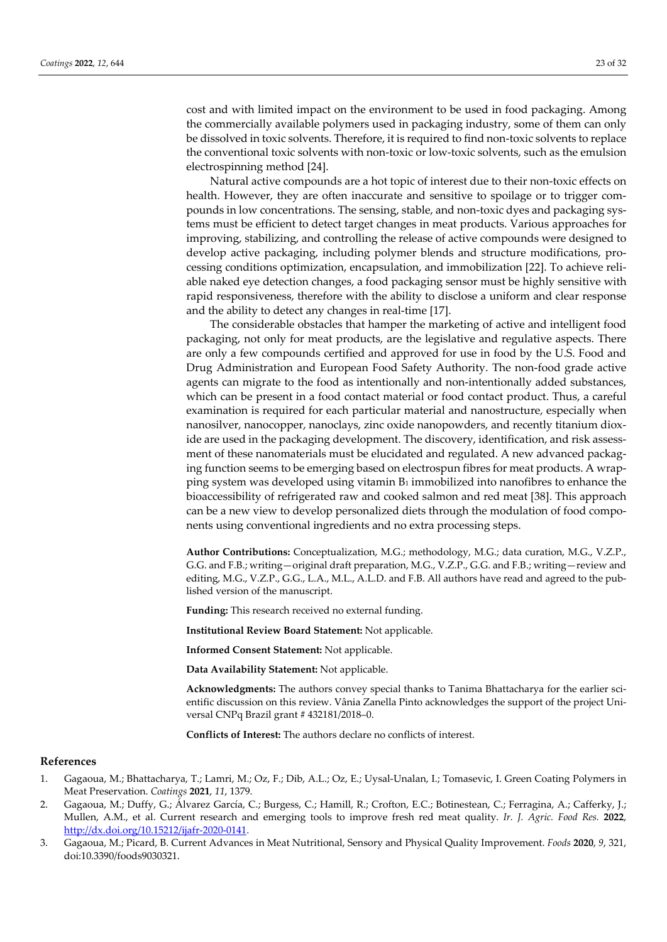cost and with limited impact on the environment to be used in food packaging. Among the commercially available polymers used in packaging industry, some of them can only be dissolved in toxic solvents. Therefore, it is required to find non-toxic solvents to replace the conventional toxic solvents with non-toxic or low-toxic solvents, such as the emulsion electrospinning method [24].

Natural active compounds are a hot topic of interest due to their non-toxic effects on health. However, they are often inaccurate and sensitive to spoilage or to trigger compounds in low concentrations. The sensing, stable, and non-toxic dyes and packaging systems must be efficient to detect target changes in meat products. Various approaches for improving, stabilizing, and controlling the release of active compounds were designed to develop active packaging, including polymer blends and structure modifications, processing conditions optimization, encapsulation, and immobilization [22]. To achieve reliable naked eye detection changes, a food packaging sensor must be highly sensitive with rapid responsiveness, therefore with the ability to disclose a uniform and clear response and the ability to detect any changes in real-time [17].

The considerable obstacles that hamper the marketing of active and intelligent food packaging, not only for meat products, are the legislative and regulative aspects. There are only a few compounds certified and approved for use in food by the U.S. Food and Drug Administration and European Food Safety Authority. The non-food grade active agents can migrate to the food as intentionally and non-intentionally added substances, which can be present in a food contact material or food contact product. Thus, a careful examination is required for each particular material and nanostructure, especially when nanosilver, nanocopper, nanoclays, zinc oxide nanopowders, and recently titanium dioxide are used in the packaging development. The discovery, identification, and risk assessment of these nanomaterials must be elucidated and regulated. A new advanced packaging function seems to be emerging based on electrospun fibres for meat products. A wrapping system was developed using vitamin B1 immobilized into nanofibres to enhance the bioaccessibility of refrigerated raw and cooked salmon and red meat [38]. This approach can be a new view to develop personalized diets through the modulation of food components using conventional ingredients and no extra processing steps.

**Author Contributions:** Conceptualization, M.G.; methodology, M.G.; data curation, M.G., V.Z.P., G.G. and F.B.; writing—original draft preparation, M.G., V.Z.P., G.G. and F.B.; writing—review and editing, M.G., V.Z.P., G.G., L.A., M.L., A.L.D. and F.B. All authors have read and agreed to the published version of the manuscript.

**Funding:** This research received no external funding.

**Institutional Review Board Statement:** Not applicable.

**Informed Consent Statement:** Not applicable.

**Data Availability Statement:** Not applicable.

**Acknowledgments:** The authors convey special thanks to Tanima Bhattacharya for the earlier scientific discussion on this review. Vânia Zanella Pinto acknowledges the support of the project Universal CNPq Brazil grant # 432181/2018–0.

**Conflicts of Interest:** The authors declare no conflicts of interest.

#### **References**

- 1. Gagaoua, M.; Bhattacharya, T.; Lamri, M.; Oz, F.; Dib, A.L.; Oz, E.; Uysal-Unalan, I.; Tomasevic, I. Green Coating Polymers in Meat Preservation. *Coatings* **2021**, *11*, 1379.
- 2. Gagaoua, M.; Duffy, G.; Álvarez García, C.; Burgess, C.; Hamill, R.; Crofton, E.C.; Botinestean, C.; Ferragina, A.; Cafferky, J.; Mullen, A.M., et al. Current research and emerging tools to improve fresh red meat quality. *Ir. J. Agric. Food Res.* **2022**, http://dx.doi.org/10.15212/ijafr-2020-0141.
- 3. Gagaoua, M.; Picard, B. Current Advances in Meat Nutritional, Sensory and Physical Quality Improvement. *Foods* **2020**, *9*, 321, doi:10.3390/foods9030321.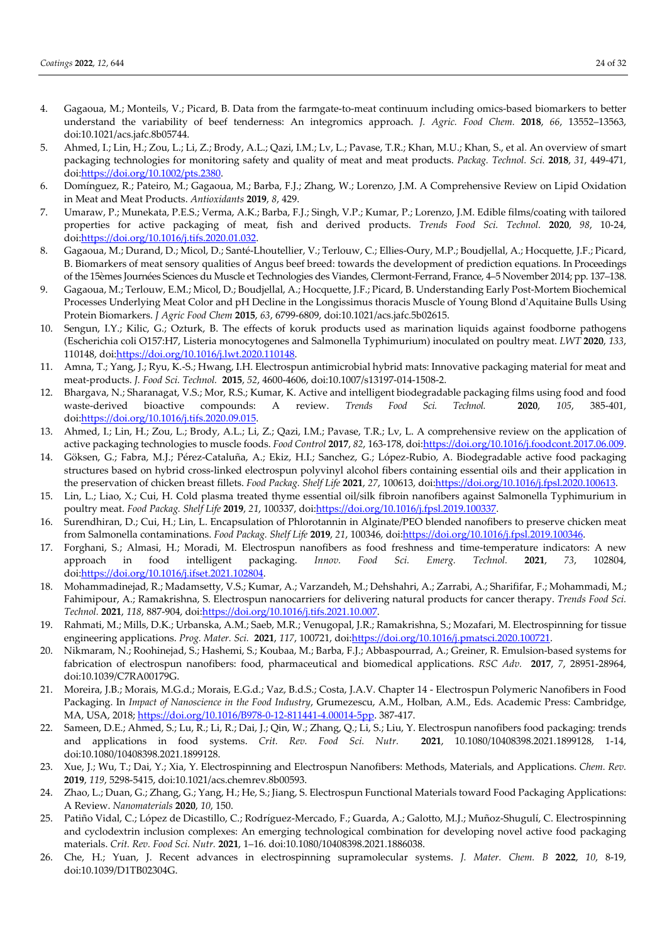- 4. Gagaoua, M.; Monteils, V.; Picard, B. Data from the farmgate-to-meat continuum including omics-based biomarkers to better understand the variability of beef tenderness: An integromics approach. *J. Agric. Food Chem.* **2018**, *66*, 13552–13563, doi:10.1021/acs.jafc.8b05744.
- 5. Ahmed, I.; Lin, H.; Zou, L.; Li, Z.; Brody, A.L.; Qazi, I.M.; Lv, L.; Pavase, T.R.; Khan, M.U.; Khan, S., et al. An overview of smart packaging technologies for monitoring safety and quality of meat and meat products. *Packag. Technol. Sci.* **2018**, *31*, 449-471, doi:https://doi.org/10.1002/pts.2380.
- 6. Domínguez, R.; Pateiro, M.; Gagaoua, M.; Barba, F.J.; Zhang, W.; Lorenzo, J.M. A Comprehensive Review on Lipid Oxidation in Meat and Meat Products. *Antioxidants* **2019**, *8*, 429.
- 7. Umaraw, P.; Munekata, P.E.S.; Verma, A.K.; Barba, F.J.; Singh, V.P.; Kumar, P.; Lorenzo, J.M. Edible films/coating with tailored properties for active packaging of meat, fish and derived products. *Trends Food Sci. Technol.* **2020**, *98*, 10-24, doi:https://doi.org/10.1016/j.tifs.2020.01.032.
- 8. Gagaoua, M.; Durand, D.; Micol, D.; Santé-Lhoutellier, V.; Terlouw, C.; Ellies-Oury, M.P.; Boudjellal, A.; Hocquette, J.F.; Picard, B. Biomarkers of meat sensory qualities of Angus beef breed: towards the development of prediction equations. In Proceedings of the 15èmes Journées Sciences du Muscle et Technologies des Viandes, Clermont-Ferrand, France, 4–5 November 2014; pp. 137–138.
- 9. Gagaoua, M.; Terlouw, E.M.; Micol, D.; Boudjellal, A.; Hocquette, J.F.; Picard, B. Understanding Early Post-Mortem Biochemical Processes Underlying Meat Color and pH Decline in the Longissimus thoracis Muscle of Young Blond d'Aquitaine Bulls Using Protein Biomarkers. *J Agric Food Chem* **2015**, *63*, 6799-6809, doi:10.1021/acs.jafc.5b02615.
- 10. Sengun, I.Y.; Kilic, G.; Ozturk, B. The effects of koruk products used as marination liquids against foodborne pathogens (Escherichia coli O157:H7, Listeria monocytogenes and Salmonella Typhimurium) inoculated on poultry meat. *LWT* **2020**, *133*, 110148, doi:https://doi.org/10.1016/j.lwt.2020.110148.
- 11. Amna, T.; Yang, J.; Ryu, K.-S.; Hwang, I.H. Electrospun antimicrobial hybrid mats: Innovative packaging material for meat and meat-products. *J. Food Sci. Technol.* **2015**, *52*, 4600-4606, doi:10.1007/s13197-014-1508-2.
- 12. Bhargava, N.; Sharanagat, V.S.; Mor, R.S.; Kumar, K. Active and intelligent biodegradable packaging films using food and food waste-derived bioactive compounds: A review. *Trends Food Sci. Technol.* **2020**, *105*, 385-401, doi:https://doi.org/10.1016/j.tifs.2020.09.015.
- 13. Ahmed, I.; Lin, H.; Zou, L.; Brody, A.L.; Li, Z.; Qazi, I.M.; Pavase, T.R.; Lv, L. A comprehensive review on the application of active packaging technologies to muscle foods. *Food Control* **2017**, *82*, 163-178, doi:https://doi.org/10.1016/j.foodcont.2017.06.009.
- 14. Göksen, G.; Fabra, M.J.; Pérez-Cataluña, A.; Ekiz, H.I.; Sanchez, G.; López-Rubio, A. Biodegradable active food packaging structures based on hybrid cross-linked electrospun polyvinyl alcohol fibers containing essential oils and their application in the preservation of chicken breast fillets. *Food Packag. Shelf Life* **2021**, *27*, 100613, doi:https://doi.org/10.1016/j.fpsl.2020.100613.
- 15. Lin, L.; Liao, X.; Cui, H. Cold plasma treated thyme essential oil/silk fibroin nanofibers against Salmonella Typhimurium in poultry meat. *Food Packag. Shelf Life* **2019**, *21*, 100337, doi:https://doi.org/10.1016/j.fpsl.2019.100337.
- 16. Surendhiran, D.; Cui, H.; Lin, L. Encapsulation of Phlorotannin in Alginate/PEO blended nanofibers to preserve chicken meat from Salmonella contaminations. *Food Packag. Shelf Life* **2019**, *21*, 100346, doi:https://doi.org/10.1016/j.fpsl.2019.100346.
- 17. Forghani, S.; Almasi, H.; Moradi, M. Electrospun nanofibers as food freshness and time-temperature indicators: A new approach in food intelligent packaging. *Innov. Food Sci. Emerg. Technol.* **2021**, *73*, 102804, doi:https://doi.org/10.1016/j.ifset.2021.102804.
- 18. Mohammadinejad, R.; Madamsetty, V.S.; Kumar, A.; Varzandeh, M.; Dehshahri, A.; Zarrabi, A.; Sharififar, F.; Mohammadi, M.; Fahimipour, A.; Ramakrishna, S. Electrospun nanocarriers for delivering natural products for cancer therapy. *Trends Food Sci. Technol.* **2021**, *118*, 887-904, doi:https://doi.org/10.1016/j.tifs.2021.10.007.
- 19. Rahmati, M.; Mills, D.K.; Urbanska, A.M.; Saeb, M.R.; Venugopal, J.R.; Ramakrishna, S.; Mozafari, M. Electrospinning for tissue engineering applications. *Prog. Mater. Sci.* **2021**, *117*, 100721, doi:https://doi.org/10.1016/j.pmatsci.2020.100721.
- 20. Nikmaram, N.; Roohinejad, S.; Hashemi, S.; Koubaa, M.; Barba, F.J.; Abbaspourrad, A.; Greiner, R. Emulsion-based systems for fabrication of electrospun nanofibers: food, pharmaceutical and biomedical applications. *RSC Adv.* **2017**, *7*, 28951-28964, doi:10.1039/C7RA00179G.
- 21. Moreira, J.B.; Morais, M.G.d.; Morais, E.G.d.; Vaz, B.d.S.; Costa, J.A.V. Chapter 14 Electrospun Polymeric Nanofibers in Food Packaging. In *Impact of Nanoscience in the Food Industry*, Grumezescu, A.M., Holban, A.M., Eds. Academic Press: Cambridge, MA, USA, 2018; https://doi.org/10.1016/B978-0-12-811441-4.00014-5pp. 387-417.
- 22. Sameen, D.E.; Ahmed, S.; Lu, R.; Li, R.; Dai, J.; Qin, W.; Zhang, Q.; Li, S.; Liu, Y. Electrospun nanofibers food packaging: trends and applications in food systems. *Crit. Rev. Food Sci. Nutr.* **2021**, 10.1080/10408398.2021.1899128, 1-14, doi:10.1080/10408398.2021.1899128.
- 23. Xue, J.; Wu, T.; Dai, Y.; Xia, Y. Electrospinning and Electrospun Nanofibers: Methods, Materials, and Applications. *Chem. Rev.*  **2019**, *119*, 5298-5415, doi:10.1021/acs.chemrev.8b00593.
- 24. Zhao, L.; Duan, G.; Zhang, G.; Yang, H.; He, S.; Jiang, S. Electrospun Functional Materials toward Food Packaging Applications: A Review. *Nanomaterials* **2020**, *10*, 150.
- 25. Patiño Vidal, C.; López de Dicastillo, C.; Rodríguez-Mercado, F.; Guarda, A.; Galotto, M.J.; Muñoz-Shugulí, C. Electrospinning and cyclodextrin inclusion complexes: An emerging technological combination for developing novel active food packaging materials. *Crit. Rev. Food Sci. Nutr.* **2021**, 1–16. doi:10.1080/10408398.2021.1886038.
- 26. Che, H.; Yuan, J. Recent advances in electrospinning supramolecular systems. *J. Mater. Chem. B* **2022**, *10*, 8-19, doi:10.1039/D1TB02304G.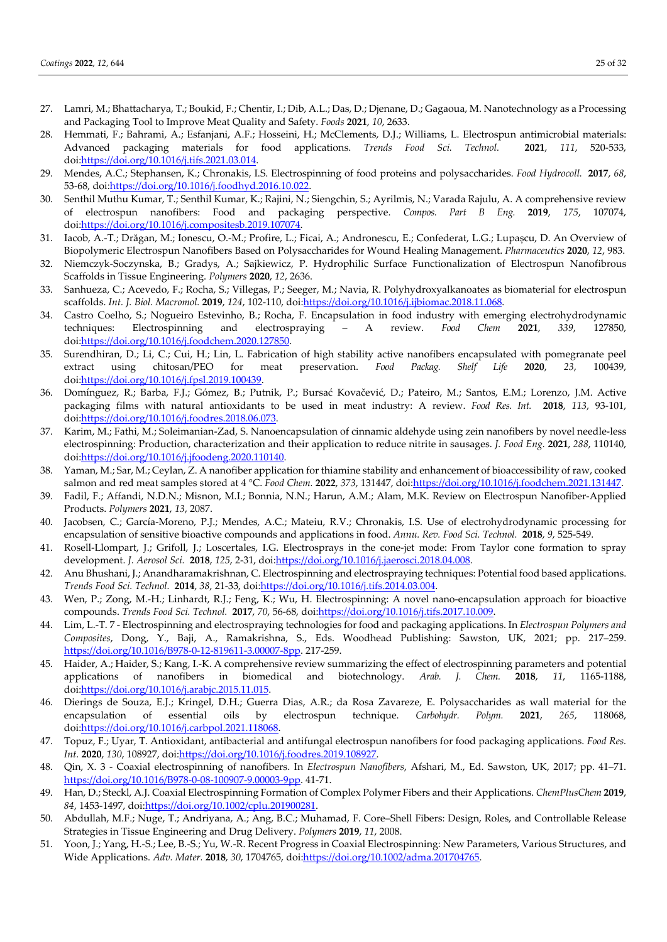- 27. Lamri, M.; Bhattacharya, T.; Boukid, F.; Chentir, I.; Dib, A.L.; Das, D.; Djenane, D.; Gagaoua, M. Nanotechnology as a Processing and Packaging Tool to Improve Meat Quality and Safety. *Foods* **2021**, *10*, 2633.
- 28. Hemmati, F.; Bahrami, A.; Esfanjani, A.F.; Hosseini, H.; McClements, D.J.; Williams, L. Electrospun antimicrobial materials: Advanced packaging materials for food applications. *Trends Food Sci. Technol.* **2021**, *111*, 520-533, doi:https://doi.org/10.1016/j.tifs.2021.03.014.
- 29. Mendes, A.C.; Stephansen, K.; Chronakis, I.S. Electrospinning of food proteins and polysaccharides. *Food Hydrocoll.* **2017**, *68*, 53-68, doi:https://doi.org/10.1016/j.foodhyd.2016.10.022.
- 30. Senthil Muthu Kumar, T.; Senthil Kumar, K.; Rajini, N.; Siengchin, S.; Ayrilmis, N.; Varada Rajulu, A. A comprehensive review of electrospun nanofibers: Food and packaging perspective. *Compos. Part B Eng.* **2019**, *175*, 107074, doi:https://doi.org/10.1016/j.compositesb.2019.107074.
- 31. Iacob, A.-T.; Drăgan, M.; Ionescu, O.-M.; Profire, L.; Ficai, A.; Andronescu, E.; Confederat, L.G.; Lupașcu, D. An Overview of Biopolymeric Electrospun Nanofibers Based on Polysaccharides for Wound Healing Management. *Pharmaceutics* **2020**, *12*, 983.
- 32. Niemczyk-Soczynska, B.; Gradys, A.; Sajkiewicz, P. Hydrophilic Surface Functionalization of Electrospun Nanofibrous Scaffolds in Tissue Engineering. *Polymers* **2020**, *12*, 2636.
- 33. Sanhueza, C.; Acevedo, F.; Rocha, S.; Villegas, P.; Seeger, M.; Navia, R. Polyhydroxyalkanoates as biomaterial for electrospun scaffolds. *Int. J. Biol. Macromol.* **2019**, *124*, 102-110, doi:https://doi.org/10.1016/j.ijbiomac.2018.11.068.
- 34. Castro Coelho, S.; Nogueiro Estevinho, B.; Rocha, F. Encapsulation in food industry with emerging electrohydrodynamic techniques: Electrospinning and electrospraying – A review. *Food Chem* **2021**, *339*, 127850, doi:https://doi.org/10.1016/j.foodchem.2020.127850.
- 35. Surendhiran, D.; Li, C.; Cui, H.; Lin, L. Fabrication of high stability active nanofibers encapsulated with pomegranate peel extract using chitosan/PEO for meat preservation. *Food Packag. Shelf Life* **2020**, *23*, 100439, doi:https://doi.org/10.1016/j.fpsl.2019.100439.
- 36. Domínguez, R.; Barba, F.J.; Gómez, B.; Putnik, P.; Bursać Kovačević, D.; Pateiro, M.; Santos, E.M.; Lorenzo, J.M. Active packaging films with natural antioxidants to be used in meat industry: A review. *Food Res. Int.* **2018**, *113*, 93-101, doi:https://doi.org/10.1016/j.foodres.2018.06.073.
- 37. Karim, M.; Fathi, M.; Soleimanian-Zad, S. Nanoencapsulation of cinnamic aldehyde using zein nanofibers by novel needle-less electrospinning: Production, characterization and their application to reduce nitrite in sausages. *J. Food Eng.* **2021**, *288*, 110140, doi:https://doi.org/10.1016/j.jfoodeng.2020.110140.
- 38. Yaman, M.; Sar, M.; Ceylan, Z. A nanofiber application for thiamine stability and enhancement of bioaccessibility of raw, cooked salmon and red meat samples stored at 4 °C. *Food Chem.* **2022**, *373*, 131447, doi:https://doi.org/10.1016/j.foodchem.2021.131447.
- 39. Fadil, F.; Affandi, N.D.N.; Misnon, M.I.; Bonnia, N.N.; Harun, A.M.; Alam, M.K. Review on Electrospun Nanofiber-Applied Products. *Polymers* **2021**, *13*, 2087.
- 40. Jacobsen, C.; García-Moreno, P.J.; Mendes, A.C.; Mateiu, R.V.; Chronakis, I.S. Use of electrohydrodynamic processing for encapsulation of sensitive bioactive compounds and applications in food. *Annu. Rev. Food Sci. Technol.* **2018**, *9*, 525-549.
- 41. Rosell-Llompart, J.; Grifoll, J.; Loscertales, I.G. Electrosprays in the cone-jet mode: From Taylor cone formation to spray development. *J. Aerosol Sci.* **2018**, *125*, 2-31, doi:https://doi.org/10.1016/j.jaerosci.2018.04.008.
- 42. Anu Bhushani, J.; Anandharamakrishnan, C. Electrospinning and electrospraying techniques: Potential food based applications. *Trends Food Sci. Technol.* **2014**, *38*, 21-33, doi:https://doi.org/10.1016/j.tifs.2014.03.004.
- 43. Wen, P.; Zong, M.-H.; Linhardt, R.J.; Feng, K.; Wu, H. Electrospinning: A novel nano-encapsulation approach for bioactive compounds. *Trends Food Sci. Technol.* **2017**, *70*, 56-68, doi:https://doi.org/10.1016/j.tifs.2017.10.009.
- 44. Lim, L.-T. 7 Electrospinning and electrospraying technologies for food and packaging applications. In *Electrospun Polymers and Composites*, Dong, Y., Baji, A., Ramakrishna, S., Eds. Woodhead Publishing: Sawston, UK, 2021; pp. 217–259. https://doi.org/10.1016/B978-0-12-819611-3.00007-8pp. 217-259.
- 45. Haider, A.; Haider, S.; Kang, I.-K. A comprehensive review summarizing the effect of electrospinning parameters and potential applications of nanofibers in biomedical and biotechnology. *Arab. J. Chem.* **2018**, *11*, 1165-1188, doi:https://doi.org/10.1016/j.arabjc.2015.11.015.
- 46. Dierings de Souza, E.J.; Kringel, D.H.; Guerra Dias, A.R.; da Rosa Zavareze, E. Polysaccharides as wall material for the encapsulation of essential oils by electrospun technique. *Carbohydr. Polym.* **2021**, *265*, 118068, doi:https://doi.org/10.1016/j.carbpol.2021.118068.
- 47. Topuz, F.; Uyar, T. Antioxidant, antibacterial and antifungal electrospun nanofibers for food packaging applications. *Food Res. Int.* **2020**, *130*, 108927, doi:https://doi.org/10.1016/j.foodres.2019.108927.
- 48. Qin, X. 3 Coaxial electrospinning of nanofibers. In *Electrospun Nanofibers*, Afshari, M., Ed. Sawston, UK, 2017; pp. 41–71. https://doi.org/10.1016/B978-0-08-100907-9.00003-9pp. 41-71.
- 49. Han, D.; Steckl, A.J. Coaxial Electrospinning Formation of Complex Polymer Fibers and their Applications. *ChemPlusChem* **2019**, *84*, 1453-1497, doi:https://doi.org/10.1002/cplu.201900281.
- 50. Abdullah, M.F.; Nuge, T.; Andriyana, A.; Ang, B.C.; Muhamad, F. Core–Shell Fibers: Design, Roles, and Controllable Release Strategies in Tissue Engineering and Drug Delivery. *Polymers* **2019**, *11*, 2008.
- 51. Yoon, J.; Yang, H.-S.; Lee, B.-S.; Yu, W.-R. Recent Progress in Coaxial Electrospinning: New Parameters, Various Structures, and Wide Applications. *Adv. Mater.* **2018**, *30*, 1704765, doi:https://doi.org/10.1002/adma.201704765.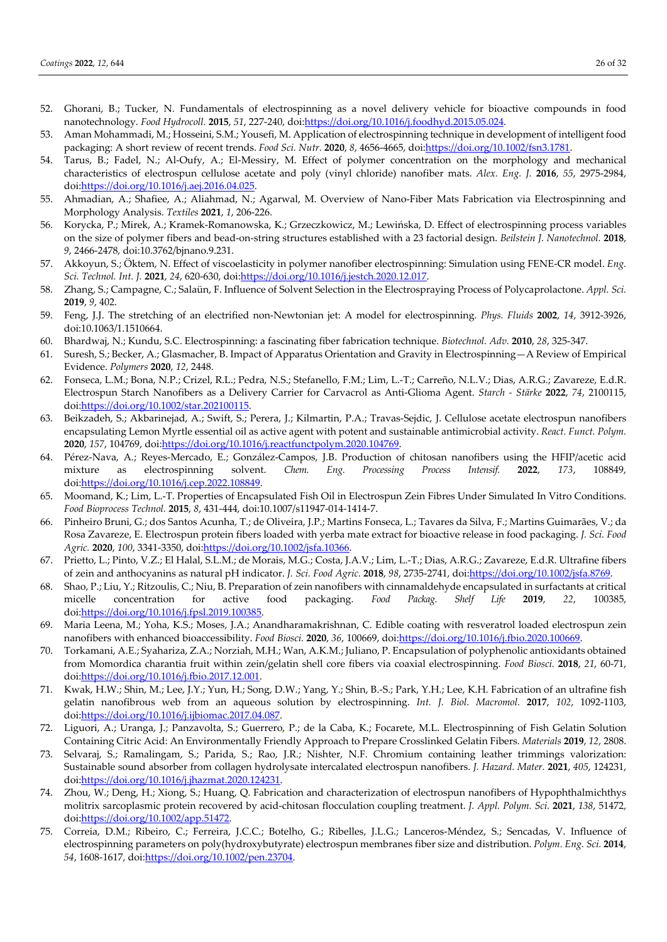- 52. Ghorani, B.; Tucker, N. Fundamentals of electrospinning as a novel delivery vehicle for bioactive compounds in food nanotechnology. *Food Hydrocoll.* **2015**, *51*, 227-240, doi:https://doi.org/10.1016/j.foodhyd.2015.05.024.
- 53. Aman Mohammadi, M.; Hosseini, S.M.; Yousefi, M. Application of electrospinning technique in development of intelligent food packaging: A short review of recent trends. *Food Sci. Nutr.* **2020**, *8*, 4656-4665, doi:https://doi.org/10.1002/fsn3.1781.
- 54. Tarus, B.; Fadel, N.; Al-Oufy, A.; El-Messiry, M. Effect of polymer concentration on the morphology and mechanical characteristics of electrospun cellulose acetate and poly (vinyl chloride) nanofiber mats. *Alex. Eng. J.* **2016**, *55*, 2975-2984, doi:https://doi.org/10.1016/j.aej.2016.04.025.
- 55. Ahmadian, A.; Shafiee, A.; Aliahmad, N.; Agarwal, M. Overview of Nano-Fiber Mats Fabrication via Electrospinning and Morphology Analysis. *Textiles* **2021**, *1*, 206-226.
- 56. Korycka, P.; Mirek, A.; Kramek-Romanowska, K.; Grzeczkowicz, M.; Lewińska, D. Effect of electrospinning process variables on the size of polymer fibers and bead-on-string structures established with a 23 factorial design. *Beilstein J. Nanotechnol.* **2018**, *9*, 2466-2478, doi:10.3762/bjnano.9.231.
- 57. Akkoyun, S.; Öktem, N. Effect of viscoelasticity in polymer nanofiber electrospinning: Simulation using FENE-CR model. *Eng. Sci. Technol. Int. J.* **2021**, *24*, 620-630, doi:https://doi.org/10.1016/j.jestch.2020.12.017.
- 58. Zhang, S.; Campagne, C.; Salaün, F. Influence of Solvent Selection in the Electrospraying Process of Polycaprolactone. *Appl. Sci.*  **2019**, *9*, 402.
- 59. Feng, J.J. The stretching of an electrified non-Newtonian jet: A model for electrospinning. *Phys. Fluids* **2002**, *14*, 3912-3926, doi:10.1063/1.1510664.
- 60. Bhardwaj, N.; Kundu, S.C. Electrospinning: a fascinating fiber fabrication technique. *Biotechnol. Adv.* **2010**, *28*, 325-347.
- 61. Suresh, S.; Becker, A.; Glasmacher, B. Impact of Apparatus Orientation and Gravity in Electrospinning—A Review of Empirical Evidence. *Polymers* **2020**, *12*, 2448.
- 62. Fonseca, L.M.; Bona, N.P.; Crizel, R.L.; Pedra, N.S.; Stefanello, F.M.; Lim, L.-T.; Carreño, N.L.V.; Dias, A.R.G.; Zavareze, E.d.R. Electrospun Starch Nanofibers as a Delivery Carrier for Carvacrol as Anti-Glioma Agent. *Starch - Stärke* **2022**, *74*, 2100115, doi:https://doi.org/10.1002/star.202100115.
- 63. Beikzadeh, S.; Akbarinejad, A.; Swift, S.; Perera, J.; Kilmartin, P.A.; Travas-Sejdic, J. Cellulose acetate electrospun nanofibers encapsulating Lemon Myrtle essential oil as active agent with potent and sustainable antimicrobial activity. *React. Funct. Polym.*  **2020**, *157*, 104769, doi:https://doi.org/10.1016/j.reactfunctpolym.2020.104769.
- 64. Pérez-Nava, A.; Reyes-Mercado, E.; González-Campos, J.B. Production of chitosan nanofibers using the HFIP/acetic acid mixture as electrospinning solvent. *Chem. Eng. Processing Process Intensif.* **2022**, *173*, 108849, doi:https://doi.org/10.1016/j.cep.2022.108849.
- 65. Moomand, K.; Lim, L.-T. Properties of Encapsulated Fish Oil in Electrospun Zein Fibres Under Simulated In Vitro Conditions. *Food Bioprocess Technol.* **2015**, *8*, 431-444, doi:10.1007/s11947-014-1414-7.
- 66. Pinheiro Bruni, G.; dos Santos Acunha, T.; de Oliveira, J.P.; Martins Fonseca, L.; Tavares da Silva, F.; Martins Guimarães, V.; da Rosa Zavareze, E. Electrospun protein fibers loaded with yerba mate extract for bioactive release in food packaging. *J. Sci. Food Agric.* **2020**, *100*, 3341-3350, doi:https://doi.org/10.1002/jsfa.10366.
- 67. Prietto, L.; Pinto, V.Z.; El Halal, S.L.M.; de Morais, M.G.; Costa, J.A.V.; Lim, L.-T.; Dias, A.R.G.; Zavareze, E.d.R. Ultrafine fibers of zein and anthocyanins as natural pH indicator. *J. Sci. Food Agric.* **2018**, *98*, 2735-2741, doi:https://doi.org/10.1002/jsfa.8769.
- 68. Shao, P.; Liu, Y.; Ritzoulis, C.; Niu, B. Preparation of zein nanofibers with cinnamaldehyde encapsulated in surfactants at critical micelle concentration for active food packaging. *Food Packag. Shelf Life* **2019**, *22*, 100385, doi:https://doi.org/10.1016/j.fpsl.2019.100385.
- 69. Maria Leena, M.; Yoha, K.S.; Moses, J.A.; Anandharamakrishnan, C. Edible coating with resveratrol loaded electrospun zein nanofibers with enhanced bioaccessibility. *Food Biosci.* **2020**, *36*, 100669, doi:https://doi.org/10.1016/j.fbio.2020.100669.
- 70. Torkamani, A.E.; Syahariza, Z.A.; Norziah, M.H.; Wan, A.K.M.; Juliano, P. Encapsulation of polyphenolic antioxidants obtained from Momordica charantia fruit within zein/gelatin shell core fibers via coaxial electrospinning. *Food Biosci.* **2018**, *21*, 60-71, doi:https://doi.org/10.1016/j.fbio.2017.12.001.
- 71. Kwak, H.W.; Shin, M.; Lee, J.Y.; Yun, H.; Song, D.W.; Yang, Y.; Shin, B.-S.; Park, Y.H.; Lee, K.H. Fabrication of an ultrafine fish gelatin nanofibrous web from an aqueous solution by electrospinning. *Int. J. Biol. Macromol.* **2017**, *102*, 1092-1103, doi:https://doi.org/10.1016/j.ijbiomac.2017.04.087.
- 72. Liguori, A.; Uranga, J.; Panzavolta, S.; Guerrero, P.; de la Caba, K.; Focarete, M.L. Electrospinning of Fish Gelatin Solution Containing Citric Acid: An Environmentally Friendly Approach to Prepare Crosslinked Gelatin Fibers. *Materials* **2019**, *12*, 2808.
- 73. Selvaraj, S.; Ramalingam, S.; Parida, S.; Rao, J.R.; Nishter, N.F. Chromium containing leather trimmings valorization: Sustainable sound absorber from collagen hydrolysate intercalated electrospun nanofibers. *J. Hazard. Mater.* **2021**, *405*, 124231, doi:https://doi.org/10.1016/j.jhazmat.2020.124231.
- 74. Zhou, W.; Deng, H.; Xiong, S.; Huang, Q. Fabrication and characterization of electrospun nanofibers of Hypophthalmichthys molitrix sarcoplasmic protein recovered by acid-chitosan flocculation coupling treatment. *J. Appl. Polym. Sci.* **2021**, *138*, 51472, doi:https://doi.org/10.1002/app.51472.
- 75. Correia, D.M.; Ribeiro, C.; Ferreira, J.C.C.; Botelho, G.; Ribelles, J.L.G.; Lanceros-Méndez, S.; Sencadas, V. Influence of electrospinning parameters on poly(hydroxybutyrate) electrospun membranes fiber size and distribution. *Polym. Eng. Sci.* **2014**, *54*, 1608-1617, doi:https://doi.org/10.1002/pen.23704.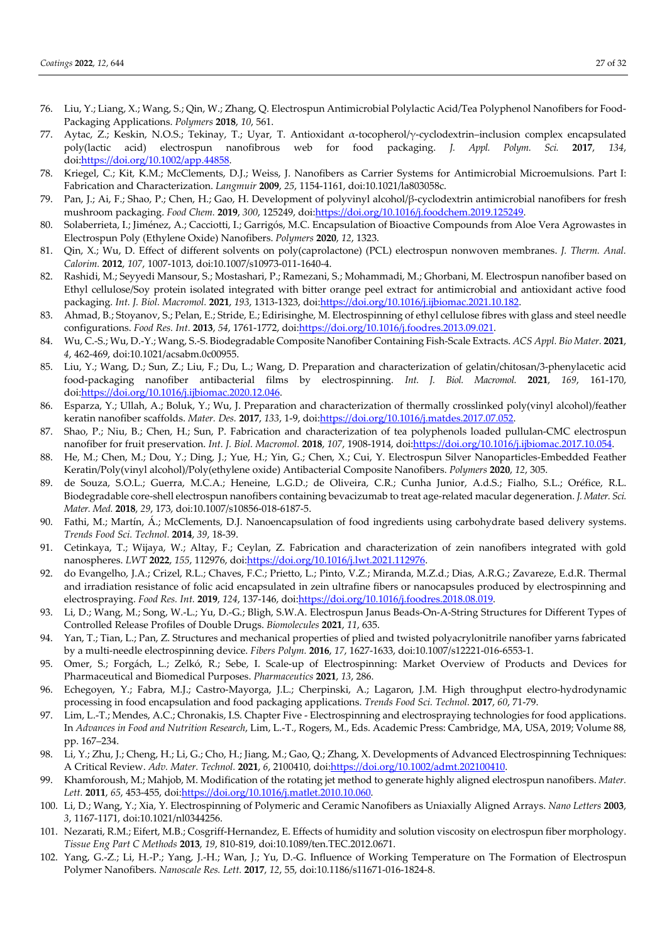- 76. Liu, Y.; Liang, X.; Wang, S.; Qin, W.; Zhang, Q. Electrospun Antimicrobial Polylactic Acid/Tea Polyphenol Nanofibers for Food-Packaging Applications. *Polymers* **2018**, *10*, 561.
- 77. Aytac, Z.; Keskin, N.O.S.; Tekinay, T.; Uyar, T. Antioxidant α-tocopherol/γ-cyclodextrin–inclusion complex encapsulated poly(lactic acid) electrospun nanofibrous web for food packaging. *J. Appl. Polym. Sci.* **2017**, *134*, doi:https://doi.org/10.1002/app.44858.
- 78. Kriegel, C.; Kit, K.M.; McClements, D.J.; Weiss, J. Nanofibers as Carrier Systems for Antimicrobial Microemulsions. Part I: Fabrication and Characterization. *Langmuir* **2009**, *25*, 1154-1161, doi:10.1021/la803058c.
- 79. Pan, J.; Ai, F.; Shao, P.; Chen, H.; Gao, H. Development of polyvinyl alcohol/β-cyclodextrin antimicrobial nanofibers for fresh mushroom packaging. *Food Chem.* **2019**, *300*, 125249, doi:https://doi.org/10.1016/j.foodchem.2019.125249.
- 80. Solaberrieta, I.; Jiménez, A.; Cacciotti, I.; Garrigós, M.C. Encapsulation of Bioactive Compounds from Aloe Vera Agrowastes in Electrospun Poly (Ethylene Oxide) Nanofibers. *Polymers* **2020**, *12*, 1323.
- 81. Qin, X.; Wu, D. Effect of different solvents on poly(caprolactone) (PCL) electrospun nonwoven membranes. *J. Therm. Anal. Calorim.* **2012**, *107*, 1007-1013, doi:10.1007/s10973-011-1640-4.
- 82. Rashidi, M.; Seyyedi Mansour, S.; Mostashari, P.; Ramezani, S.; Mohammadi, M.; Ghorbani, M. Electrospun nanofiber based on Ethyl cellulose/Soy protein isolated integrated with bitter orange peel extract for antimicrobial and antioxidant active food packaging. *Int. J. Biol. Macromol.* **2021**, *193*, 1313-1323, doi:https://doi.org/10.1016/j.ijbiomac.2021.10.182.
- 83. Ahmad, B.; Stoyanov, S.; Pelan, E.; Stride, E.; Edirisinghe, M. Electrospinning of ethyl cellulose fibres with glass and steel needle configurations. *Food Res. Int.* **2013**, *54*, 1761-1772, doi:https://doi.org/10.1016/j.foodres.2013.09.021.
- 84. Wu, C.-S.; Wu, D.-Y.; Wang, S.-S. Biodegradable Composite Nanofiber Containing Fish-Scale Extracts. *ACS Appl. Bio Mater.* **2021**, *4*, 462-469, doi:10.1021/acsabm.0c00955.
- 85. Liu, Y.; Wang, D.; Sun, Z.; Liu, F.; Du, L.; Wang, D. Preparation and characterization of gelatin/chitosan/3-phenylacetic acid food-packaging nanofiber antibacterial films by electrospinning. *Int. J. Biol. Macromol.* **2021**, *169*, 161-170, doi:https://doi.org/10.1016/j.ijbiomac.2020.12.046.
- 86. Esparza, Y.; Ullah, A.; Boluk, Y.; Wu, J. Preparation and characterization of thermally crosslinked poly(vinyl alcohol)/feather keratin nanofiber scaffolds. *Mater. Des.* **2017**, *133*, 1-9, doi:https://doi.org/10.1016/j.matdes.2017.07.052.
- 87. Shao, P.; Niu, B.; Chen, H.; Sun, P. Fabrication and characterization of tea polyphenols loaded pullulan-CMC electrospun nanofiber for fruit preservation. *Int. J. Biol. Macromol.* **2018**, *107*, 1908-1914, doi:https://doi.org/10.1016/j.ijbiomac.2017.10.054.
- 88. He, M.; Chen, M.; Dou, Y.; Ding, J.; Yue, H.; Yin, G.; Chen, X.; Cui, Y. Electrospun Silver Nanoparticles-Embedded Feather Keratin/Poly(vinyl alcohol)/Poly(ethylene oxide) Antibacterial Composite Nanofibers. *Polymers* **2020**, *12*, 305.
- 89. de Souza, S.O.L.; Guerra, M.C.A.; Heneine, L.G.D.; de Oliveira, C.R.; Cunha Junior, A.d.S.; Fialho, S.L.; Oréfice, R.L. Biodegradable core-shell electrospun nanofibers containing bevacizumab to treat age-related macular degeneration. *J. Mater. Sci. Mater. Med.* **2018**, *29*, 173, doi:10.1007/s10856-018-6187-5.
- 90. Fathi, M.; Martín, Á.; McClements, D.J. Nanoencapsulation of food ingredients using carbohydrate based delivery systems. *Trends Food Sci. Technol.* **2014**, *39*, 18-39.
- 91. Cetinkaya, T.; Wijaya, W.; Altay, F.; Ceylan, Z. Fabrication and characterization of zein nanofibers integrated with gold nanospheres. *LWT* **2022**, *155*, 112976, doi:https://doi.org/10.1016/j.lwt.2021.112976.
- 92. do Evangelho, J.A.; Crizel, R.L.; Chaves, F.C.; Prietto, L.; Pinto, V.Z.; Miranda, M.Z.d.; Dias, A.R.G.; Zavareze, E.d.R. Thermal and irradiation resistance of folic acid encapsulated in zein ultrafine fibers or nanocapsules produced by electrospinning and electrospraying. *Food Res. Int.* **2019**, *124*, 137-146, doi:https://doi.org/10.1016/j.foodres.2018.08.019.
- 93. Li, D.; Wang, M.; Song, W.-L.; Yu, D.-G.; Bligh, S.W.A. Electrospun Janus Beads-On-A-String Structures for Different Types of Controlled Release Profiles of Double Drugs. *Biomolecules* **2021**, *11*, 635.
- 94. Yan, T.; Tian, L.; Pan, Z. Structures and mechanical properties of plied and twisted polyacrylonitrile nanofiber yarns fabricated by a multi-needle electrospinning device. *Fibers Polym.* **2016**, *17*, 1627-1633, doi:10.1007/s12221-016-6553-1.
- 95. Omer, S.; Forgách, L.; Zelkó, R.; Sebe, I. Scale-up of Electrospinning: Market Overview of Products and Devices for Pharmaceutical and Biomedical Purposes. *Pharmaceutics* **2021**, *13*, 286.
- 96. Echegoyen, Y.; Fabra, M.J.; Castro-Mayorga, J.L.; Cherpinski, A.; Lagaron, J.M. High throughput electro-hydrodynamic processing in food encapsulation and food packaging applications. *Trends Food Sci. Technol.* **2017**, *60*, 71-79.
- 97. Lim, L.-T.; Mendes, A.C.; Chronakis, I.S. Chapter Five Electrospinning and electrospraying technologies for food applications. In *Advances in Food and Nutrition Research*, Lim, L.-T., Rogers, M., Eds. Academic Press: Cambridge, MA, USA, 2019; Volume 88, pp. 167–234.
- 98. Li, Y.; Zhu, J.; Cheng, H.; Li, G.; Cho, H.; Jiang, M.; Gao, Q.; Zhang, X. Developments of Advanced Electrospinning Techniques: A Critical Review. *Adv. Mater. Technol.* **2021**, *6*, 2100410, doi:https://doi.org/10.1002/admt.202100410.
- 99. Khamforoush, M.; Mahjob, M. Modification of the rotating jet method to generate highly aligned electrospun nanofibers. *Mater. Lett.* **2011**, *65*, 453-455, doi:https://doi.org/10.1016/j.matlet.2010.10.060.
- 100. Li, D.; Wang, Y.; Xia, Y. Electrospinning of Polymeric and Ceramic Nanofibers as Uniaxially Aligned Arrays. *Nano Letters* **2003**, *3*, 1167-1171, doi:10.1021/nl0344256.
- 101. Nezarati, R.M.; Eifert, M.B.; Cosgriff-Hernandez, E. Effects of humidity and solution viscosity on electrospun fiber morphology. *Tissue Eng Part C Methods* **2013**, *19*, 810-819, doi:10.1089/ten.TEC.2012.0671.
- 102. Yang, G.-Z.; Li, H.-P.; Yang, J.-H.; Wan, J.; Yu, D.-G. Influence of Working Temperature on The Formation of Electrospun Polymer Nanofibers. *Nanoscale Res. Lett.* **2017**, *12*, 55, doi:10.1186/s11671-016-1824-8.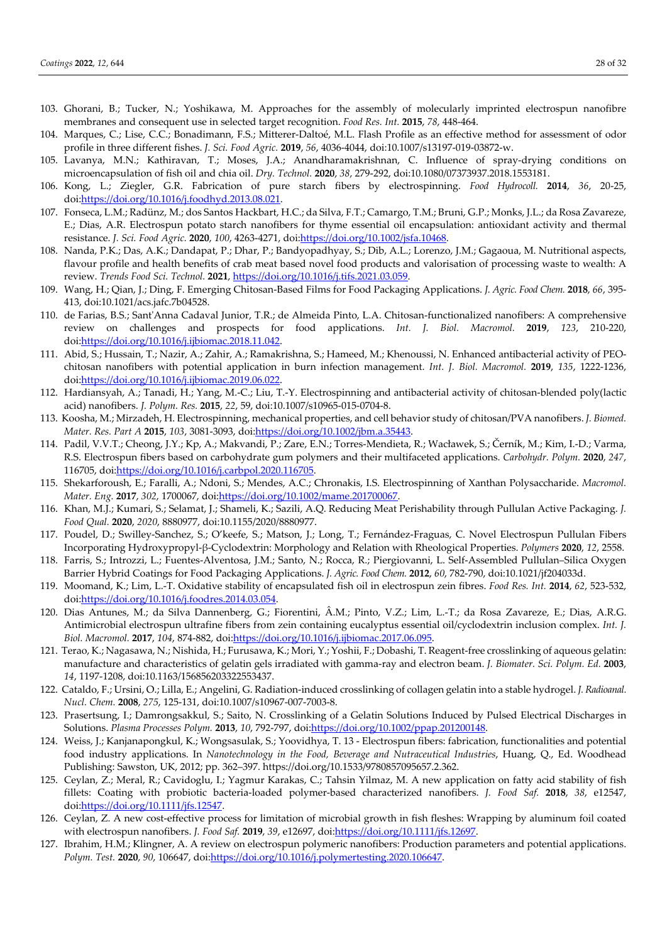- 103. Ghorani, B.; Tucker, N.; Yoshikawa, M. Approaches for the assembly of molecularly imprinted electrospun nanofibre membranes and consequent use in selected target recognition. *Food Res. Int.* **2015**, *78*, 448-464.
- 104. Marques, C.; Lise, C.C.; Bonadimann, F.S.; Mitterer-Daltoé, M.L. Flash Profile as an effective method for assessment of odor profile in three different fishes. *J. Sci. Food Agric.* **2019**, *56*, 4036-4044, doi:10.1007/s13197-019-03872-w.
- 105. Lavanya, M.N.; Kathiravan, T.; Moses, J.A.; Anandharamakrishnan, C. Influence of spray-drying conditions on microencapsulation of fish oil and chia oil. *Dry. Technol.* **2020**, *38*, 279-292, doi:10.1080/07373937.2018.1553181.
- 106. Kong, L.; Ziegler, G.R. Fabrication of pure starch fibers by electrospinning. *Food Hydrocoll.* **2014**, *36*, 20-25, doi:https://doi.org/10.1016/j.foodhyd.2013.08.021.
- 107. Fonseca, L.M.; Radünz, M.; dos Santos Hackbart, H.C.; da Silva, F.T.; Camargo, T.M.; Bruni, G.P.; Monks, J.L.; da Rosa Zavareze, E.; Dias, A.R. Electrospun potato starch nanofibers for thyme essential oil encapsulation: antioxidant activity and thermal resistance. *J. Sci. Food Agric.* **2020**, *100*, 4263-4271, doi:https://doi.org/10.1002/jsfa.10468.
- 108. Nanda, P.K.; Das, A.K.; Dandapat, P.; Dhar, P.; Bandyopadhyay, S.; Dib, A.L.; Lorenzo, J.M.; Gagaoua, M. Nutritional aspects, flavour profile and health benefits of crab meat based novel food products and valorisation of processing waste to wealth: A review. *Trends Food Sci. Technol.* **2021**, https://doi.org/10.1016/j.tifs.2021.03.059.
- 109. Wang, H.; Qian, J.; Ding, F. Emerging Chitosan-Based Films for Food Packaging Applications. *J. Agric. Food Chem.* **2018**, *66*, 395- 413, doi:10.1021/acs.jafc.7b04528.
- 110. de Farias, B.S.; Sant'Anna Cadaval Junior, T.R.; de Almeida Pinto, L.A. Chitosan-functionalized nanofibers: A comprehensive review on challenges and prospects for food applications. *Int. J. Biol. Macromol.* **2019**, *123*, 210-220, doi:https://doi.org/10.1016/j.ijbiomac.2018.11.042.
- 111. Abid, S.; Hussain, T.; Nazir, A.; Zahir, A.; Ramakrishna, S.; Hameed, M.; Khenoussi, N. Enhanced antibacterial activity of PEOchitosan nanofibers with potential application in burn infection management. *Int. J. Biol. Macromol.* **2019**, *135*, 1222-1236, doi:https://doi.org/10.1016/j.ijbiomac.2019.06.022.
- 112. Hardiansyah, A.; Tanadi, H.; Yang, M.-C.; Liu, T.-Y. Electrospinning and antibacterial activity of chitosan-blended poly(lactic acid) nanofibers. *J. Polym. Res.* **2015**, *22*, 59, doi:10.1007/s10965-015-0704-8.
- 113. Koosha, M.; Mirzadeh, H. Electrospinning, mechanical properties, and cell behavior study of chitosan/PVA nanofibers. *J. Biomed. Mater. Res. Part A* **2015**, *103*, 3081-3093, doi:https://doi.org/10.1002/jbm.a.35443.
- 114. Padil, V.V.T.; Cheong, J.Y.; Kp, A.; Makvandi, P.; Zare, E.N.; Torres-Mendieta, R.; Wacławek, S.; Černík, M.; Kim, I.-D.; Varma, R.S. Electrospun fibers based on carbohydrate gum polymers and their multifaceted applications. *Carbohydr. Polym.* **2020**, *247*, 116705, doi:https://doi.org/10.1016/j.carbpol.2020.116705.
- 115. Shekarforoush, E.; Faralli, A.; Ndoni, S.; Mendes, A.C.; Chronakis, I.S. Electrospinning of Xanthan Polysaccharide. *Macromol. Mater. Eng.* **2017**, *302*, 1700067, doi:https://doi.org/10.1002/mame.201700067.
- 116. Khan, M.J.; Kumari, S.; Selamat, J.; Shameli, K.; Sazili, A.Q. Reducing Meat Perishability through Pullulan Active Packaging. *J. Food Qual.* **2020**, *2020*, 8880977, doi:10.1155/2020/8880977.
- 117. Poudel, D.; Swilley-Sanchez, S.; O'keefe, S.; Matson, J.; Long, T.; Fernández-Fraguas, C. Novel Electrospun Pullulan Fibers Incorporating Hydroxypropyl-β-Cyclodextrin: Morphology and Relation with Rheological Properties. *Polymers* **2020**, *12*, 2558.
- 118. Farris, S.; Introzzi, L.; Fuentes-Alventosa, J.M.; Santo, N.; Rocca, R.; Piergiovanni, L. Self-Assembled Pullulan–Silica Oxygen Barrier Hybrid Coatings for Food Packaging Applications. *J. Agric. Food Chem.* **2012**, *60*, 782-790, doi:10.1021/jf204033d.
- 119. Moomand, K.; Lim, L.-T. Oxidative stability of encapsulated fish oil in electrospun zein fibres. *Food Res. Int.* **2014**, *62*, 523-532, doi:https://doi.org/10.1016/j.foodres.2014.03.054.
- 120. Dias Antunes, M.; da Silva Dannenberg, G.; Fiorentini, Â.M.; Pinto, V.Z.; Lim, L.-T.; da Rosa Zavareze, E.; Dias, A.R.G. Antimicrobial electrospun ultrafine fibers from zein containing eucalyptus essential oil/cyclodextrin inclusion complex. *Int. J. Biol. Macromol.* **2017**, *104*, 874-882, doi:https://doi.org/10.1016/j.ijbiomac.2017.06.095.
- 121. Terao, K.; Nagasawa, N.; Nishida, H.; Furusawa, K.; Mori, Y.; Yoshii, F.; Dobashi, T. Reagent-free crosslinking of aqueous gelatin: manufacture and characteristics of gelatin gels irradiated with gamma-ray and electron beam. *J. Biomater. Sci. Polym. Ed.* **2003**, *14*, 1197-1208, doi:10.1163/156856203322553437.
- 122. Cataldo, F.; Ursini, O.; Lilla, E.; Angelini, G. Radiation-induced crosslinking of collagen gelatin into a stable hydrogel. *J. Radioanal. Nucl. Chem.* **2008**, *275*, 125-131, doi:10.1007/s10967-007-7003-8.
- 123. Prasertsung, I.; Damrongsakkul, S.; Saito, N. Crosslinking of a Gelatin Solutions Induced by Pulsed Electrical Discharges in Solutions. *Plasma Processes Polym.* **2013**, *10*, 792-797, doi:https://doi.org/10.1002/ppap.201200148.
- 124. Weiss, J.; Kanjanapongkul, K.; Wongsasulak, S.; Yoovidhya, T. 13 Electrospun fibers: fabrication, functionalities and potential food industry applications. In *Nanotechnology in the Food, Beverage and Nutraceutical Industries*, Huang, Q., Ed. Woodhead Publishing: Sawston, UK, 2012; pp. 362–397. https://doi.org/10.1533/9780857095657.2.362.
- 125. Ceylan, Z.; Meral, R.; Cavidoglu, I.; Yagmur Karakas, C.; Tahsin Yilmaz, M. A new application on fatty acid stability of fish fillets: Coating with probiotic bacteria-loaded polymer-based characterized nanofibers. *J. Food Saf.* **2018**, *38*, e12547, doi:https://doi.org/10.1111/jfs.12547.
- 126. Ceylan, Z. A new cost-effective process for limitation of microbial growth in fish fleshes: Wrapping by aluminum foil coated with electrospun nanofibers. *J. Food Saf.* **2019**, *39*, e12697, doi:https://doi.org/10.1111/jfs.12697.
- 127. Ibrahim, H.M.; Klingner, A. A review on electrospun polymeric nanofibers: Production parameters and potential applications. *Polym. Test.* **2020**, *90*, 106647, doi:https://doi.org/10.1016/j.polymertesting.2020.106647.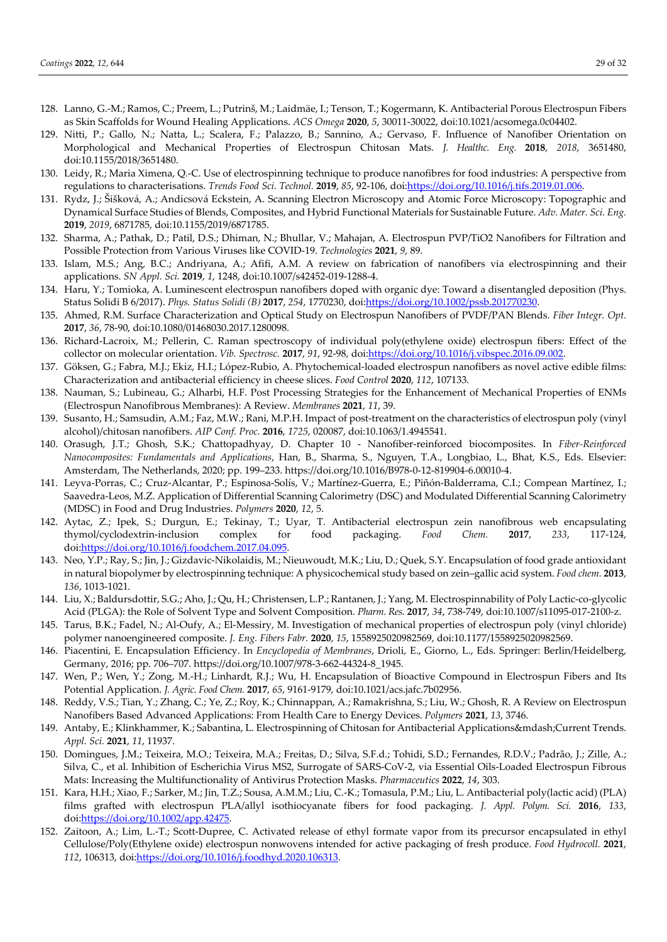- 128. Lanno, G.-M.; Ramos, C.; Preem, L.; Putrinš, M.; Laidmäe, I.; Tenson, T.; Kogermann, K. Antibacterial Porous Electrospun Fibers as Skin Scaffolds for Wound Healing Applications. *ACS Omega* **2020**, *5*, 30011-30022, doi:10.1021/acsomega.0c04402.
- 129. Nitti, P.; Gallo, N.; Natta, L.; Scalera, F.; Palazzo, B.; Sannino, A.; Gervaso, F. Influence of Nanofiber Orientation on Morphological and Mechanical Properties of Electrospun Chitosan Mats. *J. Healthc. Eng.* **2018**, *2018*, 3651480, doi:10.1155/2018/3651480.
- 130. Leidy, R.; Maria Ximena, Q.-C. Use of electrospinning technique to produce nanofibres for food industries: A perspective from regulations to characterisations. *Trends Food Sci. Technol.* **2019**, *85*, 92-106, doi:https://doi.org/10.1016/j.tifs.2019.01.006.
- 131. Rydz, J.; Šišková, A.; Andicsová Eckstein, A. Scanning Electron Microscopy and Atomic Force Microscopy: Topographic and Dynamical Surface Studies of Blends, Composites, and Hybrid Functional Materials for Sustainable Future. *Adv. Mater. Sci. Eng.*  **2019**, *2019*, 6871785, doi:10.1155/2019/6871785.
- 132. Sharma, A.; Pathak, D.; Patil, D.S.; Dhiman, N.; Bhullar, V.; Mahajan, A. Electrospun PVP/TiO2 Nanofibers for Filtration and Possible Protection from Various Viruses like COVID-19. *Technologies* **2021**, *9*, 89.
- 133. Islam, M.S.; Ang, B.C.; Andriyana, A.; Afifi, A.M. A review on fabrication of nanofibers via electrospinning and their applications. *SN Appl. Sci.* **2019**, *1*, 1248, doi:10.1007/s42452-019-1288-4.
- 134. Haru, Y.; Tomioka, A. Luminescent electrospun nanofibers doped with organic dye: Toward a disentangled deposition (Phys. Status Solidi B 6/2017). *Phys. Status Solidi (B)* **2017**, *254*, 1770230, doi:https://doi.org/10.1002/pssb.201770230.
- 135. Ahmed, R.M. Surface Characterization and Optical Study on Electrospun Nanofibers of PVDF/PAN Blends. *Fiber Integr. Opt.*  **2017**, *36*, 78-90, doi:10.1080/01468030.2017.1280098.
- 136. Richard-Lacroix, M.; Pellerin, C. Raman spectroscopy of individual poly(ethylene oxide) electrospun fibers: Effect of the collector on molecular orientation. *Vib. Spectrosc.* **2017**, *91*, 92-98, doi:https://doi.org/10.1016/j.vibspec.2016.09.002.
- 137. Göksen, G.; Fabra, M.J.; Ekiz, H.I.; López-Rubio, A. Phytochemical-loaded electrospun nanofibers as novel active edible films: Characterization and antibacterial efficiency in cheese slices. *Food Control* **2020**, *112*, 107133.
- 138. Nauman, S.; Lubineau, G.; Alharbi, H.F. Post Processing Strategies for the Enhancement of Mechanical Properties of ENMs (Electrospun Nanofibrous Membranes): A Review. *Membranes* **2021**, *11*, 39.
- 139. Susanto, H.; Samsudin, A.M.; Faz, M.W.; Rani, M.P.H. Impact of post-treatment on the characteristics of electrospun poly (vinyl alcohol)/chitosan nanofibers. *AIP Conf. Proc.* **2016**, *1725*, 020087, doi:10.1063/1.4945541.
- 140. Orasugh, J.T.; Ghosh, S.K.; Chattopadhyay, D. Chapter 10 Nanofiber-reinforced biocomposites. In *Fiber-Reinforced Nanocomposites: Fundamentals and Applications*, Han, B., Sharma, S., Nguyen, T.A., Longbiao, L., Bhat, K.S., Eds. Elsevier: Amsterdam, The Netherlands, 2020; pp. 199–233. https://doi.org/10.1016/B978-0-12-819904-6.00010-4.
- 141. Leyva-Porras, C.; Cruz-Alcantar, P.; Espinosa-Solís, V.; Martínez-Guerra, E.; Piñón-Balderrama, C.I.; Compean Martínez, I.; Saavedra-Leos, M.Z. Application of Differential Scanning Calorimetry (DSC) and Modulated Differential Scanning Calorimetry (MDSC) in Food and Drug Industries. *Polymers* **2020**, *12*, 5.
- 142. Aytac, Z.; Ipek, S.; Durgun, E.; Tekinay, T.; Uyar, T. Antibacterial electrospun zein nanofibrous web encapsulating thymol/cyclodextrin-inclusion complex for food packaging. *Food Chem.* **2017**, *233*, 117-124, doi:https://doi.org/10.1016/j.foodchem.2017.04.095.
- 143. Neo, Y.P.; Ray, S.; Jin, J.; Gizdavic-Nikolaidis, M.; Nieuwoudt, M.K.; Liu, D.; Quek, S.Y. Encapsulation of food grade antioxidant in natural biopolymer by electrospinning technique: A physicochemical study based on zein–gallic acid system. *Food chem.* **2013**, *136*, 1013-1021.
- 144. Liu, X.; Baldursdottir, S.G.; Aho, J.; Qu, H.; Christensen, L.P.; Rantanen, J.; Yang, M. Electrospinnability of Poly Lactic-co-glycolic Acid (PLGA): the Role of Solvent Type and Solvent Composition. *Pharm. Res.* **2017**, *34*, 738-749, doi:10.1007/s11095-017-2100-z.
- 145. Tarus, B.K.; Fadel, N.; Al-Oufy, A.; El-Messiry, M. Investigation of mechanical properties of electrospun poly (vinyl chloride) polymer nanoengineered composite. *J. Eng. Fibers Fabr.* **2020**, *15*, 1558925020982569, doi:10.1177/1558925020982569.
- 146. Piacentini, E. Encapsulation Efficiency. In *Encyclopedia of Membranes*, Drioli, E., Giorno, L., Eds. Springer: Berlin/Heidelberg, Germany, 2016; pp. 706–707. https://doi.org/10.1007/978-3-662-44324-8\_1945.
- 147. Wen, P.; Wen, Y.; Zong, M.-H.; Linhardt, R.J.; Wu, H. Encapsulation of Bioactive Compound in Electrospun Fibers and Its Potential Application. *J. Agric. Food Chem.* **2017**, *65*, 9161-9179, doi:10.1021/acs.jafc.7b02956.
- 148. Reddy, V.S.; Tian, Y.; Zhang, C.; Ye, Z.; Roy, K.; Chinnappan, A.; Ramakrishna, S.; Liu, W.; Ghosh, R. A Review on Electrospun Nanofibers Based Advanced Applications: From Health Care to Energy Devices. *Polymers* **2021**, *13*, 3746.
- 149. Antaby, E.; Klinkhammer, K.; Sabantina, L. Electrospinning of Chitosan for Antibacterial Applications—Current Trends. *Appl. Sci.* **2021**, *11*, 11937.
- 150. Domingues, J.M.; Teixeira, M.O.; Teixeira, M.A.; Freitas, D.; Silva, S.F.d.; Tohidi, S.D.; Fernandes, R.D.V.; Padrão, J.; Zille, A.; Silva, C., et al. Inhibition of Escherichia Virus MS2, Surrogate of SARS-CoV-2, via Essential Oils-Loaded Electrospun Fibrous Mats: Increasing the Multifunctionality of Antivirus Protection Masks. *Pharmaceutics* **2022**, *14*, 303.
- 151. Kara, H.H.; Xiao, F.; Sarker, M.; Jin, T.Z.; Sousa, A.M.M.; Liu, C.-K.; Tomasula, P.M.; Liu, L. Antibacterial poly(lactic acid) (PLA) films grafted with electrospun PLA/allyl isothiocyanate fibers for food packaging. *J. Appl. Polym. Sci.* **2016**, *133*, doi:https://doi.org/10.1002/app.42475.
- 152. Zaitoon, A.; Lim, L.-T.; Scott-Dupree, C. Activated release of ethyl formate vapor from its precursor encapsulated in ethyl Cellulose/Poly(Ethylene oxide) electrospun nonwovens intended for active packaging of fresh produce. *Food Hydrocoll.* **2021**, *112*, 106313, doi:https://doi.org/10.1016/j.foodhyd.2020.106313.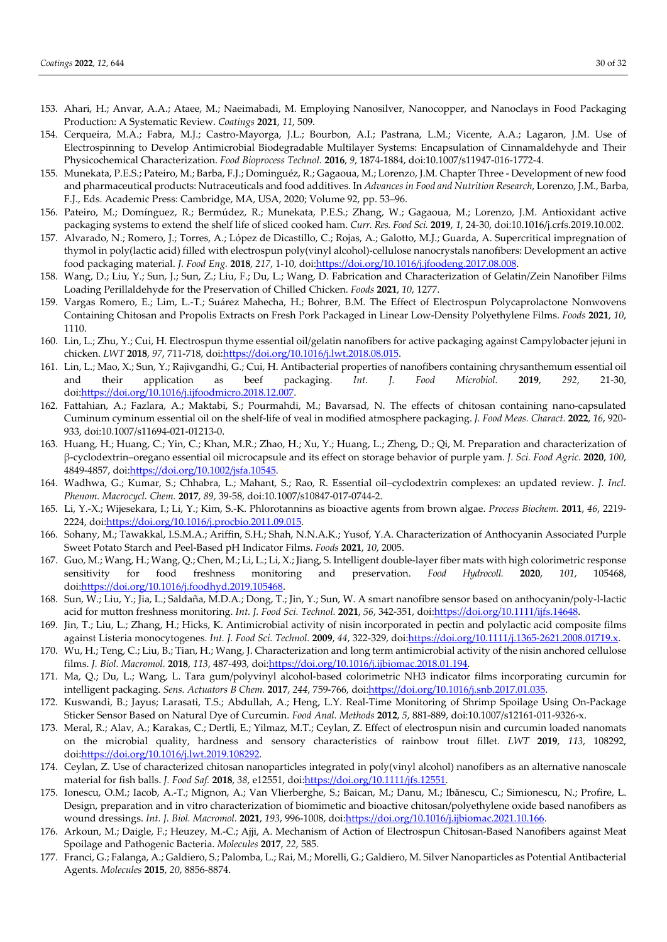- 153. Ahari, H.; Anvar, A.A.; Ataee, M.; Naeimabadi, M. Employing Nanosilver, Nanocopper, and Nanoclays in Food Packaging Production: A Systematic Review. *Coatings* **2021**, *11*, 509.
- 154. Cerqueira, M.A.; Fabra, M.J.; Castro-Mayorga, J.L.; Bourbon, A.I.; Pastrana, L.M.; Vicente, A.A.; Lagaron, J.M. Use of Electrospinning to Develop Antimicrobial Biodegradable Multilayer Systems: Encapsulation of Cinnamaldehyde and Their Physicochemical Characterization. *Food Bioprocess Technol.* **2016**, *9*, 1874-1884, doi:10.1007/s11947-016-1772-4.
- 155. Munekata, P.E.S.; Pateiro, M.; Barba, F.J.; Dominguéz, R.; Gagaoua, M.; Lorenzo, J.M. Chapter Three Development of new food and pharmaceutical products: Nutraceuticals and food additives. In *Advances in Food and Nutrition Research*, Lorenzo, J.M., Barba, F.J., Eds. Academic Press: Cambridge, MA, USA, 2020; Volume 92, pp. 53–96.
- 156. Pateiro, M.; Domínguez, R.; Bermúdez, R.; Munekata, P.E.S.; Zhang, W.; Gagaoua, M.; Lorenzo, J.M. Antioxidant active packaging systems to extend the shelf life of sliced cooked ham. *Curr. Res. Food Sci.* **2019**, *1*, 24-30, doi:10.1016/j.crfs.2019.10.002.
- 157. Alvarado, N.; Romero, J.; Torres, A.; López de Dicastillo, C.; Rojas, A.; Galotto, M.J.; Guarda, A. Supercritical impregnation of thymol in poly(lactic acid) filled with electrospun poly(vinyl alcohol)-cellulose nanocrystals nanofibers: Development an active food packaging material. *J. Food Eng.* **2018**, *217*, 1-10, doi:https://doi.org/10.1016/j.jfoodeng.2017.08.008.
- 158. Wang, D.; Liu, Y.; Sun, J.; Sun, Z.; Liu, F.; Du, L.; Wang, D. Fabrication and Characterization of Gelatin/Zein Nanofiber Films Loading Perillaldehyde for the Preservation of Chilled Chicken. *Foods* **2021**, *10*, 1277.
- 159. Vargas Romero, E.; Lim, L.-T.; Suárez Mahecha, H.; Bohrer, B.M. The Effect of Electrospun Polycaprolactone Nonwovens Containing Chitosan and Propolis Extracts on Fresh Pork Packaged in Linear Low-Density Polyethylene Films. *Foods* **2021**, *10*, 1110.
- 160. Lin, L.; Zhu, Y.; Cui, H. Electrospun thyme essential oil/gelatin nanofibers for active packaging against Campylobacter jejuni in chicken. *LWT* **2018**, *97*, 711-718, doi:https://doi.org/10.1016/j.lwt.2018.08.015.
- 161. Lin, L.; Mao, X.; Sun, Y.; Rajivgandhi, G.; Cui, H. Antibacterial properties of nanofibers containing chrysanthemum essential oil and their application as beef packaging. *Int. J. Food Microbiol.* **2019**, *292*, 21-30, doi:https://doi.org/10.1016/j.ijfoodmicro.2018.12.007.
- 162. Fattahian, A.; Fazlara, A.; Maktabi, S.; Pourmahdi, M.; Bavarsad, N. The effects of chitosan containing nano-capsulated Cuminum cyminum essential oil on the shelf-life of veal in modified atmosphere packaging. *J. Food Meas. Charact.* **2022**, *16*, 920- 933, doi:10.1007/s11694-021-01213-0.
- 163. Huang, H.; Huang, C.; Yin, C.; Khan, M.R.; Zhao, H.; Xu, Y.; Huang, L.; Zheng, D.; Qi, M. Preparation and characterization of β-cyclodextrin–oregano essential oil microcapsule and its effect on storage behavior of purple yam. *J. Sci. Food Agric.* **2020**, *100*, 4849-4857, doi:https://doi.org/10.1002/jsfa.10545.
- 164. Wadhwa, G.; Kumar, S.; Chhabra, L.; Mahant, S.; Rao, R. Essential oil–cyclodextrin complexes: an updated review. *J. Incl. Phenom. Macrocycl. Chem.* **2017**, *89*, 39-58, doi:10.1007/s10847-017-0744-2.
- 165. Li, Y.-X.; Wijesekara, I.; Li, Y.; Kim, S.-K. Phlorotannins as bioactive agents from brown algae. *Process Biochem.* **2011**, *46*, 2219- 2224, doi:https://doi.org/10.1016/j.procbio.2011.09.015.
- 166. Sohany, M.; Tawakkal, I.S.M.A.; Ariffin, S.H.; Shah, N.N.A.K.; Yusof, Y.A. Characterization of Anthocyanin Associated Purple Sweet Potato Starch and Peel-Based pH Indicator Films. *Foods* **2021**, *10*, 2005.
- 167. Guo, M.; Wang, H.; Wang, Q.; Chen, M.; Li, L.; Li, X.; Jiang, S. Intelligent double-layer fiber mats with high colorimetric response sensitivity for food freshness monitoring and preservation. *Food Hydrocoll.* **2020**, *101*, 105468, doi:https://doi.org/10.1016/j.foodhyd.2019.105468.
- 168. Sun, W.; Liu, Y.; Jia, L.; Saldaña, M.D.A.; Dong, T.; Jin, Y.; Sun, W. A smart nanofibre sensor based on anthocyanin/poly-l-lactic acid for mutton freshness monitoring. *Int. J. Food Sci. Technol.* **2021**, *56*, 342-351, doi:https://doi.org/10.1111/ijfs.14648.
- 169. Jin, T.; Liu, L.; Zhang, H.; Hicks, K. Antimicrobial activity of nisin incorporated in pectin and polylactic acid composite films against Listeria monocytogenes. *Int. J. Food Sci. Technol.* **2009**, *44*, 322-329, doi:https://doi.org/10.1111/j.1365-2621.2008.01719.x.
- 170. Wu, H.; Teng, C.; Liu, B.; Tian, H.; Wang, J. Characterization and long term antimicrobial activity of the nisin anchored cellulose films. *J. Biol. Macromol.* **2018**, *113*, 487-493, doi:https://doi.org/10.1016/j.ijbiomac.2018.01.194.
- 171. Ma, Q.; Du, L.; Wang, L. Tara gum/polyvinyl alcohol-based colorimetric NH3 indicator films incorporating curcumin for intelligent packaging. *Sens. Actuators B Chem.* **2017**, *244*, 759-766, doi:https://doi.org/10.1016/j.snb.2017.01.035.
- 172. Kuswandi, B.; Jayus; Larasati, T.S.; Abdullah, A.; Heng, L.Y. Real-Time Monitoring of Shrimp Spoilage Using On-Package Sticker Sensor Based on Natural Dye of Curcumin. *Food Anal. Methods* **2012**, *5*, 881-889, doi:10.1007/s12161-011-9326-x.
- 173. Meral, R.; Alav, A.; Karakas, C.; Dertli, E.; Yilmaz, M.T.; Ceylan, Z. Effect of electrospun nisin and curcumin loaded nanomats on the microbial quality, hardness and sensory characteristics of rainbow trout fillet. *LWT* **2019**, *113*, 108292, doi:https://doi.org/10.1016/j.lwt.2019.108292.
- 174. Ceylan, Z. Use of characterized chitosan nanoparticles integrated in poly(vinyl alcohol) nanofibers as an alternative nanoscale material for fish balls. *J. Food Saf.* **2018**, *38*, e12551, doi:https://doi.org/10.1111/jfs.12551.
- 175. Ionescu, O.M.; Iacob, A.-T.; Mignon, A.; Van Vlierberghe, S.; Baican, M.; Danu, M.; Ibănescu, C.; Simionescu, N.; Profire, L. Design, preparation and in vitro characterization of biomimetic and bioactive chitosan/polyethylene oxide based nanofibers as wound dressings. *Int. J. Biol. Macromol.* **2021**, *193*, 996-1008, doi:https://doi.org/10.1016/j.ijbiomac.2021.10.166.
- 176. Arkoun, M.; Daigle, F.; Heuzey, M.-C.; Ajji, A. Mechanism of Action of Electrospun Chitosan-Based Nanofibers against Meat Spoilage and Pathogenic Bacteria. *Molecules* **2017**, *22*, 585.
- 177. Franci, G.; Falanga, A.; Galdiero, S.; Palomba, L.; Rai, M.; Morelli, G.; Galdiero, M. Silver Nanoparticles as Potential Antibacterial Agents. *Molecules* **2015**, *20*, 8856-8874.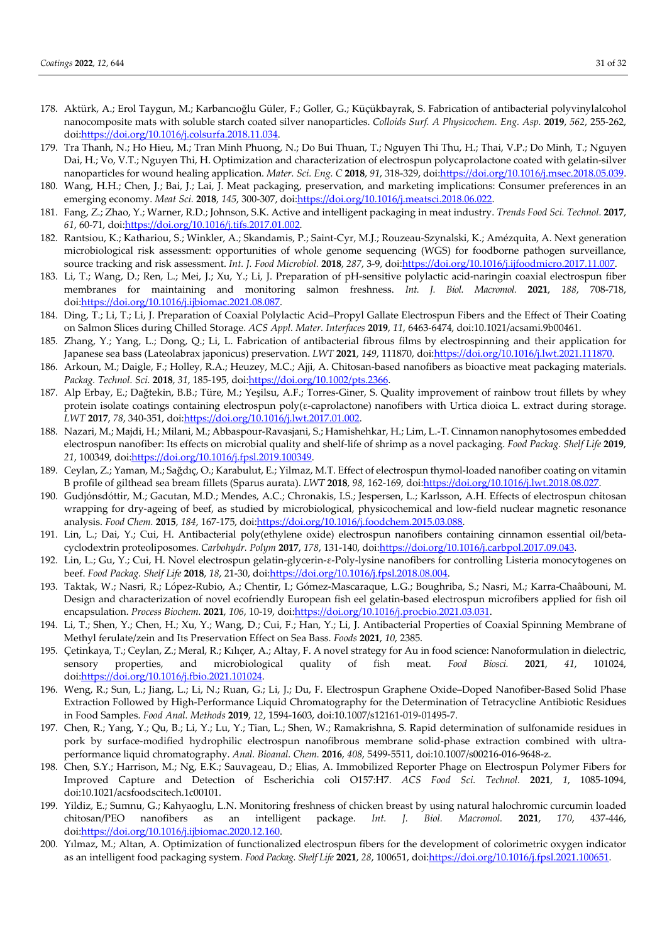- 178. Aktürk, A.; Erol Taygun, M.; Karbancıoğlu Güler, F.; Goller, G.; Küçükbayrak, S. Fabrication of antibacterial polyvinylalcohol nanocomposite mats with soluble starch coated silver nanoparticles. *Colloids Surf. A Physicochem. Eng. Asp.* **2019**, *562*, 255-262, doi:https://doi.org/10.1016/j.colsurfa.2018.11.034.
- 179. Tra Thanh, N.; Ho Hieu, M.; Tran Minh Phuong, N.; Do Bui Thuan, T.; Nguyen Thi Thu, H.; Thai, V.P.; Do Minh, T.; Nguyen Dai, H.; Vo, V.T.; Nguyen Thi, H. Optimization and characterization of electrospun polycaprolactone coated with gelatin-silver nanoparticles for wound healing application. *Mater. Sci. Eng. C* **2018**, *91*, 318-329, doi:https://doi.org/10.1016/j.msec.2018.05.039.
- 180. Wang, H.H.; Chen, J.; Bai, J.; Lai, J. Meat packaging, preservation, and marketing implications: Consumer preferences in an emerging economy. *Meat Sci.* **2018**, *145*, 300-307, doi:https://doi.org/10.1016/j.meatsci.2018.06.022.
- 181. Fang, Z.; Zhao, Y.; Warner, R.D.; Johnson, S.K. Active and intelligent packaging in meat industry. *Trends Food Sci. Technol.* **2017**, *61*, 60-71, doi:https://doi.org/10.1016/j.tifs.2017.01.002.
- 182. Rantsiou, K.; Kathariou, S.; Winkler, A.; Skandamis, P.; Saint-Cyr, M.J.; Rouzeau-Szynalski, K.; Amézquita, A. Next generation microbiological risk assessment: opportunities of whole genome sequencing (WGS) for foodborne pathogen surveillance, source tracking and risk assessment. *Int. J. Food Microbiol.* **2018**, *287*, 3-9, doi:https://doi.org/10.1016/j.ijfoodmicro.2017.11.007.
- 183. Li, T.; Wang, D.; Ren, L.; Mei, J.; Xu, Y.; Li, J. Preparation of pH-sensitive polylactic acid-naringin coaxial electrospun fiber membranes for maintaining and monitoring salmon freshness. *Int. J. Biol. Macromol.* **2021**, *188*, 708-718, doi:https://doi.org/10.1016/j.ijbiomac.2021.08.087.
- 184. Ding, T.; Li, T.; Li, J. Preparation of Coaxial Polylactic Acid–Propyl Gallate Electrospun Fibers and the Effect of Their Coating on Salmon Slices during Chilled Storage. *ACS Appl. Mater. Interfaces* **2019**, *11*, 6463-6474, doi:10.1021/acsami.9b00461.
- 185. Zhang, Y.; Yang, L.; Dong, Q.; Li, L. Fabrication of antibacterial fibrous films by electrospinning and their application for Japanese sea bass (Lateolabrax japonicus) preservation. *LWT* **2021**, *149*, 111870, doi:https://doi.org/10.1016/j.lwt.2021.111870.
- 186. Arkoun, M.; Daigle, F.; Holley, R.A.; Heuzey, M.C.; Ajji, A. Chitosan-based nanofibers as bioactive meat packaging materials. *Packag. Technol. Sci.* **2018**, *31*, 185-195, doi:https://doi.org/10.1002/pts.2366.
- 187. Alp Erbay, E.; Dağtekin, B.B.; Türe, M.; Yeşilsu, A.F.; Torres-Giner, S. Quality improvement of rainbow trout fillets by whey protein isolate coatings containing electrospun poly(ε-caprolactone) nanofibers with Urtica dioica L. extract during storage. *LWT* **2017**, *78*, 340-351, doi:https://doi.org/10.1016/j.lwt.2017.01.002.
- 188. Nazari, M.; Majdi, H.; Milani, M.; Abbaspour-Ravasjani, S.; Hamishehkar, H.; Lim, L.-T. Cinnamon nanophytosomes embedded electrospun nanofiber: Its effects on microbial quality and shelf-life of shrimp as a novel packaging. *Food Packag. Shelf Life* **2019**, *21*, 100349, doi:https://doi.org/10.1016/j.fpsl.2019.100349.
- 189. Ceylan, Z.; Yaman, M.; Sağdıç, O.; Karabulut, E.; Yilmaz, M.T. Effect of electrospun thymol-loaded nanofiber coating on vitamin B profile of gilthead sea bream fillets (Sparus aurata). *LWT* **2018**, *98*, 162-169, doi:https://doi.org/10.1016/j.lwt.2018.08.027.
- 190. Gudjónsdóttir, M.; Gacutan, M.D.; Mendes, A.C.; Chronakis, I.S.; Jespersen, L.; Karlsson, A.H. Effects of electrospun chitosan wrapping for dry-ageing of beef, as studied by microbiological, physicochemical and low-field nuclear magnetic resonance analysis. *Food Chem.* **2015**, *184*, 167-175, doi:https://doi.org/10.1016/j.foodchem.2015.03.088.
- 191. Lin, L.; Dai, Y.; Cui, H. Antibacterial poly(ethylene oxide) electrospun nanofibers containing cinnamon essential oil/betacyclodextrin proteoliposomes. *Carbohydr. Polym* **2017**, *178*, 131-140, doi:https://doi.org/10.1016/j.carbpol.2017.09.043.
- 192. Lin, L.; Gu, Y.; Cui, H. Novel electrospun gelatin-glycerin-ε-Poly-lysine nanofibers for controlling Listeria monocytogenes on beef. *Food Packag. Shelf Life* **2018**, *18*, 21-30, doi:https://doi.org/10.1016/j.fpsl.2018.08.004.
- 193. Taktak, W.; Nasri, R.; López-Rubio, A.; Chentir, I.; Gómez-Mascaraque, L.G.; Boughriba, S.; Nasri, M.; Karra-Chaâbouni, M. Design and characterization of novel ecofriendly European fish eel gelatin-based electrospun microfibers applied for fish oil encapsulation. *Process Biochem.* **2021**, *106*, 10-19, doi:https://doi.org/10.1016/j.procbio.2021.03.031.
- 194. Li, T.; Shen, Y.; Chen, H.; Xu, Y.; Wang, D.; Cui, F.; Han, Y.; Li, J. Antibacterial Properties of Coaxial Spinning Membrane of Methyl ferulate/zein and Its Preservation Effect on Sea Bass. *Foods* **2021**, *10*, 2385.
- 195. Çetinkaya, T.; Ceylan, Z.; Meral, R.; Kılıçer, A.; Altay, F. A novel strategy for Au in food science: Nanoformulation in dielectric, sensory properties, and microbiological quality of fish meat. *Food Biosci.* **2021**, *41*, 101024, doi:https://doi.org/10.1016/j.fbio.2021.101024.
- 196. Weng, R.; Sun, L.; Jiang, L.; Li, N.; Ruan, G.; Li, J.; Du, F. Electrospun Graphene Oxide–Doped Nanofiber-Based Solid Phase Extraction Followed by High-Performance Liquid Chromatography for the Determination of Tetracycline Antibiotic Residues in Food Samples. *Food Anal. Methods* **2019**, *12*, 1594-1603, doi:10.1007/s12161-019-01495-7.
- 197. Chen, R.; Yang, Y.; Qu, B.; Li, Y.; Lu, Y.; Tian, L.; Shen, W.; Ramakrishna, S. Rapid determination of sulfonamide residues in pork by surface-modified hydrophilic electrospun nanofibrous membrane solid-phase extraction combined with ultraperformance liquid chromatography. *Anal. Bioanal. Chem.* **2016**, *408*, 5499-5511, doi:10.1007/s00216-016-9648-z.
- 198. Chen, S.Y.; Harrison, M.; Ng, E.K.; Sauvageau, D.; Elias, A. Immobilized Reporter Phage on Electrospun Polymer Fibers for Improved Capture and Detection of Escherichia coli O157:H7. *ACS Food Sci. Technol.* **2021**, *1*, 1085-1094, doi:10.1021/acsfoodscitech.1c00101.
- 199. Yildiz, E.; Sumnu, G.; Kahyaoglu, L.N. Monitoring freshness of chicken breast by using natural halochromic curcumin loaded chitosan/PEO nanofibers as an intelligent package. *Int. J. Biol. Macromol.* **2021**, *170*, 437-446, doi:https://doi.org/10.1016/j.ijbiomac.2020.12.160.
- 200. Yılmaz, M.; Altan, A. Optimization of functionalized electrospun fibers for the development of colorimetric oxygen indicator as an intelligent food packaging system. *Food Packag. Shelf Life* **2021**, *28*, 100651, doi:https://doi.org/10.1016/j.fpsl.2021.100651.